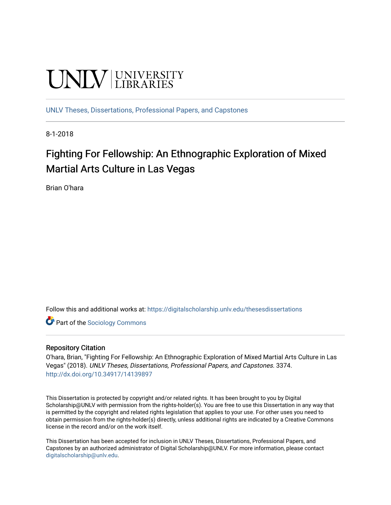# **UNIVERSITY**

[UNLV Theses, Dissertations, Professional Papers, and Capstones](https://digitalscholarship.unlv.edu/thesesdissertations)

8-1-2018

# Fighting For Fellowship: An Ethnographic Exploration of Mixed Martial Arts Culture in Las Vegas

Brian O'hara

Follow this and additional works at: [https://digitalscholarship.unlv.edu/thesesdissertations](https://digitalscholarship.unlv.edu/thesesdissertations?utm_source=digitalscholarship.unlv.edu%2Fthesesdissertations%2F3374&utm_medium=PDF&utm_campaign=PDFCoverPages)

Part of the [Sociology Commons](http://network.bepress.com/hgg/discipline/416?utm_source=digitalscholarship.unlv.edu%2Fthesesdissertations%2F3374&utm_medium=PDF&utm_campaign=PDFCoverPages)

#### Repository Citation

O'hara, Brian, "Fighting For Fellowship: An Ethnographic Exploration of Mixed Martial Arts Culture in Las Vegas" (2018). UNLV Theses, Dissertations, Professional Papers, and Capstones. 3374. <http://dx.doi.org/10.34917/14139897>

This Dissertation is protected by copyright and/or related rights. It has been brought to you by Digital Scholarship@UNLV with permission from the rights-holder(s). You are free to use this Dissertation in any way that is permitted by the copyright and related rights legislation that applies to your use. For other uses you need to obtain permission from the rights-holder(s) directly, unless additional rights are indicated by a Creative Commons license in the record and/or on the work itself.

This Dissertation has been accepted for inclusion in UNLV Theses, Dissertations, Professional Papers, and Capstones by an authorized administrator of Digital Scholarship@UNLV. For more information, please contact [digitalscholarship@unlv.edu](mailto:digitalscholarship@unlv.edu).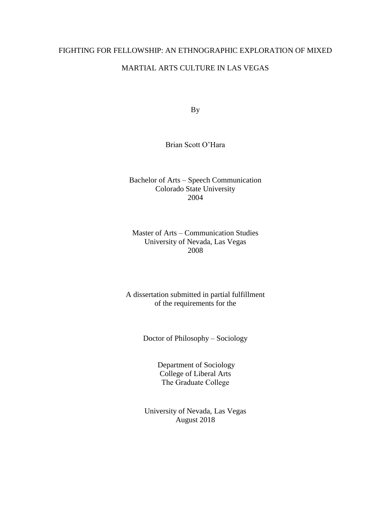# FIGHTING FOR FELLOWSHIP: AN ETHNOGRAPHIC EXPLORATION OF MIXED

# MARTIAL ARTS CULTURE IN LAS VEGAS

By

# Brian Scott O'Hara

Bachelor of Arts – Speech Communication Colorado State University 2004

# Master of Arts – Communication Studies University of Nevada, Las Vegas 2008

# A dissertation submitted in partial fulfillment of the requirements for the

Doctor of Philosophy – Sociology

Department of Sociology College of Liberal Arts The Graduate College

University of Nevada, Las Vegas August 2018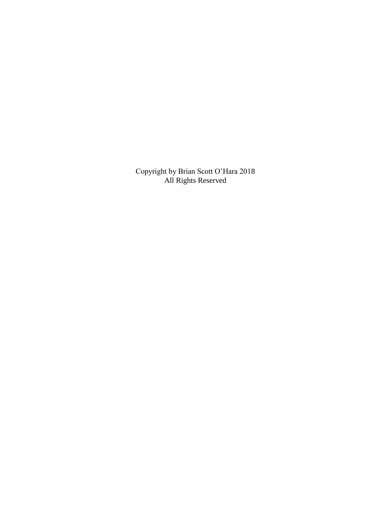Copyright by Brian Scott O'Hara 2018 All Rights Reserved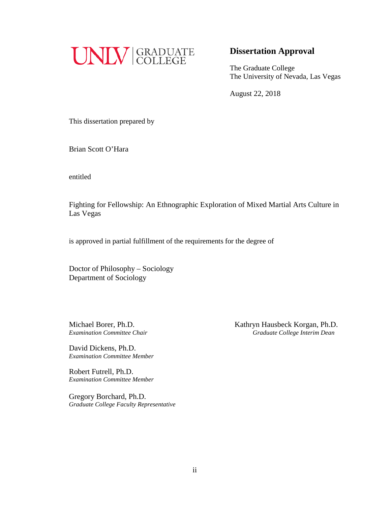

# **Dissertation Approval**

The Graduate College The University of Nevada, Las Vegas

August 22, 2018

This dissertation prepared by

Brian Scott O'Hara

entitled

Fighting for Fellowship: An Ethnographic Exploration of Mixed Martial Arts Culture in Las Vegas

is approved in partial fulfillment of the requirements for the degree of

Doctor of Philosophy – Sociology Department of Sociology

David Dickens, Ph.D. *Examination Committee Member*

Robert Futrell, Ph.D. *Examination Committee Member*

Gregory Borchard, Ph.D. *Graduate College Faculty Representative*

Michael Borer, Ph.D. *Kathryn Hausbeck Korgan, Ph.D. Examination Committee Chair Graduate College Interim Dean*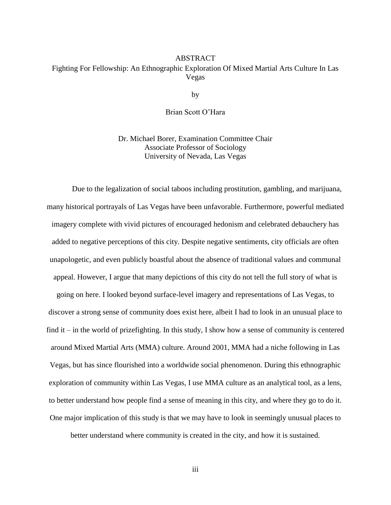# ABSTRACT Fighting For Fellowship: An Ethnographic Exploration Of Mixed Martial Arts Culture In Las Vegas

by

### Brian Scott O'Hara

Dr. Michael Borer, Examination Committee Chair Associate Professor of Sociology University of Nevada, Las Vegas

Due to the legalization of social taboos including prostitution, gambling, and marijuana, many historical portrayals of Las Vegas have been unfavorable. Furthermore, powerful mediated imagery complete with vivid pictures of encouraged hedonism and celebrated debauchery has added to negative perceptions of this city. Despite negative sentiments, city officials are often unapologetic, and even publicly boastful about the absence of traditional values and communal appeal. However, I argue that many depictions of this city do not tell the full story of what is going on here. I looked beyond surface-level imagery and representations of Las Vegas, to discover a strong sense of community does exist here, albeit I had to look in an unusual place to find it – in the world of prizefighting. In this study, I show how a sense of community is centered around Mixed Martial Arts (MMA) culture. Around 2001, MMA had a niche following in Las Vegas, but has since flourished into a worldwide social phenomenon. During this ethnographic exploration of community within Las Vegas, I use MMA culture as an analytical tool, as a lens, to better understand how people find a sense of meaning in this city, and where they go to do it. One major implication of this study is that we may have to look in seemingly unusual places to

better understand where community is created in the city, and how it is sustained.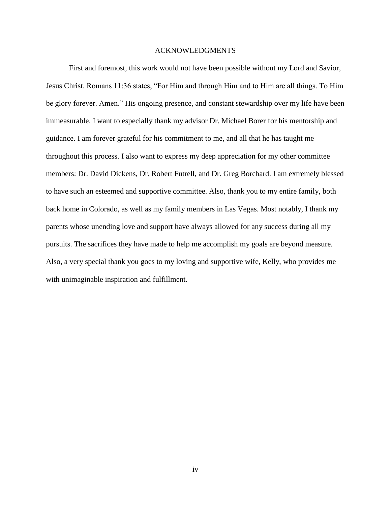#### ACKNOWLEDGMENTS

First and foremost, this work would not have been possible without my Lord and Savior, Jesus Christ. Romans 11:36 states, "For Him and through Him and to Him are all things. To Him be glory forever. Amen." His ongoing presence, and constant stewardship over my life have been immeasurable. I want to especially thank my advisor Dr. Michael Borer for his mentorship and guidance. I am forever grateful for his commitment to me, and all that he has taught me throughout this process. I also want to express my deep appreciation for my other committee members: Dr. David Dickens, Dr. Robert Futrell, and Dr. Greg Borchard. I am extremely blessed to have such an esteemed and supportive committee. Also, thank you to my entire family, both back home in Colorado, as well as my family members in Las Vegas. Most notably, I thank my parents whose unending love and support have always allowed for any success during all my pursuits. The sacrifices they have made to help me accomplish my goals are beyond measure. Also, a very special thank you goes to my loving and supportive wife, Kelly, who provides me with unimaginable inspiration and fulfillment.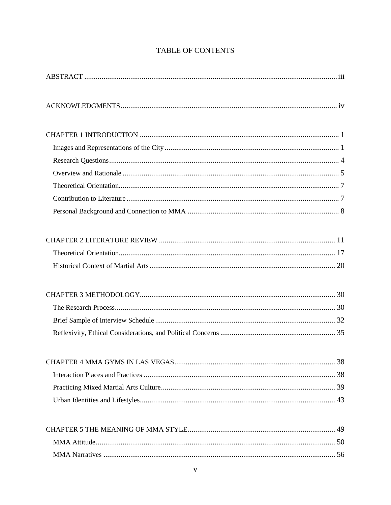# TABLE OF CONTENTS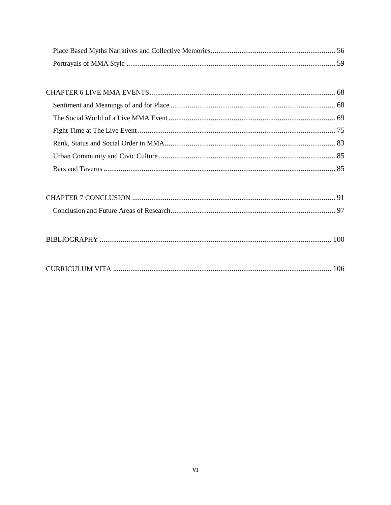|--|--|

|--|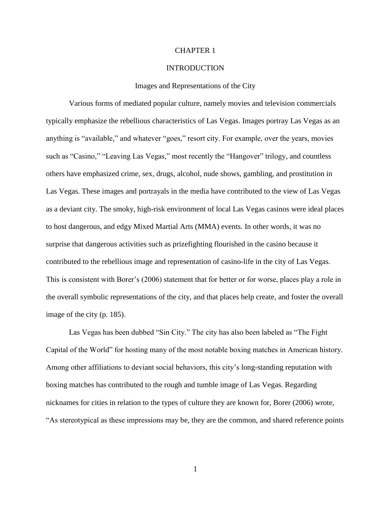#### CHAPTER 1

#### INTRODUCTION

#### Images and Representations of the City

Various forms of mediated popular culture, namely movies and television commercials typically emphasize the rebellious characteristics of Las Vegas. Images portray Las Vegas as an anything is "available," and whatever "goes," resort city. For example, over the years, movies such as "Casino," "Leaving Las Vegas," most recently the "Hangover" trilogy, and countless others have emphasized crime, sex, drugs, alcohol, nude shows, gambling, and prostitution in Las Vegas. These images and portrayals in the media have contributed to the view of Las Vegas as a deviant city. The smoky, high-risk environment of local Las Vegas casinos were ideal places to host dangerous, and edgy Mixed Martial Arts (MMA) events. In other words, it was no surprise that dangerous activities such as prizefighting flourished in the casino because it contributed to the rebellious image and representation of casino-life in the city of Las Vegas. This is consistent with Borer's (2006) statement that for better or for worse, places play a role in the overall symbolic representations of the city, and that places help create, and foster the overall image of the city (p. 185).

Las Vegas has been dubbed "Sin City." The city has also been labeled as "The Fight Capital of the World" for hosting many of the most notable boxing matches in American history. Among other affiliations to deviant social behaviors, this city's long-standing reputation with boxing matches has contributed to the rough and tumble image of Las Vegas. Regarding nicknames for cities in relation to the types of culture they are known for, Borer (2006) wrote, "As stereotypical as these impressions may be, they are the common, and shared reference points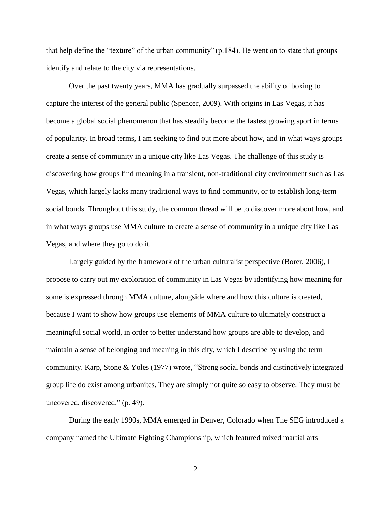that help define the "texture" of the urban community" (p.184). He went on to state that groups identify and relate to the city via representations.

Over the past twenty years, MMA has gradually surpassed the ability of boxing to capture the interest of the general public (Spencer, 2009). With origins in Las Vegas, it has become a global social phenomenon that has steadily become the fastest growing sport in terms of popularity. In broad terms, I am seeking to find out more about how, and in what ways groups create a sense of community in a unique city like Las Vegas. The challenge of this study is discovering how groups find meaning in a transient, non-traditional city environment such as Las Vegas, which largely lacks many traditional ways to find community, or to establish long-term social bonds. Throughout this study, the common thread will be to discover more about how, and in what ways groups use MMA culture to create a sense of community in a unique city like Las Vegas, and where they go to do it.

Largely guided by the framework of the urban culturalist perspective (Borer, 2006), I propose to carry out my exploration of community in Las Vegas by identifying how meaning for some is expressed through MMA culture, alongside where and how this culture is created, because I want to show how groups use elements of MMA culture to ultimately construct a meaningful social world, in order to better understand how groups are able to develop, and maintain a sense of belonging and meaning in this city, which I describe by using the term community. Karp, Stone & Yoles (1977) wrote, "Strong social bonds and distinctively integrated group life do exist among urbanites. They are simply not quite so easy to observe. They must be uncovered, discovered." (p. 49).

During the early 1990s, MMA emerged in Denver, Colorado when The SEG introduced a company named the Ultimate Fighting Championship, which featured mixed martial arts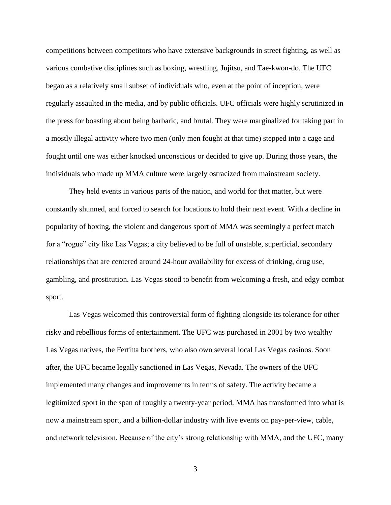competitions between competitors who have extensive backgrounds in street fighting, as well as various combative disciplines such as boxing, wrestling, Jujitsu, and Tae-kwon-do. The UFC began as a relatively small subset of individuals who, even at the point of inception, were regularly assaulted in the media, and by public officials. UFC officials were highly scrutinized in the press for boasting about being barbaric, and brutal. They were marginalized for taking part in a mostly illegal activity where two men (only men fought at that time) stepped into a cage and fought until one was either knocked unconscious or decided to give up. During those years, the individuals who made up MMA culture were largely ostracized from mainstream society.

They held events in various parts of the nation, and world for that matter, but were constantly shunned, and forced to search for locations to hold their next event. With a decline in popularity of boxing, the violent and dangerous sport of MMA was seemingly a perfect match for a "rogue" city like Las Vegas; a city believed to be full of unstable, superficial, secondary relationships that are centered around 24-hour availability for excess of drinking, drug use, gambling, and prostitution. Las Vegas stood to benefit from welcoming a fresh, and edgy combat sport.

Las Vegas welcomed this controversial form of fighting alongside its tolerance for other risky and rebellious forms of entertainment. The UFC was purchased in 2001 by two wealthy Las Vegas natives, the Fertitta brothers, who also own several local Las Vegas casinos. Soon after, the UFC became legally sanctioned in Las Vegas, Nevada. The owners of the UFC implemented many changes and improvements in terms of safety. The activity became a legitimized sport in the span of roughly a twenty-year period. MMA has transformed into what is now a mainstream sport, and a billion-dollar industry with live events on pay-per-view, cable, and network television. Because of the city's strong relationship with MMA, and the UFC, many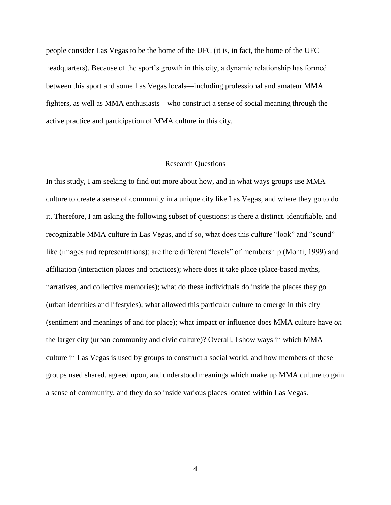people consider Las Vegas to be the home of the UFC (it is, in fact, the home of the UFC headquarters). Because of the sport's growth in this city, a dynamic relationship has formed between this sport and some Las Vegas locals—including professional and amateur MMA fighters, as well as MMA enthusiasts—who construct a sense of social meaning through the active practice and participation of MMA culture in this city.

#### Research Questions

In this study, I am seeking to find out more about how, and in what ways groups use MMA culture to create a sense of community in a unique city like Las Vegas, and where they go to do it. Therefore, I am asking the following subset of questions: is there a distinct, identifiable, and recognizable MMA culture in Las Vegas, and if so, what does this culture "look" and "sound" like (images and representations); are there different "levels" of membership (Monti, 1999) and affiliation (interaction places and practices); where does it take place (place-based myths, narratives, and collective memories); what do these individuals do inside the places they go (urban identities and lifestyles); what allowed this particular culture to emerge in this city (sentiment and meanings of and for place); what impact or influence does MMA culture have *on* the larger city (urban community and civic culture)? Overall, I show ways in which MMA culture in Las Vegas is used by groups to construct a social world, and how members of these groups used shared, agreed upon, and understood meanings which make up MMA culture to gain a sense of community, and they do so inside various places located within Las Vegas.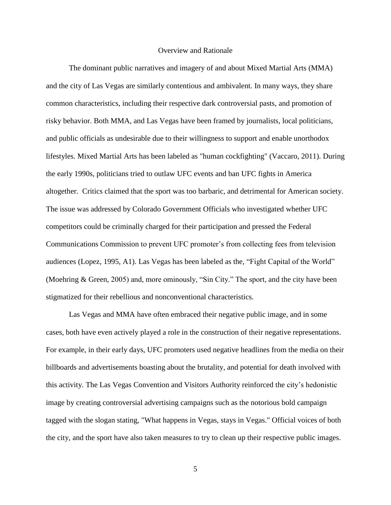#### Overview and Rationale

The dominant public narratives and imagery of and about Mixed Martial Arts (MMA) and the city of Las Vegas are similarly contentious and ambivalent. In many ways, they share common characteristics, including their respective dark controversial pasts, and promotion of risky behavior. Both MMA, and Las Vegas have been framed by journalists, local politicians, and public officials as undesirable due to their willingness to support and enable unorthodox lifestyles. Mixed Martial Arts has been labeled as "human cockfighting" (Vaccaro, 2011). During the early 1990s, politicians tried to outlaw UFC events and ban UFC fights in America altogether. Critics claimed that the sport was too barbaric, and detrimental for American society. The issue was addressed by Colorado Government Officials who investigated whether UFC competitors could be criminally charged for their participation and pressed the Federal Communications Commission to prevent UFC promoter's from collecting fees from television audiences (Lopez, 1995, A1). Las Vegas has been labeled as the, "Fight Capital of the World" (Moehring & Green, 2005) and, more ominously, "Sin City." The sport, and the city have been stigmatized for their rebellious and nonconventional characteristics.

Las Vegas and MMA have often embraced their negative public image, and in some cases, both have even actively played a role in the construction of their negative representations. For example, in their early days, UFC promoters used negative headlines from the media on their billboards and advertisements boasting about the brutality, and potential for death involved with this activity. The Las Vegas Convention and Visitors Authority reinforced the city's hedonistic image by creating controversial advertising campaigns such as the notorious bold campaign tagged with the slogan stating, "What happens in Vegas, stays in Vegas." Official voices of both the city, and the sport have also taken measures to try to clean up their respective public images.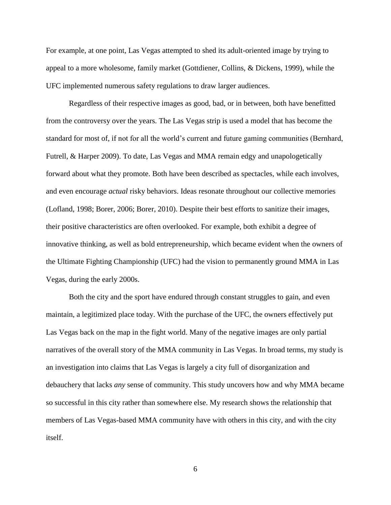For example, at one point, Las Vegas attempted to shed its adult-oriented image by trying to appeal to a more wholesome, family market (Gottdiener, Collins, & Dickens, 1999), while the UFC implemented numerous safety regulations to draw larger audiences.

Regardless of their respective images as good, bad, or in between, both have benefitted from the controversy over the years. The Las Vegas strip is used a model that has become the standard for most of, if not for all the world's current and future gaming communities (Bernhard, Futrell, & Harper 2009). To date, Las Vegas and MMA remain edgy and unapologetically forward about what they promote. Both have been described as spectacles, while each involves, and even encourage *actual* risky behaviors. Ideas resonate throughout our collective memories (Lofland, 1998; Borer, 2006; Borer, 2010). Despite their best efforts to sanitize their images, their positive characteristics are often overlooked. For example, both exhibit a degree of innovative thinking, as well as bold entrepreneurship, which became evident when the owners of the Ultimate Fighting Championship (UFC) had the vision to permanently ground MMA in Las Vegas, during the early 2000s.

Both the city and the sport have endured through constant struggles to gain, and even maintain, a legitimized place today. With the purchase of the UFC, the owners effectively put Las Vegas back on the map in the fight world. Many of the negative images are only partial narratives of the overall story of the MMA community in Las Vegas. In broad terms, my study is an investigation into claims that Las Vegas is largely a city full of disorganization and debauchery that lacks *any* sense of community. This study uncovers how and why MMA became so successful in this city rather than somewhere else. My research shows the relationship that members of Las Vegas-based MMA community have with others in this city, and with the city itself.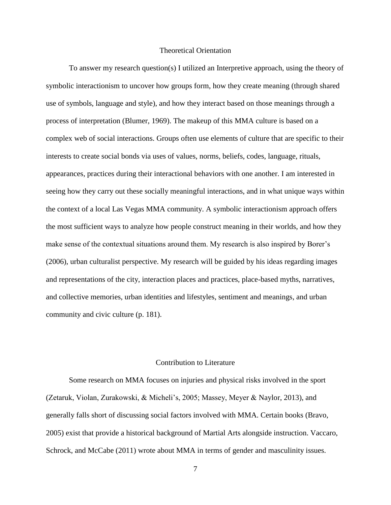#### Theoretical Orientation

To answer my research question(s) I utilized an Interpretive approach, using the theory of symbolic interactionism to uncover how groups form, how they create meaning (through shared use of symbols, language and style), and how they interact based on those meanings through a process of interpretation (Blumer, 1969). The makeup of this MMA culture is based on a complex web of social interactions. Groups often use elements of culture that are specific to their interests to create social bonds via uses of values, norms, beliefs, codes, language, rituals, appearances, practices during their interactional behaviors with one another. I am interested in seeing how they carry out these socially meaningful interactions, and in what unique ways within the context of a local Las Vegas MMA community. A symbolic interactionism approach offers the most sufficient ways to analyze how people construct meaning in their worlds, and how they make sense of the contextual situations around them. My research is also inspired by Borer's (2006), urban culturalist perspective. My research will be guided by his ideas regarding images and representations of the city, interaction places and practices, place-based myths, narratives, and collective memories, urban identities and lifestyles, sentiment and meanings, and urban community and civic culture (p. 181).

#### Contribution to Literature

Some research on MMA focuses on injuries and physical risks involved in the sport (Zetaruk, Violan, Zurakowski, & Micheli's, 2005; Massey, Meyer & Naylor, 2013), and generally falls short of discussing social factors involved with MMA. Certain books (Bravo, 2005) exist that provide a historical background of Martial Arts alongside instruction. Vaccaro, Schrock, and McCabe (2011) wrote about MMA in terms of gender and masculinity issues.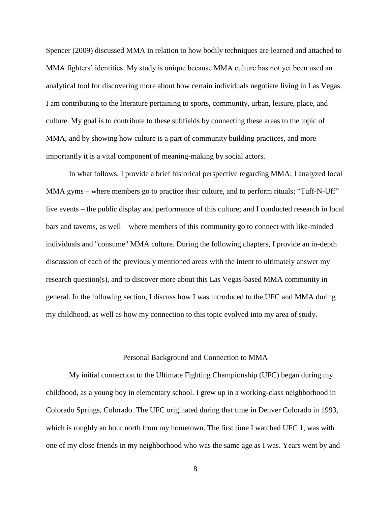Spencer (2009) discussed MMA in relation to how bodily techniques are learned and attached to MMA fighters' identities. My study is unique because MMA culture has not yet been used an analytical tool for discovering more about how certain individuals negotiate living in Las Vegas. I am contributing to the literature pertaining to sports, community, urban, leisure, place, and culture. My goal is to contribute to these subfields by connecting these areas to the topic of MMA, and by showing how culture is a part of community building practices, and more importantly it is a vital component of meaning-making by social actors.

In what follows, I provide a brief historical perspective regarding MMA; I analyzed local MMA gyms – where members go to practice their culture, and to perform rituals; "Tuff-N-Uff" live events – the public display and performance of this culture; and I conducted research in local bars and taverns, as well – where members of this community go to connect with like-minded individuals and "consume" MMA culture. During the following chapters, I provide an in-depth discussion of each of the previously mentioned areas with the intent to ultimately answer my research question(s), and to discover more about this Las Vegas-based MMA community in general. In the following section, I discuss how I was introduced to the UFC and MMA during my childhood, as well as how my connection to this topic evolved into my area of study.

#### Personal Background and Connection to MMA

My initial connection to the Ultimate Fighting Championship (UFC) began during my childhood, as a young boy in elementary school. I grew up in a working-class neighborhood in Colorado Springs, Colorado. The UFC originated during that time in Denver Colorado in 1993, which is roughly an hour north from my hometown. The first time I watched UFC 1, was with one of my close friends in my neighborhood who was the same age as I was. Years went by and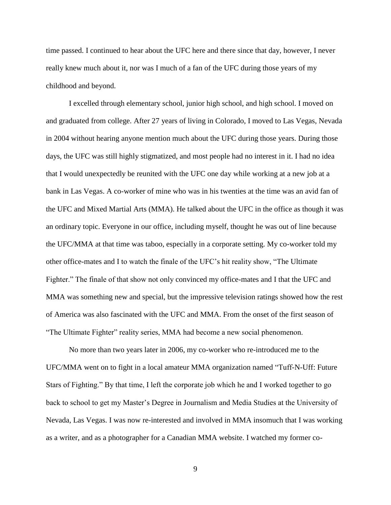time passed. I continued to hear about the UFC here and there since that day, however, I never really knew much about it, nor was I much of a fan of the UFC during those years of my childhood and beyond.

I excelled through elementary school, junior high school, and high school. I moved on and graduated from college. After 27 years of living in Colorado, I moved to Las Vegas, Nevada in 2004 without hearing anyone mention much about the UFC during those years. During those days, the UFC was still highly stigmatized, and most people had no interest in it. I had no idea that I would unexpectedly be reunited with the UFC one day while working at a new job at a bank in Las Vegas. A co-worker of mine who was in his twenties at the time was an avid fan of the UFC and Mixed Martial Arts (MMA). He talked about the UFC in the office as though it was an ordinary topic. Everyone in our office, including myself, thought he was out of line because the UFC/MMA at that time was taboo, especially in a corporate setting. My co-worker told my other office-mates and I to watch the finale of the UFC's hit reality show, "The Ultimate Fighter." The finale of that show not only convinced my office-mates and I that the UFC and MMA was something new and special, but the impressive television ratings showed how the rest of America was also fascinated with the UFC and MMA. From the onset of the first season of "The Ultimate Fighter" reality series, MMA had become a new social phenomenon.

No more than two years later in 2006, my co-worker who re-introduced me to the UFC/MMA went on to fight in a local amateur MMA organization named "Tuff-N-Uff: Future Stars of Fighting." By that time, I left the corporate job which he and I worked together to go back to school to get my Master's Degree in Journalism and Media Studies at the University of Nevada, Las Vegas. I was now re-interested and involved in MMA insomuch that I was working as a writer, and as a photographer for a Canadian MMA website. I watched my former co-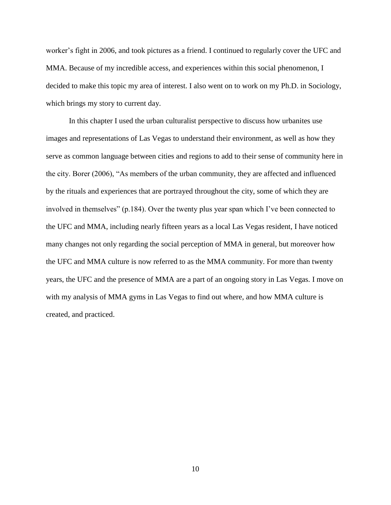worker's fight in 2006, and took pictures as a friend. I continued to regularly cover the UFC and MMA. Because of my incredible access, and experiences within this social phenomenon, I decided to make this topic my area of interest. I also went on to work on my Ph.D. in Sociology, which brings my story to current day.

In this chapter I used the urban culturalist perspective to discuss how urbanites use images and representations of Las Vegas to understand their environment, as well as how they serve as common language between cities and regions to add to their sense of community here in the city. Borer (2006), "As members of the urban community, they are affected and influenced by the rituals and experiences that are portrayed throughout the city, some of which they are involved in themselves" (p.184). Over the twenty plus year span which I've been connected to the UFC and MMA, including nearly fifteen years as a local Las Vegas resident, I have noticed many changes not only regarding the social perception of MMA in general, but moreover how the UFC and MMA culture is now referred to as the MMA community. For more than twenty years, the UFC and the presence of MMA are a part of an ongoing story in Las Vegas. I move on with my analysis of MMA gyms in Las Vegas to find out where, and how MMA culture is created, and practiced.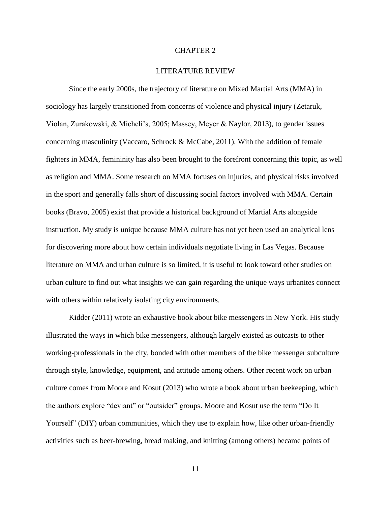#### CHAPTER 2

#### LITERATURE REVIEW

Since the early 2000s, the trajectory of literature on Mixed Martial Arts (MMA) in sociology has largely transitioned from concerns of violence and physical injury (Zetaruk, Violan, Zurakowski, & Micheli's, 2005; Massey, Meyer & Naylor, 2013), to gender issues concerning masculinity (Vaccaro, Schrock & McCabe, 2011). With the addition of female fighters in MMA, femininity has also been brought to the forefront concerning this topic, as well as religion and MMA. Some research on MMA focuses on injuries, and physical risks involved in the sport and generally falls short of discussing social factors involved with MMA. Certain books (Bravo, 2005) exist that provide a historical background of Martial Arts alongside instruction. My study is unique because MMA culture has not yet been used an analytical lens for discovering more about how certain individuals negotiate living in Las Vegas. Because literature on MMA and urban culture is so limited, it is useful to look toward other studies on urban culture to find out what insights we can gain regarding the unique ways urbanites connect with others within relatively isolating city environments.

Kidder (2011) wrote an exhaustive book about bike messengers in New York. His study illustrated the ways in which bike messengers, although largely existed as outcasts to other working-professionals in the city, bonded with other members of the bike messenger subculture through style, knowledge, equipment, and attitude among others. Other recent work on urban culture comes from Moore and Kosut (2013) who wrote a book about urban beekeeping, which the authors explore "deviant" or "outsider" groups. Moore and Kosut use the term "Do It Yourself" (DIY) urban communities, which they use to explain how, like other urban-friendly activities such as beer-brewing, bread making, and knitting (among others) became points of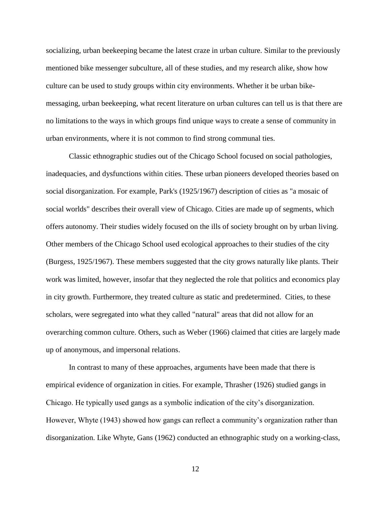socializing, urban beekeeping became the latest craze in urban culture. Similar to the previously mentioned bike messenger subculture, all of these studies, and my research alike, show how culture can be used to study groups within city environments. Whether it be urban bikemessaging, urban beekeeping, what recent literature on urban cultures can tell us is that there are no limitations to the ways in which groups find unique ways to create a sense of community in urban environments, where it is not common to find strong communal ties.

Classic ethnographic studies out of the Chicago School focused on social pathologies, inadequacies, and dysfunctions within cities. These urban pioneers developed theories based on social disorganization. For example, Park's (1925/1967) description of cities as "a mosaic of social worlds" describes their overall view of Chicago. Cities are made up of segments, which offers autonomy. Their studies widely focused on the ills of society brought on by urban living. Other members of the Chicago School used ecological approaches to their studies of the city (Burgess, 1925/1967). These members suggested that the city grows naturally like plants. Their work was limited, however, insofar that they neglected the role that politics and economics play in city growth. Furthermore, they treated culture as static and predetermined. Cities, to these scholars, were segregated into what they called "natural" areas that did not allow for an overarching common culture. Others, such as Weber (1966) claimed that cities are largely made up of anonymous, and impersonal relations.

In contrast to many of these approaches, arguments have been made that there is empirical evidence of organization in cities. For example, Thrasher (1926) studied gangs in Chicago. He typically used gangs as a symbolic indication of the city's disorganization. However, Whyte (1943) showed how gangs can reflect a community's organization rather than disorganization. Like Whyte, Gans (1962) conducted an ethnographic study on a working-class,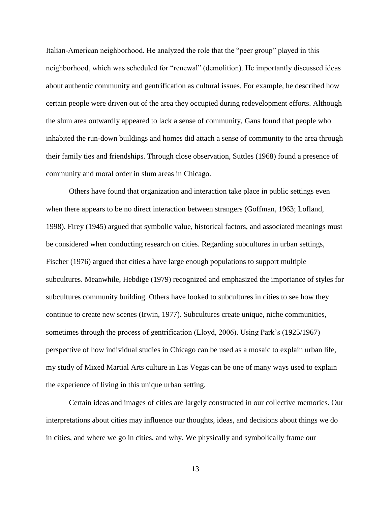Italian-American neighborhood. He analyzed the role that the "peer group" played in this neighborhood, which was scheduled for "renewal" (demolition). He importantly discussed ideas about authentic community and gentrification as cultural issues. For example, he described how certain people were driven out of the area they occupied during redevelopment efforts. Although the slum area outwardly appeared to lack a sense of community, Gans found that people who inhabited the run-down buildings and homes did attach a sense of community to the area through their family ties and friendships. Through close observation, Suttles (1968) found a presence of community and moral order in slum areas in Chicago.

Others have found that organization and interaction take place in public settings even when there appears to be no direct interaction between strangers (Goffman, 1963; Lofland, 1998). Firey (1945) argued that symbolic value, historical factors, and associated meanings must be considered when conducting research on cities. Regarding subcultures in urban settings, Fischer (1976) argued that cities a have large enough populations to support multiple subcultures. Meanwhile, Hebdige (1979) recognized and emphasized the importance of styles for subcultures community building. Others have looked to subcultures in cities to see how they continue to create new scenes (Irwin, 1977). Subcultures create unique, niche communities, sometimes through the process of gentrification (Lloyd, 2006). Using Park's (1925/1967) perspective of how individual studies in Chicago can be used as a mosaic to explain urban life, my study of Mixed Martial Arts culture in Las Vegas can be one of many ways used to explain the experience of living in this unique urban setting.

Certain ideas and images of cities are largely constructed in our collective memories. Our interpretations about cities may influence our thoughts, ideas, and decisions about things we do in cities, and where we go in cities, and why. We physically and symbolically frame our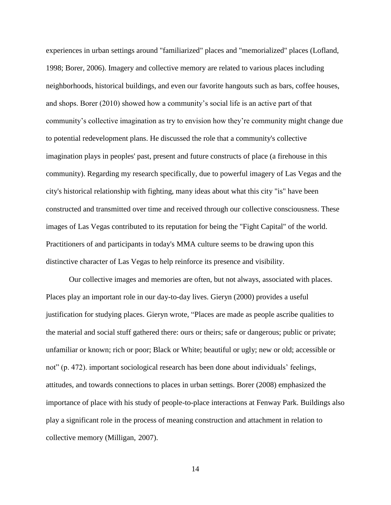experiences in urban settings around "familiarized" places and "memorialized" places (Lofland, 1998; Borer, 2006). Imagery and collective memory are related to various places including neighborhoods, historical buildings, and even our favorite hangouts such as bars, coffee houses, and shops. Borer (2010) showed how a community's social life is an active part of that community's collective imagination as try to envision how they're community might change due to potential redevelopment plans. He discussed the role that a community's collective imagination plays in peoples' past, present and future constructs of place (a firehouse in this community). Regarding my research specifically, due to powerful imagery of Las Vegas and the city's historical relationship with fighting, many ideas about what this city "is" have been constructed and transmitted over time and received through our collective consciousness. These images of Las Vegas contributed to its reputation for being the "Fight Capital" of the world. Practitioners of and participants in today's MMA culture seems to be drawing upon this distinctive character of Las Vegas to help reinforce its presence and visibility.

Our collective images and memories are often, but not always, associated with places. Places play an important role in our day-to-day lives. Gieryn (2000) provides a useful justification for studying places. Gieryn wrote, "Places are made as people ascribe qualities to the material and social stuff gathered there: ours or theirs; safe or dangerous; public or private; unfamiliar or known; rich or poor; Black or White; beautiful or ugly; new or old; accessible or not" (p. 472). important sociological research has been done about individuals' feelings, attitudes, and towards connections to places in urban settings. Borer (2008) emphasized the importance of place with his study of people-to-place interactions at Fenway Park. Buildings also play a significant role in the process of meaning construction and attachment in relation to collective memory (Milligan, 2007).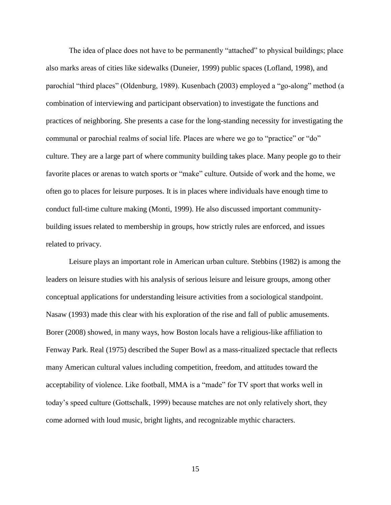The idea of place does not have to be permanently "attached" to physical buildings; place also marks areas of cities like sidewalks (Duneier, 1999) public spaces (Lofland, 1998), and parochial "third places" (Oldenburg, 1989). Kusenbach (2003) employed a "go-along" method (a combination of interviewing and participant observation) to investigate the functions and practices of neighboring. She presents a case for the long-standing necessity for investigating the communal or parochial realms of social life. Places are where we go to "practice" or "do" culture. They are a large part of where community building takes place. Many people go to their favorite places or arenas to watch sports or "make" culture. Outside of work and the home, we often go to places for leisure purposes. It is in places where individuals have enough time to conduct full-time culture making (Monti, 1999). He also discussed important communitybuilding issues related to membership in groups, how strictly rules are enforced, and issues related to privacy.

Leisure plays an important role in American urban culture. Stebbins (1982) is among the leaders on leisure studies with his analysis of serious leisure and leisure groups, among other conceptual applications for understanding leisure activities from a sociological standpoint. Nasaw (1993) made this clear with his exploration of the rise and fall of public amusements. Borer (2008) showed, in many ways, how Boston locals have a religious-like affiliation to Fenway Park. Real (1975) described the Super Bowl as a mass-ritualized spectacle that reflects many American cultural values including competition, freedom, and attitudes toward the acceptability of violence. Like football, MMA is a "made" for TV sport that works well in today's speed culture (Gottschalk, 1999) because matches are not only relatively short, they come adorned with loud music, bright lights, and recognizable mythic characters.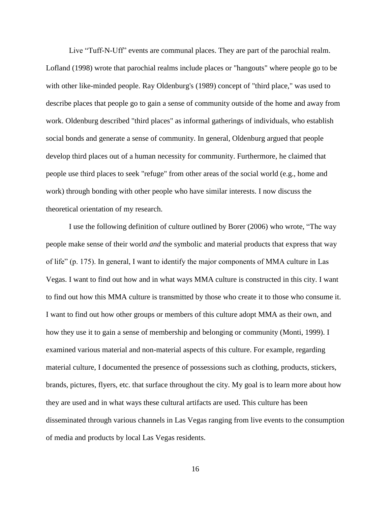Live "Tuff-N-Uff" events are communal places. They are part of the parochial realm. Lofland (1998) wrote that parochial realms include places or "hangouts" where people go to be with other like-minded people. Ray Oldenburg's (1989) concept of "third place," was used to describe places that people go to gain a sense of community outside of the home and away from work. Oldenburg described "third places" as informal gatherings of individuals, who establish social bonds and generate a sense of community. In general, Oldenburg argued that people develop third places out of a human necessity for community. Furthermore, he claimed that people use third places to seek "refuge" from other areas of the social world (e.g., home and work) through bonding with other people who have similar interests. I now discuss the theoretical orientation of my research.

I use the following definition of culture outlined by Borer (2006) who wrote, "The way people make sense of their world *and* the symbolic and material products that express that way of life" (p. 175). In general, I want to identify the major components of MMA culture in Las Vegas. I want to find out how and in what ways MMA culture is constructed in this city. I want to find out how this MMA culture is transmitted by those who create it to those who consume it. I want to find out how other groups or members of this culture adopt MMA as their own, and how they use it to gain a sense of membership and belonging or community (Monti, 1999). I examined various material and non-material aspects of this culture. For example, regarding material culture, I documented the presence of possessions such as clothing, products, stickers, brands, pictures, flyers, etc. that surface throughout the city. My goal is to learn more about how they are used and in what ways these cultural artifacts are used. This culture has been disseminated through various channels in Las Vegas ranging from live events to the consumption of media and products by local Las Vegas residents.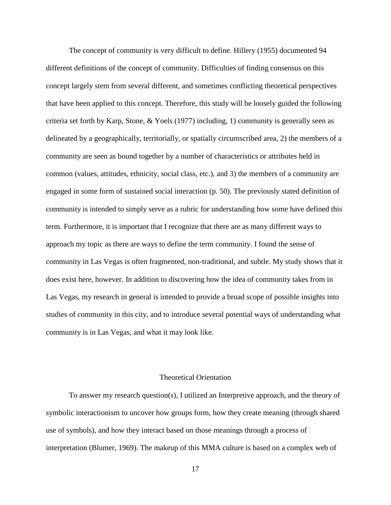The concept of community is very difficult to define. Hillery (1955) documented 94 different definitions of the concept of community. Difficulties of finding consensus on this concept largely stem from several different, and sometimes conflicting theoretical perspectives that have been applied to this concept. Therefore, this study will be loosely guided the following criteria set forth by Karp, Stone, & Yoels (1977) including, 1) community is generally seen as delineated by a geographically, territorially, or spatially circumscribed area, 2) the members of a community are seen as bound together by a number of characteristics or attributes held in common (values, attitudes, ethnicity, social class, etc.), and 3) the members of a community are engaged in some form of sustained social interaction (p. 50). The previously stated definition of community is intended to simply serve as a rubric for understanding how some have defined this term. Furthermore, it is important that I recognize that there are as many different ways to approach my topic as there are ways to define the term community. I found the sense of community in Las Vegas is often fragmented, non-traditional, and subtle. My study shows that it does exist here, however. In addition to discovering how the idea of community takes from in Las Vegas, my research in general is intended to provide a broad scope of possible insights into studies of community in this city, and to introduce several potential ways of understanding what community is in Las Vegas, and what it may look like.

#### Theoretical Orientation

To answer my research question(s), I utilized an Interpretive approach, and the theory of symbolic interactionism to uncover how groups form, how they create meaning (through shared use of symbols), and how they interact based on those meanings through a process of interpretation (Blumer, 1969). The makeup of this MMA culture is based on a complex web of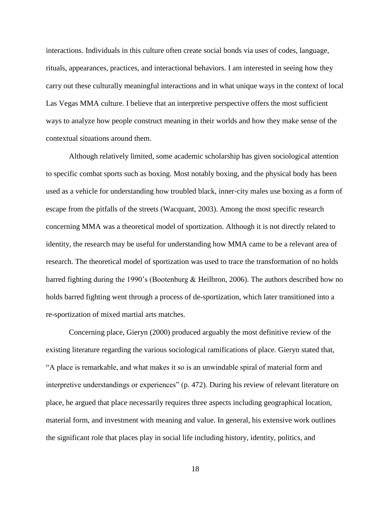interactions. Individuals in this culture often create social bonds via uses of codes, language, rituals, appearances, practices, and interactional behaviors. I am interested in seeing how they carry out these culturally meaningful interactions and in what unique ways in the context of local Las Vegas MMA culture. I believe that an interpretive perspective offers the most sufficient ways to analyze how people construct meaning in their worlds and how they make sense of the contextual situations around them.

Although relatively limited, some academic scholarship has given sociological attention to specific combat sports such as boxing. Most notably boxing, and the physical body has been used as a vehicle for understanding how troubled black, inner-city males use boxing as a form of escape from the pitfalls of the streets (Wacquant, 2003). Among the most specific research concerning MMA was a theoretical model of sportization. Although it is not directly related to identity, the research may be useful for understanding how MMA came to be a relevant area of research. The theoretical model of sportization was used to trace the transformation of no holds barred fighting during the 1990's (Bootenburg & Heilbron, 2006). The authors described how no holds barred fighting went through a process of de-sportization, which later transitioned into a re-sportization of mixed martial arts matches.

Concerning place, Gieryn (2000) produced arguably the most definitive review of the existing literature regarding the various sociological ramifications of place. Gieryn stated that, "A place is remarkable, and what makes it so is an unwindable spiral of material form and interpretive understandings or experiences" (p. 472). During his review of relevant literature on place, he argued that place necessarily requires three aspects including geographical location, material form, and investment with meaning and value. In general, his extensive work outlines the significant role that places play in social life including history, identity, politics, and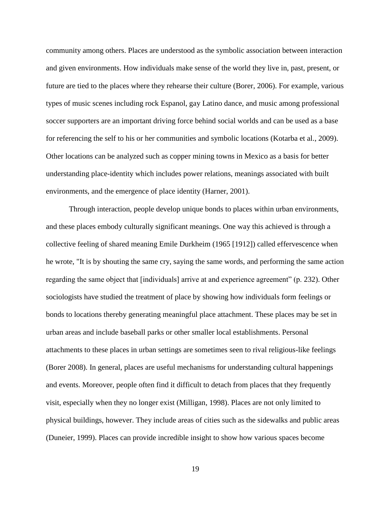community among others. Places are understood as the symbolic association between interaction and given environments. How individuals make sense of the world they live in, past, present, or future are tied to the places where they rehearse their culture (Borer, 2006). For example, various types of music scenes including rock Espanol, gay Latino dance, and music among professional soccer supporters are an important driving force behind social worlds and can be used as a base for referencing the self to his or her communities and symbolic locations (Kotarba et al., 2009). Other locations can be analyzed such as copper mining towns in Mexico as a basis for better understanding place-identity which includes power relations, meanings associated with built environments, and the emergence of place identity (Harner, 2001).

Through interaction, people develop unique bonds to places within urban environments, and these places embody culturally significant meanings. One way this achieved is through a collective feeling of shared meaning Emile Durkheim (1965 [1912]) called effervescence when he wrote, "It is by shouting the same cry, saying the same words, and performing the same action regarding the same object that [individuals] arrive at and experience agreement" (p. 232). Other sociologists have studied the treatment of place by showing how individuals form feelings or bonds to locations thereby generating meaningful place attachment. These places may be set in urban areas and include baseball parks or other smaller local establishments. Personal attachments to these places in urban settings are sometimes seen to rival religious-like feelings (Borer 2008). In general, places are useful mechanisms for understanding cultural happenings and events. Moreover, people often find it difficult to detach from places that they frequently visit, especially when they no longer exist (Milligan, 1998). Places are not only limited to physical buildings, however. They include areas of cities such as the sidewalks and public areas (Duneier, 1999). Places can provide incredible insight to show how various spaces become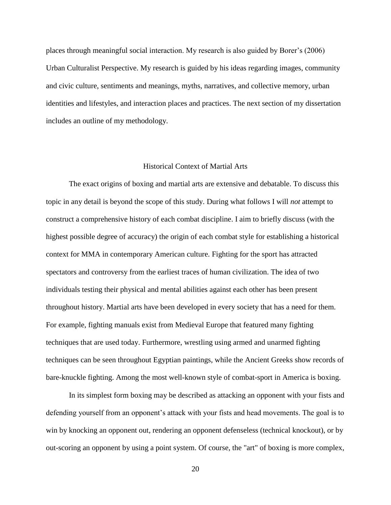places through meaningful social interaction. My research is also guided by Borer's (2006) Urban Culturalist Perspective. My research is guided by his ideas regarding images, community and civic culture, sentiments and meanings, myths, narratives, and collective memory, urban identities and lifestyles, and interaction places and practices. The next section of my dissertation includes an outline of my methodology.

# Historical Context of Martial Arts

The exact origins of boxing and martial arts are extensive and debatable. To discuss this topic in any detail is beyond the scope of this study. During what follows I will *not* attempt to construct a comprehensive history of each combat discipline. I aim to briefly discuss (with the highest possible degree of accuracy) the origin of each combat style for establishing a historical context for MMA in contemporary American culture. Fighting for the sport has attracted spectators and controversy from the earliest traces of human civilization. The idea of two individuals testing their physical and mental abilities against each other has been present throughout history. Martial arts have been developed in every society that has a need for them. For example, fighting manuals exist from Medieval Europe that featured many fighting techniques that are used today. Furthermore, wrestling using armed and unarmed fighting techniques can be seen throughout Egyptian paintings, while the Ancient Greeks show records of bare-knuckle fighting. Among the most well-known style of combat-sport in America is boxing.

In its simplest form boxing may be described as attacking an opponent with your fists and defending yourself from an opponent's attack with your fists and head movements. The goal is to win by knocking an opponent out, rendering an opponent defenseless (technical knockout), or by out-scoring an opponent by using a point system. Of course, the "art" of boxing is more complex,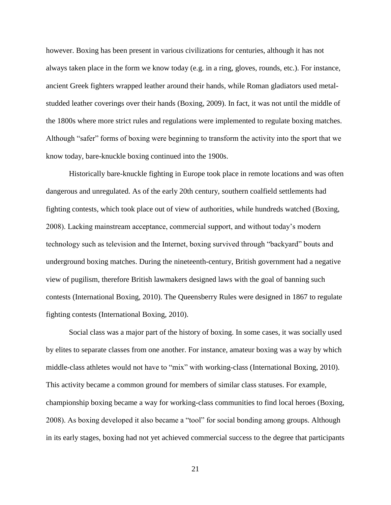however. Boxing has been present in various civilizations for centuries, although it has not always taken place in the form we know today (e.g. in a ring, gloves, rounds, etc.). For instance, ancient Greek fighters wrapped leather around their hands, while Roman gladiators used metalstudded leather coverings over their hands (Boxing, 2009). In fact, it was not until the middle of the 1800s where more strict rules and regulations were implemented to regulate boxing matches. Although "safer" forms of boxing were beginning to transform the activity into the sport that we know today, bare-knuckle boxing continued into the 1900s.

Historically bare-knuckle fighting in Europe took place in remote locations and was often dangerous and unregulated. As of the early 20th century, southern coalfield settlements had fighting contests, which took place out of view of authorities, while hundreds watched (Boxing, 2008). Lacking mainstream acceptance, commercial support, and without today's modern technology such as television and the Internet, boxing survived through "backyard" bouts and underground boxing matches. During the nineteenth-century, British government had a negative view of pugilism, therefore British lawmakers designed laws with the goal of banning such contests (International Boxing, 2010). The Queensberry Rules were designed in 1867 to regulate fighting contests (International Boxing, 2010).

Social class was a major part of the history of boxing. In some cases, it was socially used by elites to separate classes from one another. For instance, amateur boxing was a way by which middle-class athletes would not have to "mix" with working-class (International Boxing, 2010). This activity became a common ground for members of similar class statuses. For example, championship boxing became a way for working-class communities to find local heroes (Boxing, 2008). As boxing developed it also became a "tool" for social bonding among groups. Although in its early stages, boxing had not yet achieved commercial success to the degree that participants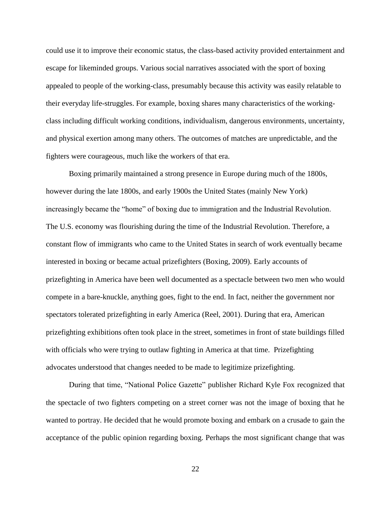could use it to improve their economic status, the class-based activity provided entertainment and escape for likeminded groups. Various social narratives associated with the sport of boxing appealed to people of the working-class, presumably because this activity was easily relatable to their everyday life-struggles. For example, boxing shares many characteristics of the workingclass including difficult working conditions, individualism, dangerous environments, uncertainty, and physical exertion among many others. The outcomes of matches are unpredictable, and the fighters were courageous, much like the workers of that era.

Boxing primarily maintained a strong presence in Europe during much of the 1800s, however during the late 1800s, and early 1900s the United States (mainly New York) increasingly became the "home" of boxing due to immigration and the Industrial Revolution. The U.S. economy was flourishing during the time of the Industrial Revolution. Therefore, a constant flow of immigrants who came to the United States in search of work eventually became interested in boxing or became actual prizefighters (Boxing, 2009). Early accounts of prizefighting in America have been well documented as a spectacle between two men who would compete in a bare-knuckle, anything goes, fight to the end. In fact, neither the government nor spectators tolerated prizefighting in early America (Reel, 2001). During that era, American prizefighting exhibitions often took place in the street, sometimes in front of state buildings filled with officials who were trying to outlaw fighting in America at that time. Prizefighting advocates understood that changes needed to be made to legitimize prizefighting.

During that time, "National Police Gazette" publisher Richard Kyle Fox recognized that the spectacle of two fighters competing on a street corner was not the image of boxing that he wanted to portray. He decided that he would promote boxing and embark on a crusade to gain the acceptance of the public opinion regarding boxing. Perhaps the most significant change that was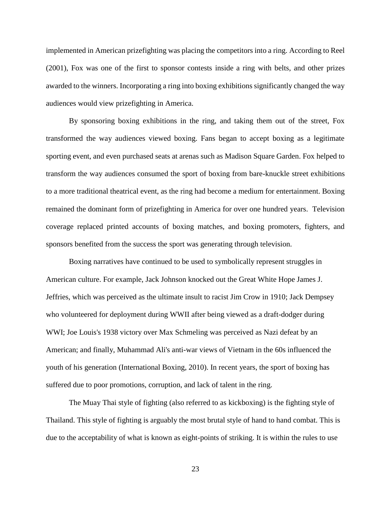implemented in American prizefighting was placing the competitors into a ring. According to Reel (2001), Fox was one of the first to sponsor contests inside a ring with belts, and other prizes awarded to the winners. Incorporating a ring into boxing exhibitions significantly changed the way audiences would view prizefighting in America.

By sponsoring boxing exhibitions in the ring, and taking them out of the street, Fox transformed the way audiences viewed boxing. Fans began to accept boxing as a legitimate sporting event, and even purchased seats at arenas such as Madison Square Garden. Fox helped to transform the way audiences consumed the sport of boxing from bare-knuckle street exhibitions to a more traditional theatrical event, as the ring had become a medium for entertainment. Boxing remained the dominant form of prizefighting in America for over one hundred years. Television coverage replaced printed accounts of boxing matches, and boxing promoters, fighters, and sponsors benefited from the success the sport was generating through television.

Boxing narratives have continued to be used to symbolically represent struggles in American culture. For example, Jack Johnson knocked out the Great White Hope James J. Jeffries, which was perceived as the ultimate insult to racist Jim Crow in 1910; Jack Dempsey who volunteered for deployment during WWII after being viewed as a draft-dodger during WWI; Joe Louis's 1938 victory over Max Schmeling was perceived as Nazi defeat by an American; and finally, Muhammad Ali's anti-war views of Vietnam in the 60s influenced the youth of his generation (International Boxing, 2010). In recent years, the sport of boxing has suffered due to poor promotions, corruption, and lack of talent in the ring.

The Muay Thai style of fighting (also referred to as kickboxing) is the fighting style of Thailand. This style of fighting is arguably the most brutal style of hand to hand combat. This is due to the acceptability of what is known as eight-points of striking. It is within the rules to use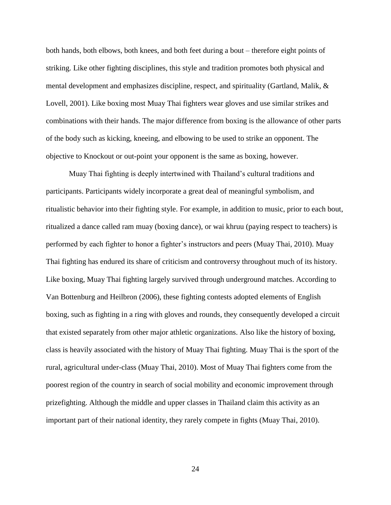both hands, both elbows, both knees, and both feet during a bout – therefore eight points of striking. Like other fighting disciplines, this style and tradition promotes both physical and mental development and emphasizes discipline, respect, and spirituality (Gartland, Malik, & Lovell, 2001). Like boxing most Muay Thai fighters wear gloves and use similar strikes and combinations with their hands. The major difference from boxing is the allowance of other parts of the body such as kicking, kneeing, and elbowing to be used to strike an opponent. The objective to Knockout or out-point your opponent is the same as boxing, however.

Muay Thai fighting is deeply intertwined with Thailand's cultural traditions and participants. Participants widely incorporate a great deal of meaningful symbolism, and ritualistic behavior into their fighting style. For example, in addition to music, prior to each bout, ritualized a dance called ram muay (boxing dance), or wai khruu (paying respect to teachers) is performed by each fighter to honor a fighter's instructors and peers (Muay Thai, 2010). Muay Thai fighting has endured its share of criticism and controversy throughout much of its history. Like boxing, Muay Thai fighting largely survived through underground matches. According to Van Bottenburg and Heilbron (2006), these fighting contests adopted elements of English boxing, such as fighting in a ring with gloves and rounds, they consequently developed a circuit that existed separately from other major athletic organizations. Also like the history of boxing, class is heavily associated with the history of Muay Thai fighting. Muay Thai is the sport of the rural, agricultural under-class (Muay Thai, 2010). Most of Muay Thai fighters come from the poorest region of the country in search of social mobility and economic improvement through prizefighting. Although the middle and upper classes in Thailand claim this activity as an important part of their national identity, they rarely compete in fights (Muay Thai, 2010).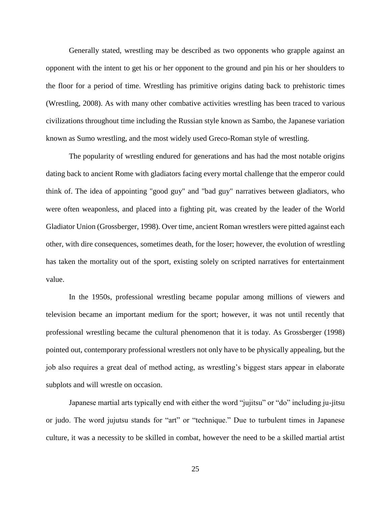Generally stated, wrestling may be described as two opponents who grapple against an opponent with the intent to get his or her opponent to the ground and pin his or her shoulders to the floor for a period of time. Wrestling has primitive origins dating back to prehistoric times (Wrestling, 2008). As with many other combative activities wrestling has been traced to various civilizations throughout time including the Russian style known as Sambo, the Japanese variation known as Sumo wrestling, and the most widely used Greco-Roman style of wrestling.

The popularity of wrestling endured for generations and has had the most notable origins dating back to ancient Rome with gladiators facing every mortal challenge that the emperor could think of. The idea of appointing "good guy" and "bad guy" narratives between gladiators, who were often weaponless, and placed into a fighting pit, was created by the leader of the World Gladiator Union (Grossberger, 1998). Over time, ancient Roman wrestlers were pitted against each other, with dire consequences, sometimes death, for the loser; however, the evolution of wrestling has taken the mortality out of the sport, existing solely on scripted narratives for entertainment value.

In the 1950s, professional wrestling became popular among millions of viewers and television became an important medium for the sport; however, it was not until recently that professional wrestling became the cultural phenomenon that it is today. As Grossberger (1998) pointed out, contemporary professional wrestlers not only have to be physically appealing, but the job also requires a great deal of method acting, as wrestling's biggest stars appear in elaborate subplots and will wrestle on occasion.

Japanese martial arts typically end with either the word "jujitsu" or "do" including ju-jitsu or judo. The word jujutsu stands for "art" or "technique." Due to turbulent times in Japanese culture, it was a necessity to be skilled in combat, however the need to be a skilled martial artist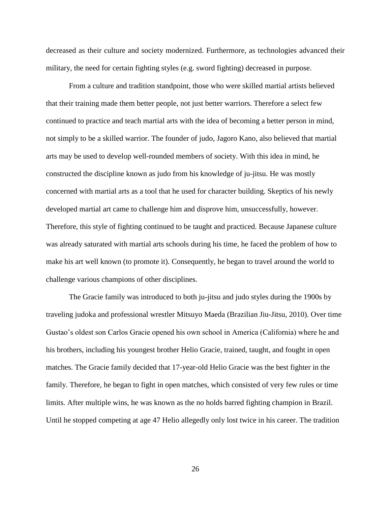decreased as their culture and society modernized. Furthermore, as technologies advanced their military, the need for certain fighting styles (e.g. sword fighting) decreased in purpose.

From a culture and tradition standpoint, those who were skilled martial artists believed that their training made them better people, not just better warriors. Therefore a select few continued to practice and teach martial arts with the idea of becoming a better person in mind, not simply to be a skilled warrior. The founder of judo, Jagoro Kano, also believed that martial arts may be used to develop well-rounded members of society. With this idea in mind, he constructed the discipline known as judo from his knowledge of ju-jitsu. He was mostly concerned with martial arts as a tool that he used for character building. Skeptics of his newly developed martial art came to challenge him and disprove him, unsuccessfully, however. Therefore, this style of fighting continued to be taught and practiced. Because Japanese culture was already saturated with martial arts schools during his time, he faced the problem of how to make his art well known (to promote it). Consequently, he began to travel around the world to challenge various champions of other disciplines.

The Gracie family was introduced to both ju-jitsu and judo styles during the 1900s by traveling judoka and professional wrestler Mitsuyo Maeda (Brazilian Jiu-Jitsu, 2010). Over time Gustao's oldest son Carlos Gracie opened his own school in America (California) where he and his brothers, including his youngest brother Helio Gracie, trained, taught, and fought in open matches. The Gracie family decided that 17-year-old Helio Gracie was the best fighter in the family. Therefore, he began to fight in open matches, which consisted of very few rules or time limits. After multiple wins, he was known as the no holds barred fighting champion in Brazil. Until he stopped competing at age 47 Helio allegedly only lost twice in his career. The tradition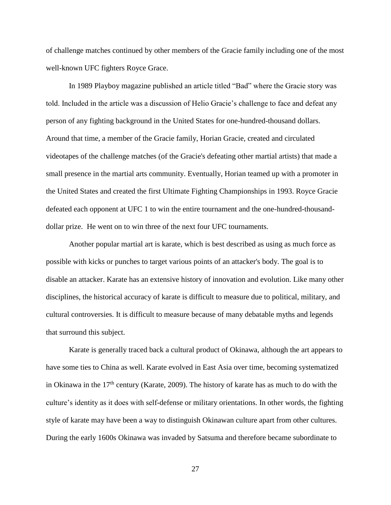of challenge matches continued by other members of the Gracie family including one of the most well-known UFC fighters Royce Grace.

In 1989 Playboy magazine published an article titled "Bad" where the Gracie story was told. Included in the article was a discussion of Helio Gracie's challenge to face and defeat any person of any fighting background in the United States for one-hundred-thousand dollars. Around that time, a member of the Gracie family, Horian Gracie, created and circulated videotapes of the challenge matches (of the Gracie's defeating other martial artists) that made a small presence in the martial arts community. Eventually, Horian teamed up with a promoter in the United States and created the first Ultimate Fighting Championships in 1993. Royce Gracie defeated each opponent at UFC 1 to win the entire tournament and the one-hundred-thousanddollar prize. He went on to win three of the next four UFC tournaments.

Another popular martial art is karate, which is best described as using as much force as possible with kicks or punches to target various points of an attacker's body. The goal is to disable an attacker. Karate has an extensive history of innovation and evolution. Like many other disciplines, the historical accuracy of karate is difficult to measure due to political, military, and cultural controversies. It is difficult to measure because of many debatable myths and legends that surround this subject.

Karate is generally traced back a cultural product of Okinawa, although the art appears to have some ties to China as well. Karate evolved in East Asia over time, becoming systematized in Okinawa in the  $17<sup>th</sup>$  century (Karate, 2009). The history of karate has as much to do with the culture's identity as it does with self-defense or military orientations. In other words, the fighting style of karate may have been a way to distinguish Okinawan culture apart from other cultures. During the early 1600s Okinawa was invaded by Satsuma and therefore became subordinate to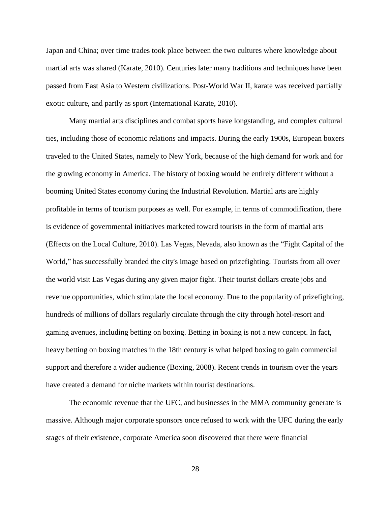Japan and China; over time trades took place between the two cultures where knowledge about martial arts was shared (Karate, 2010). Centuries later many traditions and techniques have been passed from East Asia to Western civilizations. Post-World War II, karate was received partially exotic culture, and partly as sport (International Karate, 2010).

Many martial arts disciplines and combat sports have longstanding, and complex cultural ties, including those of economic relations and impacts. During the early 1900s, European boxers traveled to the United States, namely to New York, because of the high demand for work and for the growing economy in America. The history of boxing would be entirely different without a booming United States economy during the Industrial Revolution. Martial arts are highly profitable in terms of tourism purposes as well. For example, in terms of commodification, there is evidence of governmental initiatives marketed toward tourists in the form of martial arts (Effects on the Local Culture, 2010). Las Vegas, Nevada, also known as the "Fight Capital of the World," has successfully branded the city's image based on prizefighting. Tourists from all over the world visit Las Vegas during any given major fight. Their tourist dollars create jobs and revenue opportunities, which stimulate the local economy. Due to the popularity of prizefighting, hundreds of millions of dollars regularly circulate through the city through hotel-resort and gaming avenues, including betting on boxing. Betting in boxing is not a new concept. In fact, heavy betting on boxing matches in the 18th century is what helped boxing to gain commercial support and therefore a wider audience (Boxing, 2008). Recent trends in tourism over the years have created a demand for niche markets within tourist destinations.

The economic revenue that the UFC, and businesses in the MMA community generate is massive. Although major corporate sponsors once refused to work with the UFC during the early stages of their existence, corporate America soon discovered that there were financial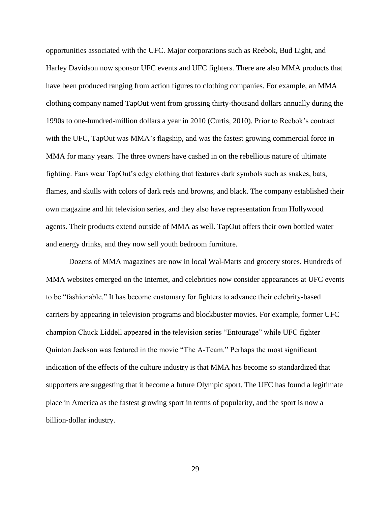opportunities associated with the UFC. Major corporations such as Reebok, Bud Light, and Harley Davidson now sponsor UFC events and UFC fighters. There are also MMA products that have been produced ranging from action figures to clothing companies. For example, an MMA clothing company named TapOut went from grossing thirty-thousand dollars annually during the 1990s to one-hundred-million dollars a year in 2010 (Curtis, 2010). Prior to Reebok's contract with the UFC, TapOut was MMA's flagship, and was the fastest growing commercial force in MMA for many years. The three owners have cashed in on the rebellious nature of ultimate fighting. Fans wear TapOut's edgy clothing that features dark symbols such as snakes, bats, flames, and skulls with colors of dark reds and browns, and black. The company established their own magazine and hit television series, and they also have representation from Hollywood agents. Their products extend outside of MMA as well. TapOut offers their own bottled water and energy drinks, and they now sell youth bedroom furniture.

Dozens of MMA magazines are now in local Wal-Marts and grocery stores. Hundreds of MMA websites emerged on the Internet, and celebrities now consider appearances at UFC events to be "fashionable." It has become customary for fighters to advance their celebrity-based carriers by appearing in television programs and blockbuster movies. For example, former UFC champion Chuck Liddell appeared in the television series "Entourage" while UFC fighter Quinton Jackson was featured in the movie "The A-Team." Perhaps the most significant indication of the effects of the culture industry is that MMA has become so standardized that supporters are suggesting that it become a future Olympic sport. The UFC has found a legitimate place in America as the fastest growing sport in terms of popularity, and the sport is now a billion-dollar industry.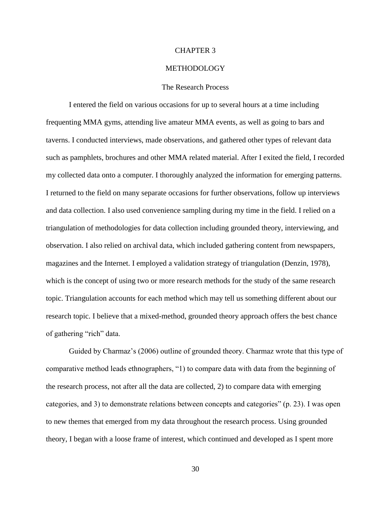## CHAPTER 3

## **METHODOLOGY**

## The Research Process

I entered the field on various occasions for up to several hours at a time including frequenting MMA gyms, attending live amateur MMA events, as well as going to bars and taverns. I conducted interviews, made observations, and gathered other types of relevant data such as pamphlets, brochures and other MMA related material. After I exited the field, I recorded my collected data onto a computer. I thoroughly analyzed the information for emerging patterns. I returned to the field on many separate occasions for further observations, follow up interviews and data collection. I also used convenience sampling during my time in the field. I relied on a triangulation of methodologies for data collection including grounded theory, interviewing, and observation. I also relied on archival data, which included gathering content from newspapers, magazines and the Internet. I employed a validation strategy of triangulation (Denzin, 1978), which is the concept of using two or more research methods for the study of the same research topic. Triangulation accounts for each method which may tell us something different about our research topic. I believe that a mixed-method, grounded theory approach offers the best chance of gathering "rich" data.

Guided by Charmaz's (2006) outline of grounded theory. Charmaz wrote that this type of comparative method leads ethnographers, "1) to compare data with data from the beginning of the research process, not after all the data are collected, 2) to compare data with emerging categories, and 3) to demonstrate relations between concepts and categories" (p. 23). I was open to new themes that emerged from my data throughout the research process. Using grounded theory, I began with a loose frame of interest, which continued and developed as I spent more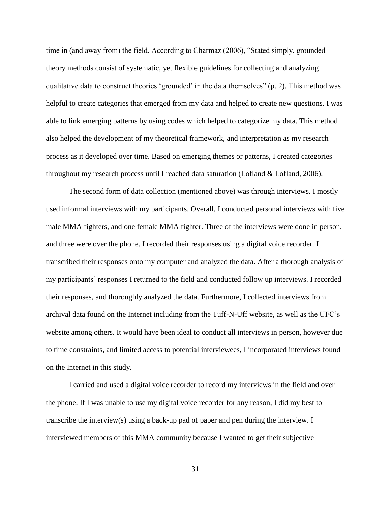time in (and away from) the field. According to Charmaz (2006), "Stated simply, grounded theory methods consist of systematic, yet flexible guidelines for collecting and analyzing qualitative data to construct theories 'grounded' in the data themselves" (p. 2). This method was helpful to create categories that emerged from my data and helped to create new questions. I was able to link emerging patterns by using codes which helped to categorize my data. This method also helped the development of my theoretical framework, and interpretation as my research process as it developed over time. Based on emerging themes or patterns, I created categories throughout my research process until I reached data saturation (Lofland & Lofland, 2006).

The second form of data collection (mentioned above) was through interviews. I mostly used informal interviews with my participants. Overall, I conducted personal interviews with five male MMA fighters, and one female MMA fighter. Three of the interviews were done in person, and three were over the phone. I recorded their responses using a digital voice recorder. I transcribed their responses onto my computer and analyzed the data. After a thorough analysis of my participants' responses I returned to the field and conducted follow up interviews. I recorded their responses, and thoroughly analyzed the data. Furthermore, I collected interviews from archival data found on the Internet including from the Tuff-N-Uff website, as well as the UFC's website among others. It would have been ideal to conduct all interviews in person, however due to time constraints, and limited access to potential interviewees, I incorporated interviews found on the Internet in this study.

I carried and used a digital voice recorder to record my interviews in the field and over the phone. If I was unable to use my digital voice recorder for any reason, I did my best to transcribe the interview(s) using a back-up pad of paper and pen during the interview. I interviewed members of this MMA community because I wanted to get their subjective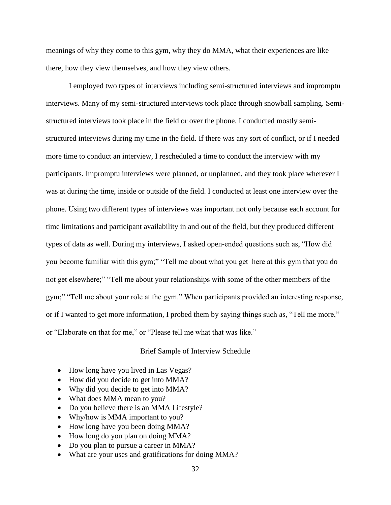meanings of why they come to this gym, why they do MMA, what their experiences are like there, how they view themselves, and how they view others.

I employed two types of interviews including semi-structured interviews and impromptu interviews. Many of my semi-structured interviews took place through snowball sampling. Semistructured interviews took place in the field or over the phone. I conducted mostly semistructured interviews during my time in the field. If there was any sort of conflict, or if I needed more time to conduct an interview, I rescheduled a time to conduct the interview with my participants. Impromptu interviews were planned, or unplanned, and they took place wherever I was at during the time, inside or outside of the field. I conducted at least one interview over the phone. Using two different types of interviews was important not only because each account for time limitations and participant availability in and out of the field, but they produced different types of data as well. During my interviews, I asked open-ended questions such as, "How did you become familiar with this gym;" "Tell me about what you get here at this gym that you do not get elsewhere;" "Tell me about your relationships with some of the other members of the gym;" "Tell me about your role at the gym." When participants provided an interesting response, or if I wanted to get more information, I probed them by saying things such as, "Tell me more," or "Elaborate on that for me," or "Please tell me what that was like."

Brief Sample of Interview Schedule

- How long have you lived in Las Vegas?
- How did you decide to get into MMA?
- Why did you decide to get into MMA?
- What does MMA mean to you?
- Do you believe there is an MMA Lifestyle?
- Why/how is MMA important to you?
- How long have you been doing MMA?
- How long do you plan on doing MMA?
- Do you plan to pursue a career in MMA?
- What are your uses and gratifications for doing MMA?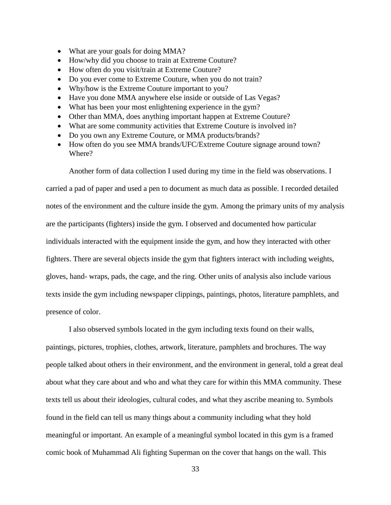- What are your goals for doing MMA?
- How/why did you choose to train at Extreme Couture?
- How often do you visit/train at Extreme Couture?
- Do you ever come to Extreme Couture, when you do not train?
- Why/how is the Extreme Couture important to you?
- Have you done MMA anywhere else inside or outside of Las Vegas?
- What has been your most enlightening experience in the gym?
- Other than MMA, does anything important happen at Extreme Couture?
- What are some community activities that Extreme Couture is involved in?
- Do you own any Extreme Couture, or MMA products/brands?
- How often do you see MMA brands/UFC/Extreme Couture signage around town? Where?

Another form of data collection I used during my time in the field was observations. I

carried a pad of paper and used a pen to document as much data as possible. I recorded detailed notes of the environment and the culture inside the gym. Among the primary units of my analysis are the participants (fighters) inside the gym. I observed and documented how particular individuals interacted with the equipment inside the gym, and how they interacted with other fighters. There are several objects inside the gym that fighters interact with including weights, gloves, hand- wraps, pads, the cage, and the ring. Other units of analysis also include various texts inside the gym including newspaper clippings, paintings, photos, literature pamphlets, and presence of color.

I also observed symbols located in the gym including texts found on their walls, paintings, pictures, trophies, clothes, artwork, literature, pamphlets and brochures. The way people talked about others in their environment, and the environment in general, told a great deal about what they care about and who and what they care for within this MMA community. These texts tell us about their ideologies, cultural codes, and what they ascribe meaning to. Symbols found in the field can tell us many things about a community including what they hold meaningful or important. An example of a meaningful symbol located in this gym is a framed comic book of Muhammad Ali fighting Superman on the cover that hangs on the wall. This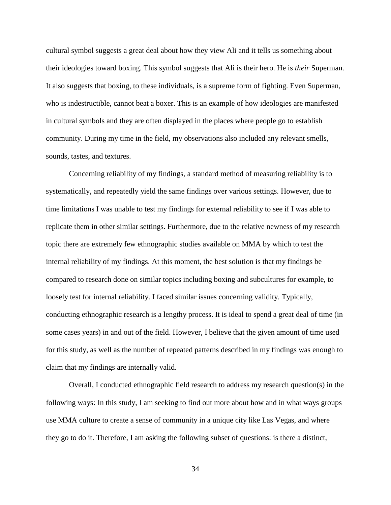cultural symbol suggests a great deal about how they view Ali and it tells us something about their ideologies toward boxing. This symbol suggests that Ali is their hero. He is *their* Superman. It also suggests that boxing, to these individuals, is a supreme form of fighting. Even Superman, who is indestructible, cannot beat a boxer. This is an example of how ideologies are manifested in cultural symbols and they are often displayed in the places where people go to establish community. During my time in the field, my observations also included any relevant smells, sounds, tastes, and textures.

Concerning reliability of my findings, a standard method of measuring reliability is to systematically, and repeatedly yield the same findings over various settings. However, due to time limitations I was unable to test my findings for external reliability to see if I was able to replicate them in other similar settings. Furthermore, due to the relative newness of my research topic there are extremely few ethnographic studies available on MMA by which to test the internal reliability of my findings. At this moment, the best solution is that my findings be compared to research done on similar topics including boxing and subcultures for example, to loosely test for internal reliability. I faced similar issues concerning validity. Typically, conducting ethnographic research is a lengthy process. It is ideal to spend a great deal of time (in some cases years) in and out of the field. However, I believe that the given amount of time used for this study, as well as the number of repeated patterns described in my findings was enough to claim that my findings are internally valid.

Overall, I conducted ethnographic field research to address my research question(s) in the following ways: In this study, I am seeking to find out more about how and in what ways groups use MMA culture to create a sense of community in a unique city like Las Vegas, and where they go to do it. Therefore, I am asking the following subset of questions: is there a distinct,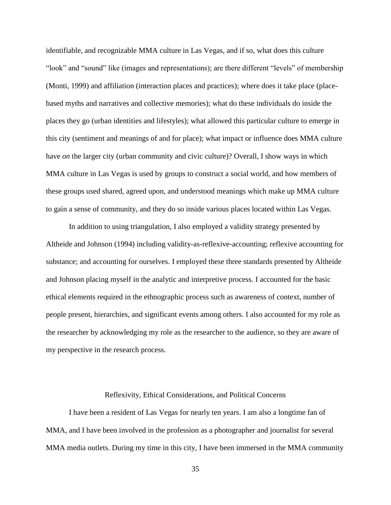identifiable, and recognizable MMA culture in Las Vegas, and if so, what does this culture "look" and "sound" like (images and representations); are there different "levels" of membership (Monti, 1999) and affiliation (interaction places and practices); where does it take place (placebased myths and narratives and collective memories); what do these individuals do inside the places they go (urban identities and lifestyles); what allowed this particular culture to emerge in this city (sentiment and meanings of and for place); what impact or influence does MMA culture have *on* the larger city (urban community and civic culture)? Overall, I show ways in which MMA culture in Las Vegas is used by groups to construct a social world, and how members of these groups used shared, agreed upon, and understood meanings which make up MMA culture to gain a sense of community, and they do so inside various places located within Las Vegas.

In addition to using triangulation, I also employed a validity strategy presented by Altheide and Johnson (1994) including validity-as-reflexive-accounting; reflexive accounting for substance; and accounting for ourselves. I employed these three standards presented by Altheide and Johnson placing myself in the analytic and interpretive process. I accounted for the basic ethical elements required in the ethnographic process such as awareness of context, number of people present, hierarchies, and significant events among others. I also accounted for my role as the researcher by acknowledging my role as the researcher to the audience, so they are aware of my perspective in the research process.

## Reflexivity, Ethical Considerations, and Political Concerns

I have been a resident of Las Vegas for nearly ten years. I am also a longtime fan of MMA, and I have been involved in the profession as a photographer and journalist for several MMA media outlets. During my time in this city, I have been immersed in the MMA community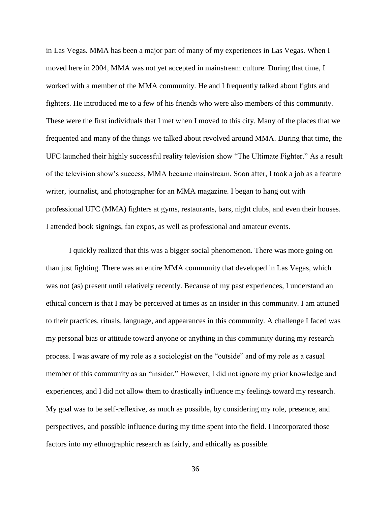in Las Vegas. MMA has been a major part of many of my experiences in Las Vegas. When I moved here in 2004, MMA was not yet accepted in mainstream culture. During that time, I worked with a member of the MMA community. He and I frequently talked about fights and fighters. He introduced me to a few of his friends who were also members of this community. These were the first individuals that I met when I moved to this city. Many of the places that we frequented and many of the things we talked about revolved around MMA. During that time, the UFC launched their highly successful reality television show "The Ultimate Fighter." As a result of the television show's success, MMA became mainstream. Soon after, I took a job as a feature writer, journalist, and photographer for an MMA magazine. I began to hang out with professional UFC (MMA) fighters at gyms, restaurants, bars, night clubs, and even their houses. I attended book signings, fan expos, as well as professional and amateur events.

I quickly realized that this was a bigger social phenomenon. There was more going on than just fighting. There was an entire MMA community that developed in Las Vegas, which was not (as) present until relatively recently. Because of my past experiences, I understand an ethical concern is that I may be perceived at times as an insider in this community. I am attuned to their practices, rituals, language, and appearances in this community. A challenge I faced was my personal bias or attitude toward anyone or anything in this community during my research process. I was aware of my role as a sociologist on the "outside" and of my role as a casual member of this community as an "insider." However, I did not ignore my prior knowledge and experiences, and I did not allow them to drastically influence my feelings toward my research. My goal was to be self-reflexive, as much as possible, by considering my role, presence, and perspectives, and possible influence during my time spent into the field. I incorporated those factors into my ethnographic research as fairly, and ethically as possible.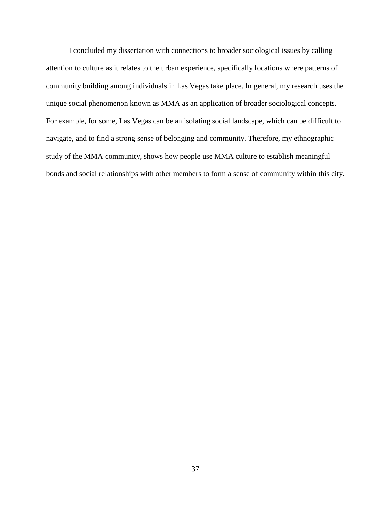I concluded my dissertation with connections to broader sociological issues by calling attention to culture as it relates to the urban experience, specifically locations where patterns of community building among individuals in Las Vegas take place. In general, my research uses the unique social phenomenon known as MMA as an application of broader sociological concepts. For example, for some, Las Vegas can be an isolating social landscape, which can be difficult to navigate, and to find a strong sense of belonging and community. Therefore, my ethnographic study of the MMA community, shows how people use MMA culture to establish meaningful bonds and social relationships with other members to form a sense of community within this city.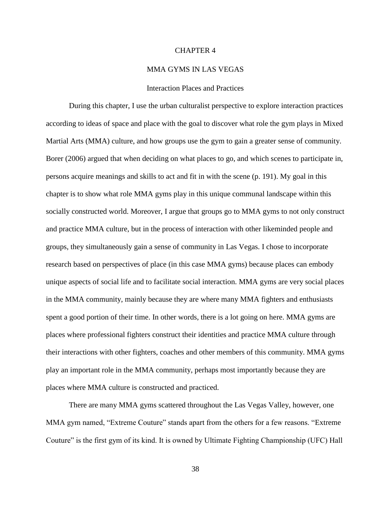## CHAPTER 4

## MMA GYMS IN LAS VEGAS

# Interaction Places and Practices

During this chapter, I use the urban culturalist perspective to explore interaction practices according to ideas of space and place with the goal to discover what role the gym plays in Mixed Martial Arts (MMA) culture, and how groups use the gym to gain a greater sense of community. Borer (2006) argued that when deciding on what places to go, and which scenes to participate in, persons acquire meanings and skills to act and fit in with the scene (p. 191). My goal in this chapter is to show what role MMA gyms play in this unique communal landscape within this socially constructed world. Moreover, I argue that groups go to MMA gyms to not only construct and practice MMA culture, but in the process of interaction with other likeminded people and groups, they simultaneously gain a sense of community in Las Vegas. I chose to incorporate research based on perspectives of place (in this case MMA gyms) because places can embody unique aspects of social life and to facilitate social interaction. MMA gyms are very social places in the MMA community, mainly because they are where many MMA fighters and enthusiasts spent a good portion of their time. In other words, there is a lot going on here. MMA gyms are places where professional fighters construct their identities and practice MMA culture through their interactions with other fighters, coaches and other members of this community. MMA gyms play an important role in the MMA community, perhaps most importantly because they are places where MMA culture is constructed and practiced.

There are many MMA gyms scattered throughout the Las Vegas Valley, however, one MMA gym named, "Extreme Couture" stands apart from the others for a few reasons. "Extreme Couture" is the first gym of its kind. It is owned by Ultimate Fighting Championship (UFC) Hall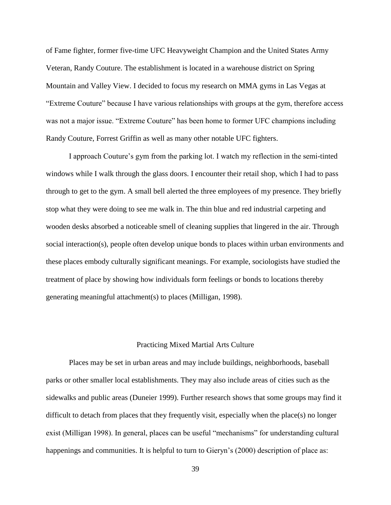of Fame fighter, former five-time UFC Heavyweight Champion and the United States Army Veteran, Randy Couture. The establishment is located in a warehouse district on Spring Mountain and Valley View. I decided to focus my research on MMA gyms in Las Vegas at "Extreme Couture" because I have various relationships with groups at the gym, therefore access was not a major issue. "Extreme Couture" has been home to former UFC champions including Randy Couture, Forrest Griffin as well as many other notable UFC fighters.

I approach Couture's gym from the parking lot. I watch my reflection in the semi-tinted windows while I walk through the glass doors. I encounter their retail shop, which I had to pass through to get to the gym. A small bell alerted the three employees of my presence. They briefly stop what they were doing to see me walk in. The thin blue and red industrial carpeting and wooden desks absorbed a noticeable smell of cleaning supplies that lingered in the air. Through social interaction(s), people often develop unique bonds to places within urban environments and these places embody culturally significant meanings. For example, sociologists have studied the treatment of place by showing how individuals form feelings or bonds to locations thereby generating meaningful attachment(s) to places (Milligan, 1998).

# Practicing Mixed Martial Arts Culture

Places may be set in urban areas and may include buildings, neighborhoods, baseball parks or other smaller local establishments. They may also include areas of cities such as the sidewalks and public areas (Duneier 1999). Further research shows that some groups may find it difficult to detach from places that they frequently visit, especially when the place(s) no longer exist (Milligan 1998). In general, places can be useful "mechanisms" for understanding cultural happenings and communities. It is helpful to turn to Gieryn's (2000) description of place as: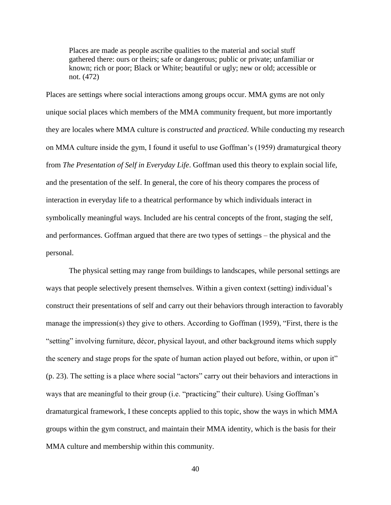Places are made as people ascribe qualities to the material and social stuff gathered there: ours or theirs; safe or dangerous; public or private; unfamiliar or known; rich or poor; Black or White; beautiful or ugly; new or old; accessible or not. (472)

Places are settings where social interactions among groups occur. MMA gyms are not only unique social places which members of the MMA community frequent, but more importantly they are locales where MMA culture is *constructed* and *practiced*. While conducting my research on MMA culture inside the gym, I found it useful to use Goffman's (1959) dramaturgical theory from *The Presentation of Self in Everyday Life*. Goffman used this theory to explain social life, and the presentation of the self. In general, the core of his theory compares the process of interaction in everyday life to a theatrical performance by which individuals interact in symbolically meaningful ways. Included are his central concepts of the front, staging the self, and performances. Goffman argued that there are two types of settings – the physical and the personal.

The physical setting may range from buildings to landscapes, while personal settings are ways that people selectively present themselves. Within a given context (setting) individual's construct their presentations of self and carry out their behaviors through interaction to favorably manage the impression(s) they give to others. According to Goffman (1959), "First, there is the "setting" involving furniture, décor, physical layout, and other background items which supply the scenery and stage props for the spate of human action played out before, within, or upon it" (p. 23). The setting is a place where social "actors" carry out their behaviors and interactions in ways that are meaningful to their group (i.e. "practicing" their culture). Using Goffman's dramaturgical framework, I these concepts applied to this topic, show the ways in which MMA groups within the gym construct, and maintain their MMA identity, which is the basis for their MMA culture and membership within this community.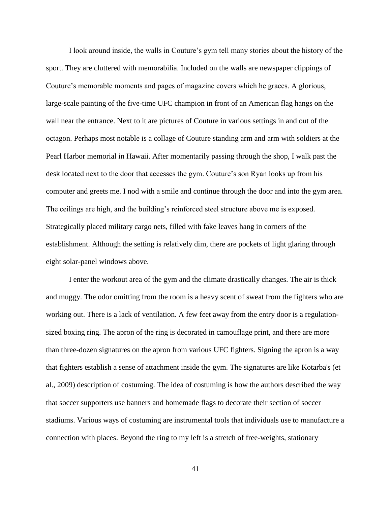I look around inside, the walls in Couture's gym tell many stories about the history of the sport. They are cluttered with memorabilia. Included on the walls are newspaper clippings of Couture's memorable moments and pages of magazine covers which he graces. A glorious, large-scale painting of the five-time UFC champion in front of an American flag hangs on the wall near the entrance. Next to it are pictures of Couture in various settings in and out of the octagon. Perhaps most notable is a collage of Couture standing arm and arm with soldiers at the Pearl Harbor memorial in Hawaii. After momentarily passing through the shop, I walk past the desk located next to the door that accesses the gym. Couture's son Ryan looks up from his computer and greets me. I nod with a smile and continue through the door and into the gym area. The ceilings are high, and the building's reinforced steel structure above me is exposed. Strategically placed military cargo nets, filled with fake leaves hang in corners of the establishment. Although the setting is relatively dim, there are pockets of light glaring through eight solar-panel windows above.

I enter the workout area of the gym and the climate drastically changes. The air is thick and muggy. The odor omitting from the room is a heavy scent of sweat from the fighters who are working out. There is a lack of ventilation. A few feet away from the entry door is a regulationsized boxing ring. The apron of the ring is decorated in camouflage print, and there are more than three-dozen signatures on the apron from various UFC fighters. Signing the apron is a way that fighters establish a sense of attachment inside the gym. The signatures are like Kotarba's (et al., 2009) description of costuming. The idea of costuming is how the authors described the way that soccer supporters use banners and homemade flags to decorate their section of soccer stadiums. Various ways of costuming are instrumental tools that individuals use to manufacture a connection with places. Beyond the ring to my left is a stretch of free-weights, stationary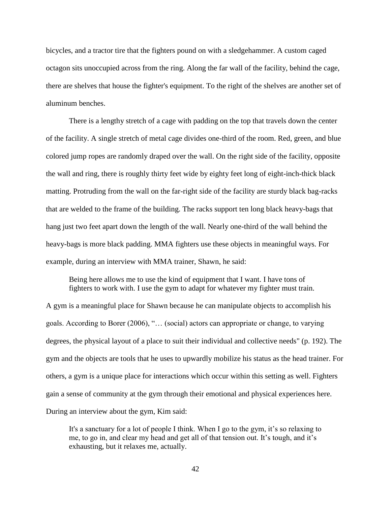bicycles, and a tractor tire that the fighters pound on with a sledgehammer. A custom caged octagon sits unoccupied across from the ring. Along the far wall of the facility, behind the cage, there are shelves that house the fighter's equipment. To the right of the shelves are another set of aluminum benches.

There is a lengthy stretch of a cage with padding on the top that travels down the center of the facility. A single stretch of metal cage divides one-third of the room. Red, green, and blue colored jump ropes are randomly draped over the wall. On the right side of the facility, opposite the wall and ring, there is roughly thirty feet wide by eighty feet long of eight-inch-thick black matting. Protruding from the wall on the far-right side of the facility are sturdy black bag-racks that are welded to the frame of the building. The racks support ten long black heavy-bags that hang just two feet apart down the length of the wall. Nearly one-third of the wall behind the heavy-bags is more black padding. MMA fighters use these objects in meaningful ways. For example, during an interview with MMA trainer, Shawn, he said:

Being here allows me to use the kind of equipment that I want. I have tons of fighters to work with. I use the gym to adapt for whatever my fighter must train.

A gym is a meaningful place for Shawn because he can manipulate objects to accomplish his goals. According to Borer (2006), "… (social) actors can appropriate or change, to varying degrees, the physical layout of a place to suit their individual and collective needs" (p. 192). The gym and the objects are tools that he uses to upwardly mobilize his status as the head trainer. For others, a gym is a unique place for interactions which occur within this setting as well. Fighters gain a sense of community at the gym through their emotional and physical experiences here. During an interview about the gym, Kim said:

It's a sanctuary for a lot of people I think. When I go to the gym, it's so relaxing to me, to go in, and clear my head and get all of that tension out. It's tough, and it's exhausting, but it relaxes me, actually.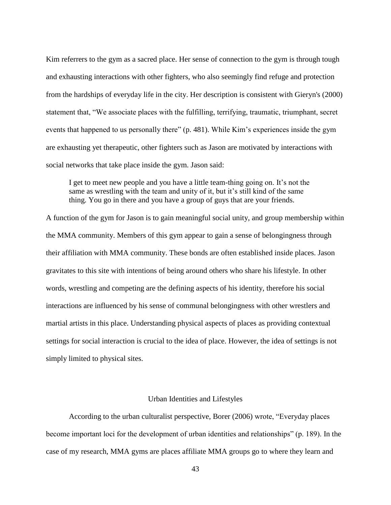Kim referrers to the gym as a sacred place. Her sense of connection to the gym is through tough and exhausting interactions with other fighters, who also seemingly find refuge and protection from the hardships of everyday life in the city. Her description is consistent with Gieryn's (2000) statement that, "We associate places with the fulfilling, terrifying, traumatic, triumphant, secret events that happened to us personally there" (p. 481). While Kim's experiences inside the gym are exhausting yet therapeutic, other fighters such as Jason are motivated by interactions with social networks that take place inside the gym. Jason said:

I get to meet new people and you have a little team-thing going on. It's not the same as wrestling with the team and unity of it, but it's still kind of the same thing. You go in there and you have a group of guys that are your friends.

A function of the gym for Jason is to gain meaningful social unity, and group membership within the MMA community. Members of this gym appear to gain a sense of belongingness through their affiliation with MMA community. These bonds are often established inside places. Jason gravitates to this site with intentions of being around others who share his lifestyle. In other words, wrestling and competing are the defining aspects of his identity, therefore his social interactions are influenced by his sense of communal belongingness with other wrestlers and martial artists in this place. Understanding physical aspects of places as providing contextual settings for social interaction is crucial to the idea of place. However, the idea of settings is not simply limited to physical sites.

#### Urban Identities and Lifestyles

According to the urban culturalist perspective, Borer (2006) wrote, "Everyday places become important loci for the development of urban identities and relationships" (p. 189). In the case of my research, MMA gyms are places affiliate MMA groups go to where they learn and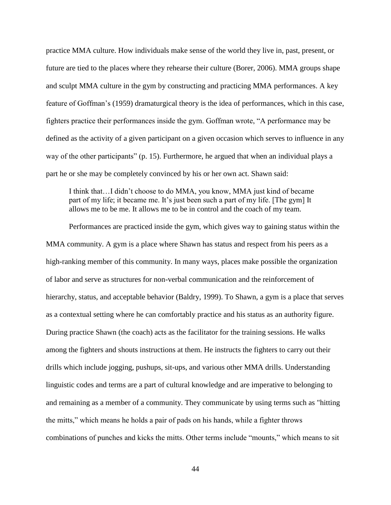practice MMA culture. How individuals make sense of the world they live in, past, present, or future are tied to the places where they rehearse their culture (Borer, 2006). MMA groups shape and sculpt MMA culture in the gym by constructing and practicing MMA performances. A key feature of Goffman's (1959) dramaturgical theory is the idea of performances, which in this case, fighters practice their performances inside the gym. Goffman wrote, "A performance may be defined as the activity of a given participant on a given occasion which serves to influence in any way of the other participants" (p. 15). Furthermore, he argued that when an individual plays a part he or she may be completely convinced by his or her own act. Shawn said:

I think that…I didn't choose to do MMA, you know, MMA just kind of became part of my life; it became me. It's just been such a part of my life. [The gym] It allows me to be me. It allows me to be in control and the coach of my team.

Performances are practiced inside the gym, which gives way to gaining status within the MMA community. A gym is a place where Shawn has status and respect from his peers as a high-ranking member of this community. In many ways, places make possible the organization of labor and serve as structures for non-verbal communication and the reinforcement of hierarchy, status, and acceptable behavior (Baldry, 1999). To Shawn, a gym is a place that serves as a contextual setting where he can comfortably practice and his status as an authority figure. During practice Shawn (the coach) acts as the facilitator for the training sessions. He walks among the fighters and shouts instructions at them. He instructs the fighters to carry out their drills which include jogging, pushups, sit-ups, and various other MMA drills. Understanding linguistic codes and terms are a part of cultural knowledge and are imperative to belonging to and remaining as a member of a community. They communicate by using terms such as "hitting the mitts," which means he holds a pair of pads on his hands, while a fighter throws combinations of punches and kicks the mitts. Other terms include "mounts," which means to sit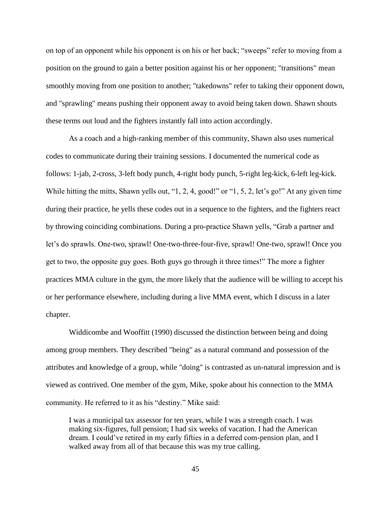on top of an opponent while his opponent is on his or her back; "sweeps" refer to moving from a position on the ground to gain a better position against his or her opponent; "transitions" mean smoothly moving from one position to another; "takedowns" refer to taking their opponent down, and "sprawling" means pushing their opponent away to avoid being taken down. Shawn shouts these terms out loud and the fighters instantly fall into action accordingly.

As a coach and a high-ranking member of this community, Shawn also uses numerical codes to communicate during their training sessions. I documented the numerical code as follows: 1-jab, 2-cross, 3-left body punch, 4-right body punch, 5-right leg-kick, 6-left leg-kick. While hitting the mitts, Shawn yells out, "1, 2, 4, good!" or "1, 5, 2, let's go!" At any given time during their practice, he yells these codes out in a sequence to the fighters, and the fighters react by throwing coinciding combinations. During a pro-practice Shawn yells, "Grab a partner and let's do sprawls. One-two, sprawl! One-two-three-four-five, sprawl! One-two, sprawl! Once you get to two, the opposite guy goes. Both guys go through it three times!" The more a fighter practices MMA culture in the gym, the more likely that the audience will be willing to accept his or her performance elsewhere, including during a live MMA event, which I discuss in a later chapter.

Widdicombe and Wooffitt (1990) discussed the distinction between being and doing among group members. They described "being" as a natural command and possession of the attributes and knowledge of a group, while "doing" is contrasted as un-natural impression and is viewed as contrived. One member of the gym, Mike, spoke about his connection to the MMA community. He referred to it as his "destiny." Mike said:

I was a municipal tax assessor for ten years, while I was a strength coach. I was making six-figures, full pension; I had six weeks of vacation. I had the American dream. I could've retired in my early fifties in a deferred com-pension plan, and I walked away from all of that because this was my true calling.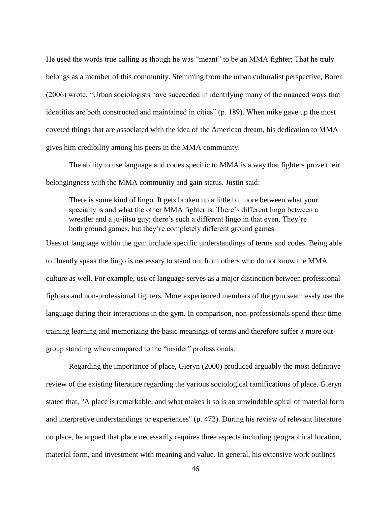He used the words true calling as though he was "meant" to be an MMA fighter; That he truly belongs as a member of this community. Stemming from the urban culturalist perspective, Borer (2006) wrote, "Urban sociologists have succeeded in identifying many of the nuanced ways that identities are both constructed and maintained in cities" (p. 189). When mike gave up the most coveted things that are associated with the idea of the American dream, his dedication to MMA gives him credibility among his peers in the MMA community.

The ability to use language and codes specific to MMA is a way that fighters prove their belongingness with the MMA community and gain status. Justin said:

There is some kind of lingo. It gets broken up a little bit more between what your specialty is and what the other MMA fighter is. There's different lingo between a wrestler and a ju-jitsu guy; there's such a different lingo in that even. They're both ground games, but they're completely different ground games

Uses of language within the gym include specific understandings of terms and codes. Being able to fluently speak the lingo is necessary to stand out from others who do not know the MMA culture as well. For example, use of language serves as a major distinction between professional fighters and non-professional fighters. More experienced members of the gym seamlessly use the language during their interactions in the gym. In comparison, non-professionals spend their time training learning and memorizing the basic meanings of terms and therefore suffer a more outgroup standing when compared to the "insider" professionals.

Regarding the importance of place, Gieryn (2000) produced arguably the most definitive review of the existing literature regarding the various sociological ramifications of place. Gieryn stated that, "A place is remarkable, and what makes it so is an unwindable spiral of material form and interpretive understandings or experiences" (p. 472). During his review of relevant literature on place, he argued that place necessarily requires three aspects including geographical location, material form, and investment with meaning and value. In general, his extensive work outlines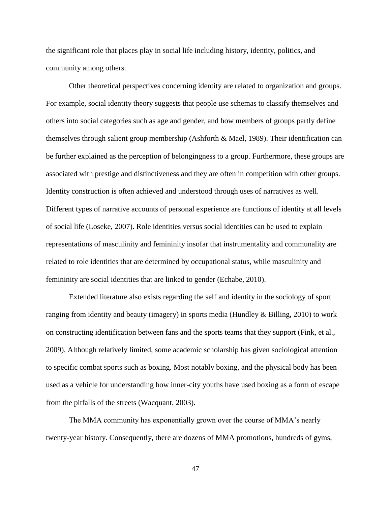the significant role that places play in social life including history, identity, politics, and community among others.

Other theoretical perspectives concerning identity are related to organization and groups. For example, social identity theory suggests that people use schemas to classify themselves and others into social categories such as age and gender, and how members of groups partly define themselves through salient group membership (Ashforth & Mael, 1989). Their identification can be further explained as the perception of belongingness to a group. Furthermore, these groups are associated with prestige and distinctiveness and they are often in competition with other groups. Identity construction is often achieved and understood through uses of narratives as well. Different types of narrative accounts of personal experience are functions of identity at all levels of social life (Loseke, 2007). Role identities versus social identities can be used to explain representations of masculinity and femininity insofar that instrumentality and communality are related to role identities that are determined by occupational status, while masculinity and femininity are social identities that are linked to gender (Echabe, 2010).

Extended literature also exists regarding the self and identity in the sociology of sport ranging from identity and beauty (imagery) in sports media (Hundley  $&$  Billing, 2010) to work on constructing identification between fans and the sports teams that they support (Fink, et al., 2009). Although relatively limited, some academic scholarship has given sociological attention to specific combat sports such as boxing. Most notably boxing, and the physical body has been used as a vehicle for understanding how inner-city youths have used boxing as a form of escape from the pitfalls of the streets (Wacquant, 2003).

The MMA community has exponentially grown over the course of MMA's nearly twenty-year history. Consequently, there are dozens of MMA promotions, hundreds of gyms,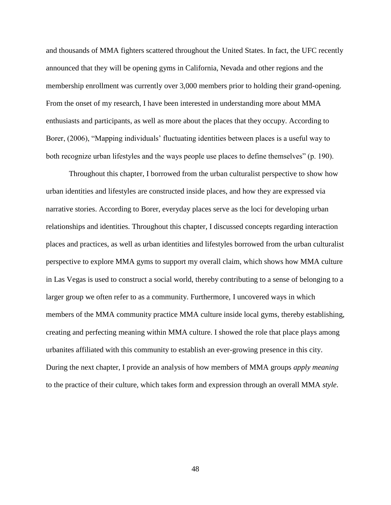and thousands of MMA fighters scattered throughout the United States. In fact, the UFC recently announced that they will be opening gyms in California, Nevada and other regions and the membership enrollment was currently over 3,000 members prior to holding their grand-opening. From the onset of my research, I have been interested in understanding more about MMA enthusiasts and participants, as well as more about the places that they occupy. According to Borer, (2006), "Mapping individuals' fluctuating identities between places is a useful way to both recognize urban lifestyles and the ways people use places to define themselves" (p. 190).

Throughout this chapter, I borrowed from the urban culturalist perspective to show how urban identities and lifestyles are constructed inside places, and how they are expressed via narrative stories. According to Borer, everyday places serve as the loci for developing urban relationships and identities. Throughout this chapter, I discussed concepts regarding interaction places and practices, as well as urban identities and lifestyles borrowed from the urban culturalist perspective to explore MMA gyms to support my overall claim, which shows how MMA culture in Las Vegas is used to construct a social world, thereby contributing to a sense of belonging to a larger group we often refer to as a community. Furthermore, I uncovered ways in which members of the MMA community practice MMA culture inside local gyms, thereby establishing, creating and perfecting meaning within MMA culture. I showed the role that place plays among urbanites affiliated with this community to establish an ever-growing presence in this city. During the next chapter, I provide an analysis of how members of MMA groups *apply meaning* to the practice of their culture, which takes form and expression through an overall MMA *style*.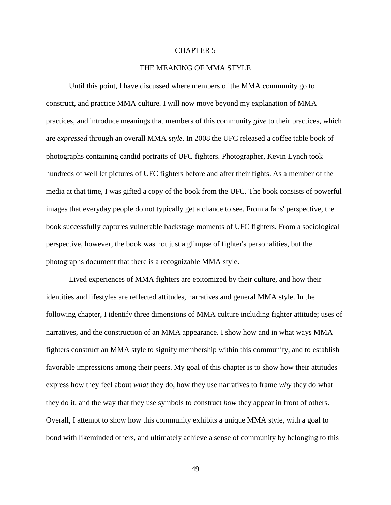## CHAPTER 5

# THE MEANING OF MMA STYLE

Until this point, I have discussed where members of the MMA community go to construct, and practice MMA culture. I will now move beyond my explanation of MMA practices, and introduce meanings that members of this community *give* to their practices, which are *expressed* through an overall MMA *style*. In 2008 the UFC released a coffee table book of photographs containing candid portraits of UFC fighters. Photographer, Kevin Lynch took hundreds of well let pictures of UFC fighters before and after their fights. As a member of the media at that time, I was gifted a copy of the book from the UFC. The book consists of powerful images that everyday people do not typically get a chance to see. From a fans' perspective, the book successfully captures vulnerable backstage moments of UFC fighters. From a sociological perspective, however, the book was not just a glimpse of fighter's personalities, but the photographs document that there is a recognizable MMA style.

Lived experiences of MMA fighters are epitomized by their culture, and how their identities and lifestyles are reflected attitudes, narratives and general MMA style. In the following chapter, I identify three dimensions of MMA culture including fighter attitude; uses of narratives, and the construction of an MMA appearance. I show how and in what ways MMA fighters construct an MMA style to signify membership within this community, and to establish favorable impressions among their peers. My goal of this chapter is to show how their attitudes express how they feel about *what* they do, how they use narratives to frame *why* they do what they do it, and the way that they use symbols to construct *how* they appear in front of others. Overall, I attempt to show how this community exhibits a unique MMA style, with a goal to bond with likeminded others, and ultimately achieve a sense of community by belonging to this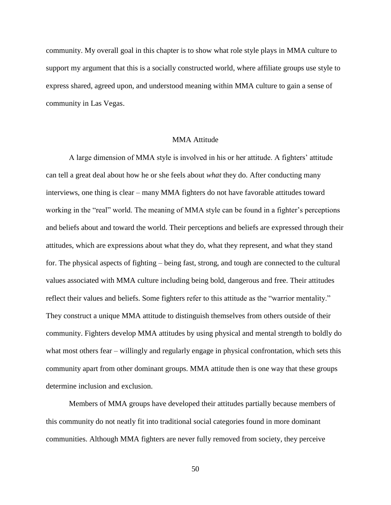community. My overall goal in this chapter is to show what role style plays in MMA culture to support my argument that this is a socially constructed world, where affiliate groups use style to express shared, agreed upon, and understood meaning within MMA culture to gain a sense of community in Las Vegas.

## MMA Attitude

A large dimension of MMA style is involved in his or her attitude. A fighters' attitude can tell a great deal about how he or she feels about *what* they do. After conducting many interviews, one thing is clear – many MMA fighters do not have favorable attitudes toward working in the "real" world. The meaning of MMA style can be found in a fighter's perceptions and beliefs about and toward the world. Their perceptions and beliefs are expressed through their attitudes, which are expressions about what they do, what they represent, and what they stand for. The physical aspects of fighting – being fast, strong, and tough are connected to the cultural values associated with MMA culture including being bold, dangerous and free. Their attitudes reflect their values and beliefs. Some fighters refer to this attitude as the "warrior mentality." They construct a unique MMA attitude to distinguish themselves from others outside of their community. Fighters develop MMA attitudes by using physical and mental strength to boldly do what most others fear – willingly and regularly engage in physical confrontation, which sets this community apart from other dominant groups. MMA attitude then is one way that these groups determine inclusion and exclusion.

Members of MMA groups have developed their attitudes partially because members of this community do not neatly fit into traditional social categories found in more dominant communities. Although MMA fighters are never fully removed from society, they perceive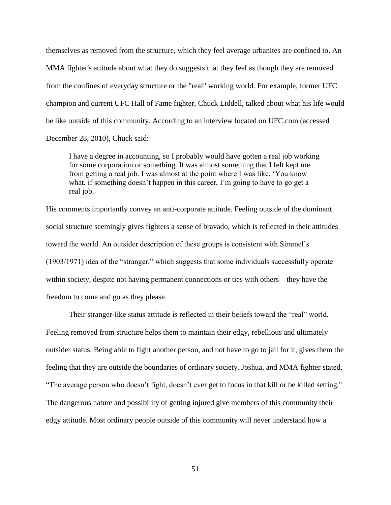themselves as removed from the structure, which they feel average urbanites are confined to. An MMA fighter's attitude about what they do suggests that they feel as though they are removed from the confines of everyday structure or the "real" working world. For example, former UFC champion and current UFC Hall of Fame fighter, Chuck Liddell, talked about what his life would be like outside of this community. According to an interview located on UFC.com (accessed December 28, 2010), Chuck said:

I have a degree in accounting, so I probably would have gotten a real job working for some corporation or something. It was almost something that I felt kept me from getting a real job. I was almost at the point where I was like, 'You know what, if something doesn't happen in this career, I'm going to have to go get a real job.

His comments importantly convey an anti-corporate attitude. Feeling outside of the dominant social structure seemingly gives fighters a sense of bravado, which is reflected in their attitudes toward the world. An outsider description of these groups is consistent with Simmel's (1903/1971) idea of the "stranger," which suggests that some individuals successfully operate within society, despite not having permanent connections or ties with others – they have the freedom to come and go as they please.

Their stranger-like status attitude is reflected in their beliefs toward the "real" world. Feeling removed from structure helps them to maintain their edgy, rebellious and ultimately outsider status. Being able to fight another person, and not have to go to jail for it, gives them the feeling that they are outside the boundaries of ordinary society. Joshua, and MMA fighter stated, "The average person who doesn't fight, doesn't ever get to focus in that kill or be killed setting." The dangerous nature and possibility of getting injured give members of this community their edgy attitude. Most ordinary people outside of this community will never understand how a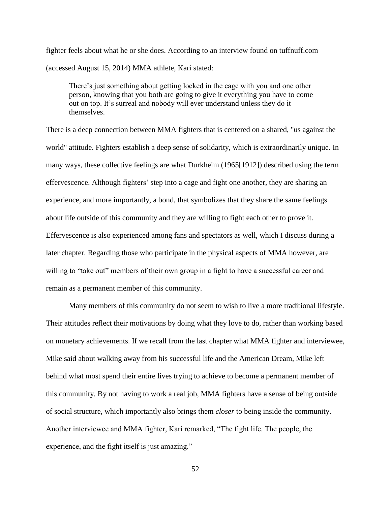fighter feels about what he or she does. According to an interview found on tuffnuff.com (accessed August 15, 2014) MMA athlete, Kari stated:

There's just something about getting locked in the cage with you and one other person, knowing that you both are going to give it everything you have to come out on top. It's surreal and nobody will ever understand unless they do it themselves.

There is a deep connection between MMA fighters that is centered on a shared, "us against the world" attitude. Fighters establish a deep sense of solidarity, which is extraordinarily unique. In many ways, these collective feelings are what Durkheim (1965[1912]) described using the term effervescence. Although fighters' step into a cage and fight one another, they are sharing an experience, and more importantly, a bond, that symbolizes that they share the same feelings about life outside of this community and they are willing to fight each other to prove it. Effervescence is also experienced among fans and spectators as well, which I discuss during a later chapter. Regarding those who participate in the physical aspects of MMA however, are willing to "take out" members of their own group in a fight to have a successful career and remain as a permanent member of this community.

Many members of this community do not seem to wish to live a more traditional lifestyle. Their attitudes reflect their motivations by doing what they love to do, rather than working based on monetary achievements. If we recall from the last chapter what MMA fighter and interviewee, Mike said about walking away from his successful life and the American Dream, Mike left behind what most spend their entire lives trying to achieve to become a permanent member of this community. By not having to work a real job, MMA fighters have a sense of being outside of social structure, which importantly also brings them *closer* to being inside the community. Another interviewee and MMA fighter, Kari remarked, "The fight life. The people, the experience, and the fight itself is just amazing."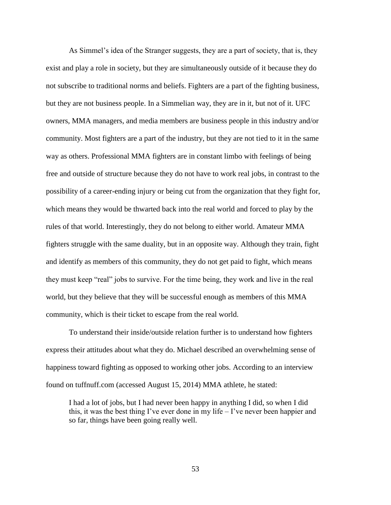As Simmel's idea of the Stranger suggests, they are a part of society, that is, they exist and play a role in society, but they are simultaneously outside of it because they do not subscribe to traditional norms and beliefs. Fighters are a part of the fighting business, but they are not business people. In a Simmelian way, they are in it, but not of it. UFC owners, MMA managers, and media members are business people in this industry and/or community. Most fighters are a part of the industry, but they are not tied to it in the same way as others. Professional MMA fighters are in constant limbo with feelings of being free and outside of structure because they do not have to work real jobs, in contrast to the possibility of a career-ending injury or being cut from the organization that they fight for, which means they would be thwarted back into the real world and forced to play by the rules of that world. Interestingly, they do not belong to either world. Amateur MMA fighters struggle with the same duality, but in an opposite way. Although they train, fight and identify as members of this community, they do not get paid to fight, which means they must keep "real" jobs to survive. For the time being, they work and live in the real world, but they believe that they will be successful enough as members of this MMA community, which is their ticket to escape from the real world.

To understand their inside/outside relation further is to understand how fighters express their attitudes about what they do. Michael described an overwhelming sense of happiness toward fighting as opposed to working other jobs. According to an interview found on tuffnuff.com (accessed August 15, 2014) MMA athlete, he stated:

I had a lot of jobs, but I had never been happy in anything I did, so when I did this, it was the best thing I've ever done in my life – I've never been happier and so far, things have been going really well.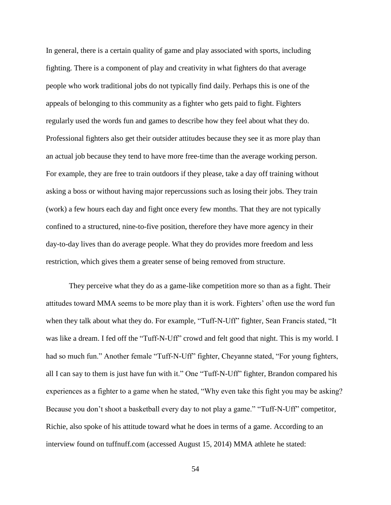In general, there is a certain quality of game and play associated with sports, including fighting. There is a component of play and creativity in what fighters do that average people who work traditional jobs do not typically find daily. Perhaps this is one of the appeals of belonging to this community as a fighter who gets paid to fight. Fighters regularly used the words fun and games to describe how they feel about what they do. Professional fighters also get their outsider attitudes because they see it as more play than an actual job because they tend to have more free-time than the average working person. For example, they are free to train outdoors if they please, take a day off training without asking a boss or without having major repercussions such as losing their jobs. They train (work) a few hours each day and fight once every few months. That they are not typically confined to a structured, nine-to-five position, therefore they have more agency in their day-to-day lives than do average people. What they do provides more freedom and less restriction, which gives them a greater sense of being removed from structure.

They perceive what they do as a game-like competition more so than as a fight. Their attitudes toward MMA seems to be more play than it is work. Fighters' often use the word fun when they talk about what they do. For example, "Tuff-N-Uff" fighter, Sean Francis stated, "It was like a dream. I fed off the "Tuff-N-Uff" crowd and felt good that night. This is my world. I had so much fun." Another female "Tuff-N-Uff" fighter, Cheyanne stated, "For young fighters, all I can say to them is just have fun with it." One "Tuff-N-Uff" fighter, Brandon compared his experiences as a fighter to a game when he stated, "Why even take this fight you may be asking? Because you don't shoot a basketball every day to not play a game." "Tuff-N-Uff" competitor, Richie, also spoke of his attitude toward what he does in terms of a game. According to an interview found on tuffnuff.com (accessed August 15, 2014) MMA athlete he stated: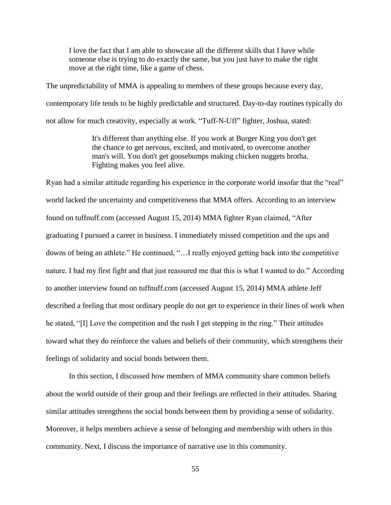I love the fact that I am able to showcase all the different skills that I have while someone else is trying to do exactly the same, but you just have to make the right move at the right time, like a game of chess.

The unpredictability of MMA is appealing to members of these groups because every day, contemporary life tends to be highly predictable and structured. Day-to-day routines typically do not allow for much creativity, especially at work. "Tuff-N-Uff" fighter, Joshua, stated:

> It's different than anything else. If you work at Burger King you don't get the chance to get nervous, excited, and motivated, to overcome another man's will. You don't get goosebumps making chicken nuggets brotha. Fighting makes you feel alive.

Ryan had a similar attitude regarding his experience in the corporate world insofar that the "real" world lacked the uncertainty and competitiveness that MMA offers. According to an interview found on tuffnuff.com (accessed August 15, 2014) MMA fighter Ryan claimed, "After graduating I pursued a career in business. I immediately missed competition and the ups and downs of being an athlete." He continued, "…I really enjoyed getting back into the competitive nature. I had my first fight and that just reassured me that this is what I wanted to do." According to another interview found on tuffnuff.com (accessed August 15, 2014) MMA athlete Jeff described a feeling that most ordinary people do not get to experience in their lines of work when he stated, "[I] Love the competition and the rush I get stepping in the ring." Their attitudes toward what they do reinforce the values and beliefs of their community, which strengthens their feelings of solidarity and social bonds between them.

In this section, I discussed how members of MMA community share common beliefs about the world outside of their group and their feelings are reflected in their attitudes. Sharing similar attitudes strengthens the social bonds between them by providing a sense of solidarity. Moreover, it helps members achieve a sense of belonging and membership with others in this community. Next, I discuss the importance of narrative use in this community.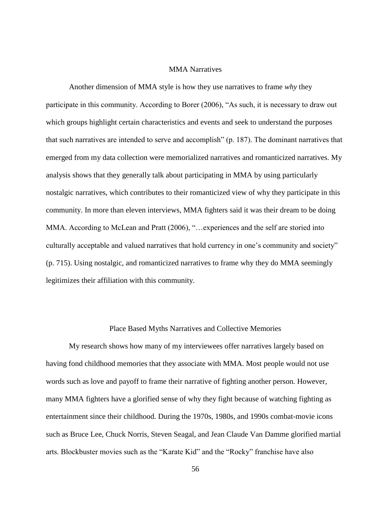## MMA Narratives

Another dimension of MMA style is how they use narratives to frame *why* they participate in this community. According to Borer (2006), "As such, it is necessary to draw out which groups highlight certain characteristics and events and seek to understand the purposes that such narratives are intended to serve and accomplish" (p. 187). The dominant narratives that emerged from my data collection were memorialized narratives and romanticized narratives. My analysis shows that they generally talk about participating in MMA by using particularly nostalgic narratives, which contributes to their romanticized view of why they participate in this community. In more than eleven interviews, MMA fighters said it was their dream to be doing MMA. According to McLean and Pratt (2006), "…experiences and the self are storied into culturally acceptable and valued narratives that hold currency in one's community and society" (p. 715). Using nostalgic, and romanticized narratives to frame why they do MMA seemingly legitimizes their affiliation with this community.

#### Place Based Myths Narratives and Collective Memories

My research shows how many of my interviewees offer narratives largely based on having fond childhood memories that they associate with MMA. Most people would not use words such as love and payoff to frame their narrative of fighting another person. However, many MMA fighters have a glorified sense of why they fight because of watching fighting as entertainment since their childhood. During the 1970s, 1980s, and 1990s combat-movie icons such as Bruce Lee, Chuck Norris, Steven Seagal, and Jean Claude Van Damme glorified martial arts. Blockbuster movies such as the "Karate Kid" and the "Rocky" franchise have also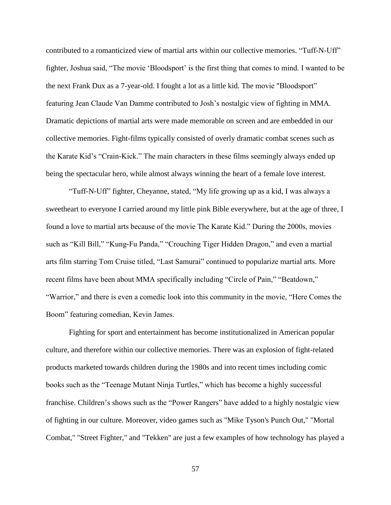contributed to a romanticized view of martial arts within our collective memories. "Tuff-N-Uff" fighter, Joshua said, "The movie 'Bloodsport' is the first thing that comes to mind. I wanted to be the next Frank Dux as a 7-year-old. I fought a lot as a little kid. The movie "Bloodsport" featuring Jean Claude Van Damme contributed to Josh's nostalgic view of fighting in MMA. Dramatic depictions of martial arts were made memorable on screen and are embedded in our collective memories. Fight-films typically consisted of overly dramatic combat scenes such as the Karate Kid's "Crain-Kick." The main characters in these films seemingly always ended up being the spectacular hero, while almost always winning the heart of a female love interest.

"Tuff-N-Uff" fighter, Cheyanne, stated, "My life growing up as a kid, I was always a sweetheart to everyone I carried around my little pink Bible everywhere, but at the age of three, I found a love to martial arts because of the movie The Karate Kid." During the 2000s, movies such as "Kill Bill," "Kung-Fu Panda," "Crouching Tiger Hidden Dragon," and even a martial arts film starring Tom Cruise titled, "Last Samurai" continued to popularize martial arts. More recent films have been about MMA specifically including "Circle of Pain," "Beatdown," "Warrior," and there is even a comedic look into this community in the movie, "Here Comes the Boom" featuring comedian, Kevin James.

Fighting for sport and entertainment has become institutionalized in American popular culture, and therefore within our collective memories. There was an explosion of fight-related products marketed towards children during the 1980s and into recent times including comic books such as the "Teenage Mutant Ninja Turtles," which has become a highly successful franchise. Children's shows such as the "Power Rangers" have added to a highly nostalgic view of fighting in our culture. Moreover, video games such as "Mike Tyson's Punch Out," "Mortal Combat," "Street Fighter," and "Tekken" are just a few examples of how technology has played a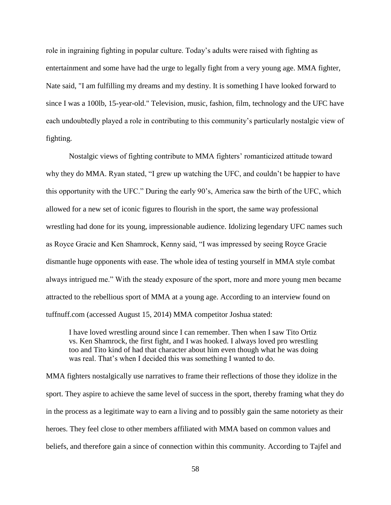role in ingraining fighting in popular culture. Today's adults were raised with fighting as entertainment and some have had the urge to legally fight from a very young age. MMA fighter, Nate said, "I am fulfilling my dreams and my destiny. It is something I have looked forward to since I was a 100lb, 15-year-old." Television, music, fashion, film, technology and the UFC have each undoubtedly played a role in contributing to this community's particularly nostalgic view of fighting.

Nostalgic views of fighting contribute to MMA fighters' romanticized attitude toward why they do MMA. Ryan stated, "I grew up watching the UFC, and couldn't be happier to have this opportunity with the UFC." During the early 90's, America saw the birth of the UFC, which allowed for a new set of iconic figures to flourish in the sport, the same way professional wrestling had done for its young, impressionable audience. Idolizing legendary UFC names such as Royce Gracie and Ken Shamrock, Kenny said, "I was impressed by seeing Royce Gracie dismantle huge opponents with ease. The whole idea of testing yourself in MMA style combat always intrigued me." With the steady exposure of the sport, more and more young men became attracted to the rebellious sport of MMA at a young age. According to an interview found on tuffnuff.com (accessed August 15, 2014) MMA competitor Joshua stated:

I have loved wrestling around since I can remember. Then when I saw Tito Ortiz vs. Ken Shamrock, the first fight, and I was hooked. I always loved pro wrestling too and Tito kind of had that character about him even though what he was doing was real. That's when I decided this was something I wanted to do.

MMA fighters nostalgically use narratives to frame their reflections of those they idolize in the sport. They aspire to achieve the same level of success in the sport, thereby framing what they do in the process as a legitimate way to earn a living and to possibly gain the same notoriety as their heroes. They feel close to other members affiliated with MMA based on common values and beliefs, and therefore gain a since of connection within this community. According to Tajfel and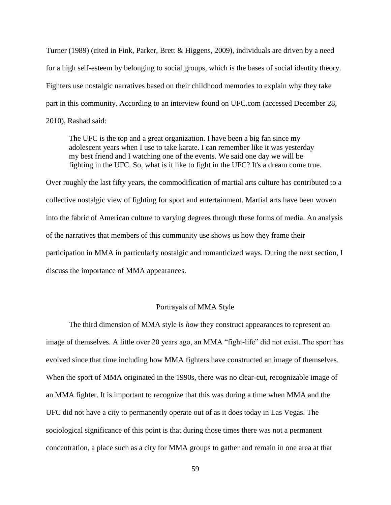Turner (1989) (cited in Fink, Parker, Brett & Higgens, 2009), individuals are driven by a need for a high self-esteem by belonging to social groups, which is the bases of social identity theory. Fighters use nostalgic narratives based on their childhood memories to explain why they take part in this community. According to an interview found on UFC.com (accessed December 28, 2010), Rashad said:

The UFC is the top and a great organization. I have been a big fan since my adolescent years when I use to take karate. I can remember like it was yesterday my best friend and I watching one of the events. We said one day we will be fighting in the UFC. So, what is it like to fight in the UFC? It's a dream come true.

Over roughly the last fifty years, the commodification of martial arts culture has contributed to a collective nostalgic view of fighting for sport and entertainment. Martial arts have been woven into the fabric of American culture to varying degrees through these forms of media. An analysis of the narratives that members of this community use shows us how they frame their participation in MMA in particularly nostalgic and romanticized ways. During the next section, I discuss the importance of MMA appearances.

# Portrayals of MMA Style

The third dimension of MMA style is *how* they construct appearances to represent an image of themselves. A little over 20 years ago, an MMA "fight-life" did not exist. The sport has evolved since that time including how MMA fighters have constructed an image of themselves. When the sport of MMA originated in the 1990s, there was no clear-cut, recognizable image of an MMA fighter. It is important to recognize that this was during a time when MMA and the UFC did not have a city to permanently operate out of as it does today in Las Vegas. The sociological significance of this point is that during those times there was not a permanent concentration, a place such as a city for MMA groups to gather and remain in one area at that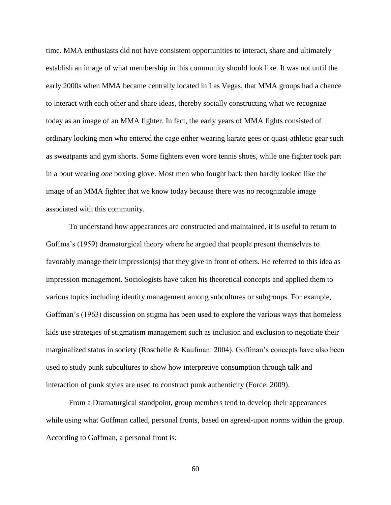time. MMA enthusiasts did not have consistent opportunities to interact, share and ultimately establish an image of what membership in this community should look like. It was not until the early 2000s when MMA became centrally located in Las Vegas, that MMA groups had a chance to interact with each other and share ideas, thereby socially constructing what we recognize today as an image of an MMA fighter. In fact, the early years of MMA fights consisted of ordinary looking men who entered the cage either wearing karate gees or quasi-athletic gear such as sweatpants and gym shorts. Some fighters even wore tennis shoes, while one fighter took part in a bout wearing *one* boxing glove. Most men who fought back then hardly looked like the image of an MMA fighter that we know today because there was no recognizable image associated with this community.

To understand how appearances are constructed and maintained, it is useful to return to Goffma's (1959) dramaturgical theory where he argued that people present themselves to favorably manage their impression(s) that they give in front of others. He referred to this idea as impression management. Sociologists have taken his theoretical concepts and applied them to various topics including identity management among subcultures or subgroups. For example, Goffman's (1963) discussion on stigma has been used to explore the various ways that homeless kids use strategies of stigmatism management such as inclusion and exclusion to negotiate their marginalized status in society (Roschelle & Kaufman: 2004). Goffman's concepts have also been used to study punk subcultures to show how interpretive consumption through talk and interaction of punk styles are used to construct punk authenticity (Force: 2009).

From a Dramaturgical standpoint, group members tend to develop their appearances while using what Goffman called, personal fronts, based on agreed-upon norms within the group. According to Goffman, a personal front is: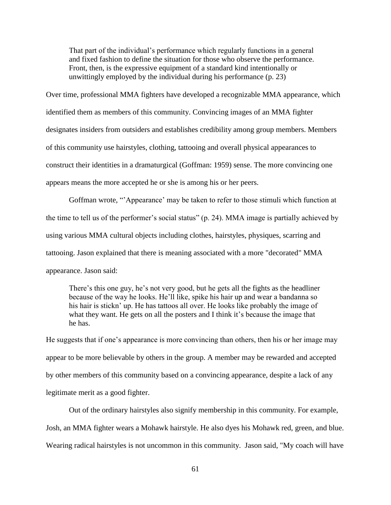That part of the individual's performance which regularly functions in a general and fixed fashion to define the situation for those who observe the performance. Front, then, is the expressive equipment of a standard kind intentionally or unwittingly employed by the individual during his performance (p. 23)

Over time, professional MMA fighters have developed a recognizable MMA appearance, which identified them as members of this community. Convincing images of an MMA fighter designates insiders from outsiders and establishes credibility among group members. Members of this community use hairstyles, clothing, tattooing and overall physical appearances to construct their identities in a dramaturgical (Goffman: 1959) sense. The more convincing one appears means the more accepted he or she is among his or her peers.

Goffman wrote, "'Appearance' may be taken to refer to those stimuli which function at the time to tell us of the performer's social status" (p. 24). MMA image is partially achieved by using various MMA cultural objects including clothes, hairstyles, physiques, scarring and tattooing. Jason explained that there is meaning associated with a more "decorated" MMA appearance. Jason said:

There's this one guy, he's not very good, but he gets all the fights as the headliner because of the way he looks. He'll like, spike his hair up and wear a bandanna so his hair is stickn' up. He has tattoos all over. He looks like probably the image of what they want. He gets on all the posters and I think it's because the image that he has.

He suggests that if one's appearance is more convincing than others, then his or her image may appear to be more believable by others in the group. A member may be rewarded and accepted by other members of this community based on a convincing appearance, despite a lack of any legitimate merit as a good fighter.

Out of the ordinary hairstyles also signify membership in this community. For example, Josh, an MMA fighter wears a Mohawk hairstyle. He also dyes his Mohawk red, green, and blue. Wearing radical hairstyles is not uncommon in this community. Jason said, "My coach will have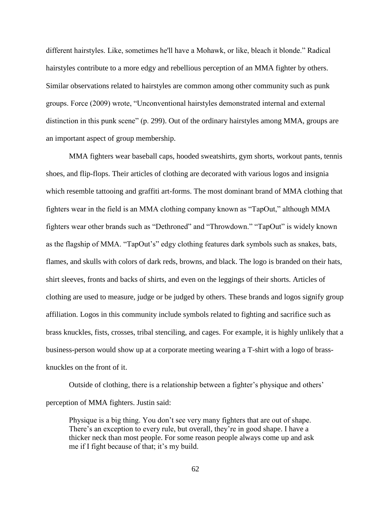different hairstyles. Like, sometimes he'll have a Mohawk, or like, bleach it blonde." Radical hairstyles contribute to a more edgy and rebellious perception of an MMA fighter by others. Similar observations related to hairstyles are common among other community such as punk groups. Force (2009) wrote, "Unconventional hairstyles demonstrated internal and external distinction in this punk scene" (p. 299). Out of the ordinary hairstyles among MMA, groups are an important aspect of group membership.

MMA fighters wear baseball caps, hooded sweatshirts, gym shorts, workout pants, tennis shoes, and flip-flops. Their articles of clothing are decorated with various logos and insignia which resemble tattooing and graffiti art-forms. The most dominant brand of MMA clothing that fighters wear in the field is an MMA clothing company known as "TapOut," although MMA fighters wear other brands such as "Dethroned" and "Throwdown." "TapOut" is widely known as the flagship of MMA. "TapOut's" edgy clothing features dark symbols such as snakes, bats, flames, and skulls with colors of dark reds, browns, and black. The logo is branded on their hats, shirt sleeves, fronts and backs of shirts, and even on the leggings of their shorts. Articles of clothing are used to measure, judge or be judged by others. These brands and logos signify group affiliation. Logos in this community include symbols related to fighting and sacrifice such as brass knuckles, fists, crosses, tribal stenciling, and cages. For example, it is highly unlikely that a business-person would show up at a corporate meeting wearing a T-shirt with a logo of brassknuckles on the front of it.

Outside of clothing, there is a relationship between a fighter's physique and others' perception of MMA fighters. Justin said:

Physique is a big thing. You don't see very many fighters that are out of shape. There's an exception to every rule, but overall, they're in good shape. I have a thicker neck than most people. For some reason people always come up and ask me if I fight because of that; it's my build.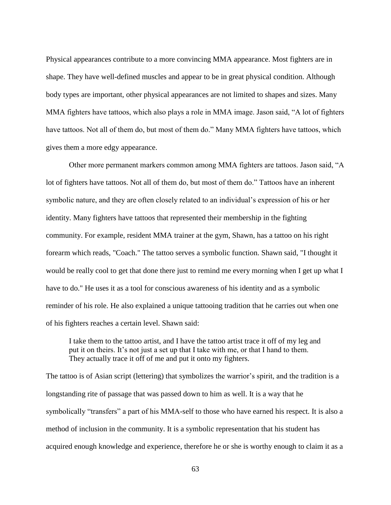Physical appearances contribute to a more convincing MMA appearance. Most fighters are in shape. They have well-defined muscles and appear to be in great physical condition. Although body types are important, other physical appearances are not limited to shapes and sizes. Many MMA fighters have tattoos, which also plays a role in MMA image. Jason said, "A lot of fighters have tattoos. Not all of them do, but most of them do." Many MMA fighters have tattoos, which gives them a more edgy appearance.

Other more permanent markers common among MMA fighters are tattoos. Jason said, "A lot of fighters have tattoos. Not all of them do, but most of them do." Tattoos have an inherent symbolic nature, and they are often closely related to an individual's expression of his or her identity. Many fighters have tattoos that represented their membership in the fighting community. For example, resident MMA trainer at the gym, Shawn, has a tattoo on his right forearm which reads, "Coach." The tattoo serves a symbolic function. Shawn said, "I thought it would be really cool to get that done there just to remind me every morning when I get up what I have to do." He uses it as a tool for conscious awareness of his identity and as a symbolic reminder of his role. He also explained a unique tattooing tradition that he carries out when one of his fighters reaches a certain level. Shawn said:

I take them to the tattoo artist, and I have the tattoo artist trace it off of my leg and put it on theirs. It's not just a set up that I take with me, or that I hand to them. They actually trace it off of me and put it onto my fighters.

The tattoo is of Asian script (lettering) that symbolizes the warrior's spirit, and the tradition is a longstanding rite of passage that was passed down to him as well. It is a way that he symbolically "transfers" a part of his MMA-self to those who have earned his respect. It is also a method of inclusion in the community. It is a symbolic representation that his student has acquired enough knowledge and experience, therefore he or she is worthy enough to claim it as a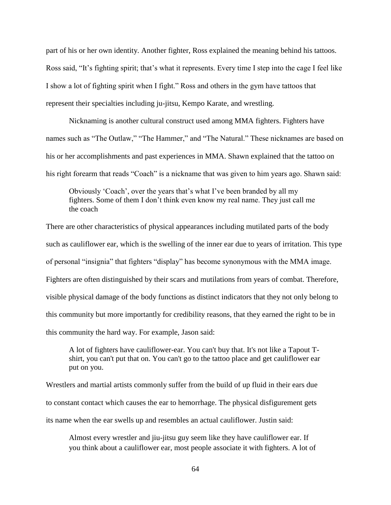part of his or her own identity. Another fighter, Ross explained the meaning behind his tattoos. Ross said, "It's fighting spirit; that's what it represents. Every time I step into the cage I feel like I show a lot of fighting spirit when I fight." Ross and others in the gym have tattoos that represent their specialties including ju-jitsu, Kempo Karate, and wrestling.

Nicknaming is another cultural construct used among MMA fighters. Fighters have names such as "The Outlaw," "The Hammer," and "The Natural." These nicknames are based on his or her accomplishments and past experiences in MMA. Shawn explained that the tattoo on his right forearm that reads "Coach" is a nickname that was given to him years ago. Shawn said:

Obviously 'Coach', over the years that's what I've been branded by all my fighters. Some of them I don't think even know my real name. They just call me the coach

There are other characteristics of physical appearances including mutilated parts of the body such as cauliflower ear, which is the swelling of the inner ear due to years of irritation. This type of personal "insignia" that fighters "display" has become synonymous with the MMA image. Fighters are often distinguished by their scars and mutilations from years of combat. Therefore, visible physical damage of the body functions as distinct indicators that they not only belong to this community but more importantly for credibility reasons, that they earned the right to be in this community the hard way. For example, Jason said:

A lot of fighters have cauliflower-ear. You can't buy that. It's not like a Tapout Tshirt, you can't put that on. You can't go to the tattoo place and get cauliflower ear put on you.

Wrestlers and martial artists commonly suffer from the build of up fluid in their ears due to constant contact which causes the ear to hemorrhage. The physical disfigurement gets its name when the ear swells up and resembles an actual cauliflower. Justin said:

Almost every wrestler and jiu-jitsu guy seem like they have cauliflower ear. If you think about a cauliflower ear, most people associate it with fighters. A lot of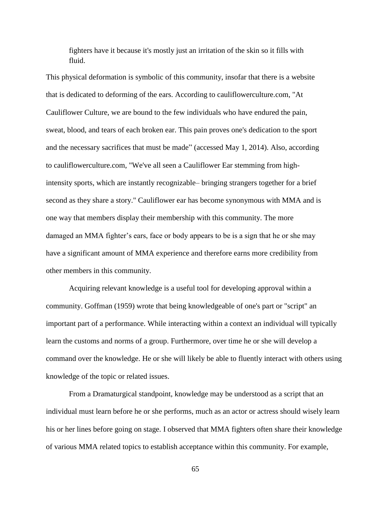fighters have it because it's mostly just an irritation of the skin so it fills with fluid.

This physical deformation is symbolic of this community, insofar that there is a website that is dedicated to deforming of the ears. According to cauliflowerculture.com, "At Cauliflower Culture, we are bound to the few individuals who have endured the pain, sweat, blood, and tears of each broken ear. This pain proves one's dedication to the sport and the necessary sacrifices that must be made" (accessed May 1, 2014). Also, according to cauliflowerculture.com, "We've all seen a Cauliflower Ear stemming from highintensity sports, which are instantly recognizable– bringing strangers together for a brief second as they share a story." Cauliflower ear has become synonymous with MMA and is one way that members display their membership with this community. The more damaged an MMA fighter's ears, face or body appears to be is a sign that he or she may have a significant amount of MMA experience and therefore earns more credibility from other members in this community.

Acquiring relevant knowledge is a useful tool for developing approval within a community. Goffman (1959) wrote that being knowledgeable of one's part or "script" an important part of a performance. While interacting within a context an individual will typically learn the customs and norms of a group. Furthermore, over time he or she will develop a command over the knowledge. He or she will likely be able to fluently interact with others using knowledge of the topic or related issues.

From a Dramaturgical standpoint, knowledge may be understood as a script that an individual must learn before he or she performs, much as an actor or actress should wisely learn his or her lines before going on stage. I observed that MMA fighters often share their knowledge of various MMA related topics to establish acceptance within this community. For example,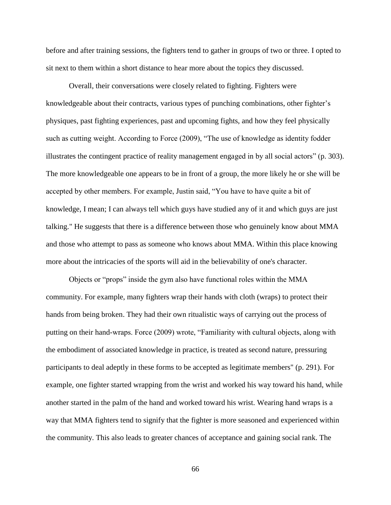before and after training sessions, the fighters tend to gather in groups of two or three. I opted to sit next to them within a short distance to hear more about the topics they discussed.

Overall, their conversations were closely related to fighting. Fighters were knowledgeable about their contracts, various types of punching combinations, other fighter's physiques, past fighting experiences, past and upcoming fights, and how they feel physically such as cutting weight. According to Force (2009), "The use of knowledge as identity fodder illustrates the contingent practice of reality management engaged in by all social actors" (p. 303). The more knowledgeable one appears to be in front of a group, the more likely he or she will be accepted by other members. For example, Justin said, "You have to have quite a bit of knowledge, I mean; I can always tell which guys have studied any of it and which guys are just talking." He suggests that there is a difference between those who genuinely know about MMA and those who attempt to pass as someone who knows about MMA. Within this place knowing more about the intricacies of the sports will aid in the believability of one's character.

Objects or "props" inside the gym also have functional roles within the MMA community. For example, many fighters wrap their hands with cloth (wraps) to protect their hands from being broken. They had their own ritualistic ways of carrying out the process of putting on their hand-wraps. Force (2009) wrote, "Familiarity with cultural objects, along with the embodiment of associated knowledge in practice, is treated as second nature, pressuring participants to deal adeptly in these forms to be accepted as legitimate members" (p. 291). For example, one fighter started wrapping from the wrist and worked his way toward his hand, while another started in the palm of the hand and worked toward his wrist. Wearing hand wraps is a way that MMA fighters tend to signify that the fighter is more seasoned and experienced within the community. This also leads to greater chances of acceptance and gaining social rank. The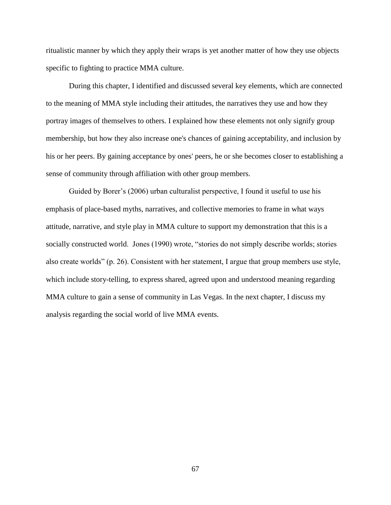ritualistic manner by which they apply their wraps is yet another matter of how they use objects specific to fighting to practice MMA culture.

During this chapter, I identified and discussed several key elements, which are connected to the meaning of MMA style including their attitudes, the narratives they use and how they portray images of themselves to others. I explained how these elements not only signify group membership, but how they also increase one's chances of gaining acceptability, and inclusion by his or her peers. By gaining acceptance by ones' peers, he or she becomes closer to establishing a sense of community through affiliation with other group members.

Guided by Borer's (2006) urban culturalist perspective, I found it useful to use his emphasis of place-based myths, narratives, and collective memories to frame in what ways attitude, narrative, and style play in MMA culture to support my demonstration that this is a socially constructed world. Jones (1990) wrote, "stories do not simply describe worlds; stories also create worlds" (p. 26). Consistent with her statement, I argue that group members use style, which include story-telling, to express shared, agreed upon and understood meaning regarding MMA culture to gain a sense of community in Las Vegas. In the next chapter, I discuss my analysis regarding the social world of live MMA events.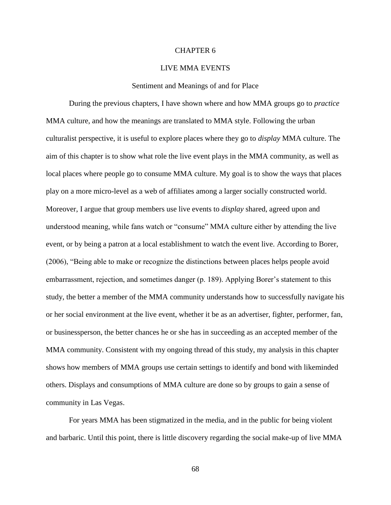### CHAPTER 6

# LIVE MMA EVENTS

#### Sentiment and Meanings of and for Place

During the previous chapters, I have shown where and how MMA groups go to *practice* MMA culture, and how the meanings are translated to MMA style. Following the urban culturalist perspective, it is useful to explore places where they go to *display* MMA culture. The aim of this chapter is to show what role the live event plays in the MMA community, as well as local places where people go to consume MMA culture. My goal is to show the ways that places play on a more micro-level as a web of affiliates among a larger socially constructed world. Moreover, I argue that group members use live events to *display* shared, agreed upon and understood meaning, while fans watch or "consume" MMA culture either by attending the live event, or by being a patron at a local establishment to watch the event live. According to Borer, (2006), "Being able to make or recognize the distinctions between places helps people avoid embarrassment, rejection, and sometimes danger (p. 189). Applying Borer's statement to this study, the better a member of the MMA community understands how to successfully navigate his or her social environment at the live event, whether it be as an advertiser, fighter, performer, fan, or businessperson, the better chances he or she has in succeeding as an accepted member of the MMA community. Consistent with my ongoing thread of this study, my analysis in this chapter shows how members of MMA groups use certain settings to identify and bond with likeminded others. Displays and consumptions of MMA culture are done so by groups to gain a sense of community in Las Vegas.

For years MMA has been stigmatized in the media, and in the public for being violent and barbaric. Until this point, there is little discovery regarding the social make-up of live MMA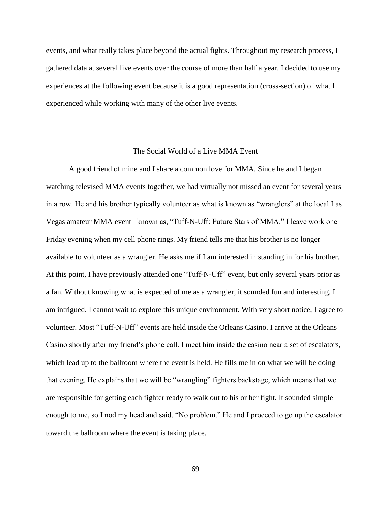events, and what really takes place beyond the actual fights. Throughout my research process, I gathered data at several live events over the course of more than half a year. I decided to use my experiences at the following event because it is a good representation (cross-section) of what I experienced while working with many of the other live events.

# The Social World of a Live MMA Event

A good friend of mine and I share a common love for MMA. Since he and I began watching televised MMA events together, we had virtually not missed an event for several years in a row. He and his brother typically volunteer as what is known as "wranglers" at the local Las Vegas amateur MMA event –known as, "Tuff-N-Uff: Future Stars of MMA." I leave work one Friday evening when my cell phone rings. My friend tells me that his brother is no longer available to volunteer as a wrangler. He asks me if I am interested in standing in for his brother. At this point, I have previously attended one "Tuff-N-Uff" event, but only several years prior as a fan. Without knowing what is expected of me as a wrangler, it sounded fun and interesting. I am intrigued. I cannot wait to explore this unique environment. With very short notice, I agree to volunteer. Most "Tuff-N-Uff" events are held inside the Orleans Casino. I arrive at the Orleans Casino shortly after my friend's phone call. I meet him inside the casino near a set of escalators, which lead up to the ballroom where the event is held. He fills me in on what we will be doing that evening. He explains that we will be "wrangling" fighters backstage, which means that we are responsible for getting each fighter ready to walk out to his or her fight. It sounded simple enough to me, so I nod my head and said, "No problem." He and I proceed to go up the escalator toward the ballroom where the event is taking place.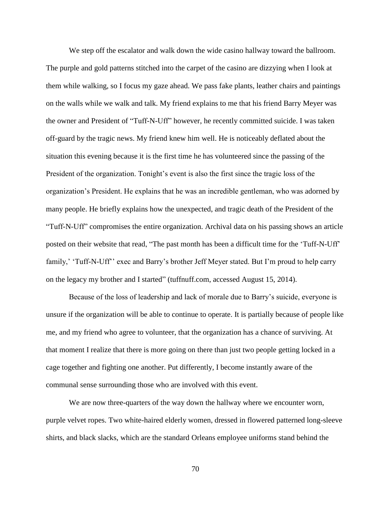We step off the escalator and walk down the wide casino hallway toward the ballroom. The purple and gold patterns stitched into the carpet of the casino are dizzying when I look at them while walking, so I focus my gaze ahead. We pass fake plants, leather chairs and paintings on the walls while we walk and talk. My friend explains to me that his friend Barry Meyer was the owner and President of "Tuff-N-Uff" however, he recently committed suicide. I was taken off-guard by the tragic news. My friend knew him well. He is noticeably deflated about the situation this evening because it is the first time he has volunteered since the passing of the President of the organization. Tonight's event is also the first since the tragic loss of the organization's President. He explains that he was an incredible gentleman, who was adorned by many people. He briefly explains how the unexpected, and tragic death of the President of the "Tuff-N-Uff" compromises the entire organization. Archival data on his passing shows an article posted on their website that read, "The past month has been a difficult time for the 'Tuff-N-Uff' family,' 'Tuff-N-Uff'' exec and Barry's brother Jeff Meyer stated. But I'm proud to help carry on the legacy my brother and I started" (tuffnuff.com, accessed August 15, 2014).

Because of the loss of leadership and lack of morale due to Barry's suicide, everyone is unsure if the organization will be able to continue to operate. It is partially because of people like me, and my friend who agree to volunteer, that the organization has a chance of surviving. At that moment I realize that there is more going on there than just two people getting locked in a cage together and fighting one another. Put differently, I become instantly aware of the communal sense surrounding those who are involved with this event.

We are now three-quarters of the way down the hallway where we encounter worn, purple velvet ropes. Two white-haired elderly women, dressed in flowered patterned long-sleeve shirts, and black slacks, which are the standard Orleans employee uniforms stand behind the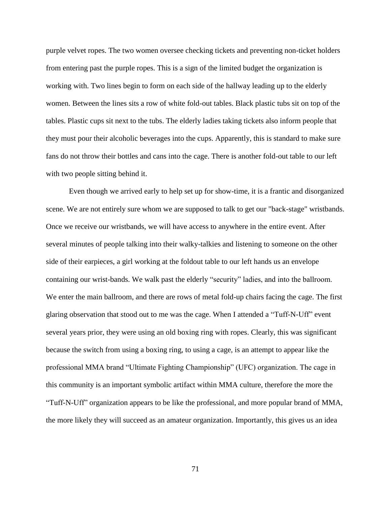purple velvet ropes. The two women oversee checking tickets and preventing non-ticket holders from entering past the purple ropes. This is a sign of the limited budget the organization is working with. Two lines begin to form on each side of the hallway leading up to the elderly women. Between the lines sits a row of white fold-out tables. Black plastic tubs sit on top of the tables. Plastic cups sit next to the tubs. The elderly ladies taking tickets also inform people that they must pour their alcoholic beverages into the cups. Apparently, this is standard to make sure fans do not throw their bottles and cans into the cage. There is another fold-out table to our left with two people sitting behind it.

Even though we arrived early to help set up for show-time, it is a frantic and disorganized scene. We are not entirely sure whom we are supposed to talk to get our "back-stage" wristbands. Once we receive our wristbands, we will have access to anywhere in the entire event. After several minutes of people talking into their walky-talkies and listening to someone on the other side of their earpieces, a girl working at the foldout table to our left hands us an envelope containing our wrist-bands. We walk past the elderly "security" ladies, and into the ballroom. We enter the main ballroom, and there are rows of metal fold-up chairs facing the cage. The first glaring observation that stood out to me was the cage. When I attended a "Tuff-N-Uff" event several years prior, they were using an old boxing ring with ropes. Clearly, this was significant because the switch from using a boxing ring, to using a cage, is an attempt to appear like the professional MMA brand "Ultimate Fighting Championship" (UFC) organization. The cage in this community is an important symbolic artifact within MMA culture, therefore the more the "Tuff-N-Uff" organization appears to be like the professional, and more popular brand of MMA, the more likely they will succeed as an amateur organization. Importantly, this gives us an idea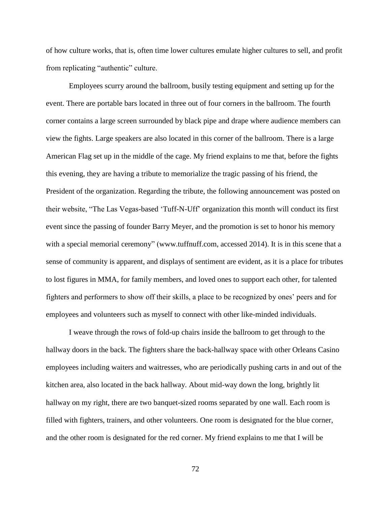of how culture works, that is, often time lower cultures emulate higher cultures to sell, and profit from replicating "authentic" culture.

Employees scurry around the ballroom, busily testing equipment and setting up for the event. There are portable bars located in three out of four corners in the ballroom. The fourth corner contains a large screen surrounded by black pipe and drape where audience members can view the fights. Large speakers are also located in this corner of the ballroom. There is a large American Flag set up in the middle of the cage. My friend explains to me that, before the fights this evening, they are having a tribute to memorialize the tragic passing of his friend, the President of the organization. Regarding the tribute, the following announcement was posted on their website, "The Las Vegas-based 'Tuff-N-Uff' organization this month will conduct its first event since the passing of founder Barry Meyer, and the promotion is set to honor his memory with a special memorial ceremony" (www.tuffnuff.com, accessed 2014). It is in this scene that a sense of community is apparent, and displays of sentiment are evident, as it is a place for tributes to lost figures in MMA, for family members, and loved ones to support each other, for talented fighters and performers to show off their skills, a place to be recognized by ones' peers and for employees and volunteers such as myself to connect with other like-minded individuals.

I weave through the rows of fold-up chairs inside the ballroom to get through to the hallway doors in the back. The fighters share the back-hallway space with other Orleans Casino employees including waiters and waitresses, who are periodically pushing carts in and out of the kitchen area, also located in the back hallway. About mid-way down the long, brightly lit hallway on my right, there are two banquet-sized rooms separated by one wall. Each room is filled with fighters, trainers, and other volunteers. One room is designated for the blue corner, and the other room is designated for the red corner. My friend explains to me that I will be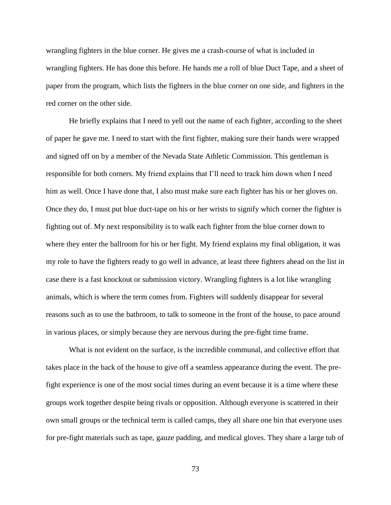wrangling fighters in the blue corner. He gives me a crash-course of what is included in wrangling fighters. He has done this before. He hands me a roll of blue Duct Tape, and a sheet of paper from the program, which lists the fighters in the blue corner on one side, and fighters in the red corner on the other side.

He briefly explains that I need to yell out the name of each fighter, according to the sheet of paper he gave me. I need to start with the first fighter, making sure their hands were wrapped and signed off on by a member of the Nevada State Athletic Commission. This gentleman is responsible for both corners. My friend explains that I'll need to track him down when I need him as well. Once I have done that, I also must make sure each fighter has his or her gloves on. Once they do, I must put blue duct-tape on his or her wrists to signify which corner the fighter is fighting out of. My next responsibility is to walk each fighter from the blue corner down to where they enter the ballroom for his or her fight. My friend explains my final obligation, it was my role to have the fighters ready to go well in advance, at least three fighters ahead on the list in case there is a fast knockout or submission victory. Wrangling fighters is a lot like wrangling animals, which is where the term comes from. Fighters will suddenly disappear for several reasons such as to use the bathroom, to talk to someone in the front of the house, to pace around in various places, or simply because they are nervous during the pre-fight time frame.

What is not evident on the surface, is the incredible communal, and collective effort that takes place in the back of the house to give off a seamless appearance during the event. The prefight experience is one of the most social times during an event because it is a time where these groups work together despite being rivals or opposition. Although everyone is scattered in their own small groups or the technical term is called camps, they all share one bin that everyone uses for pre-fight materials such as tape, gauze padding, and medical gloves. They share a large tub of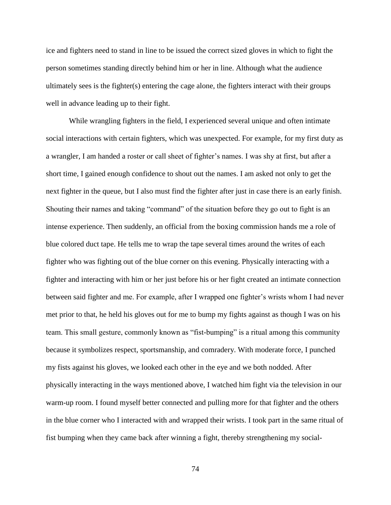ice and fighters need to stand in line to be issued the correct sized gloves in which to fight the person sometimes standing directly behind him or her in line. Although what the audience ultimately sees is the fighter(s) entering the cage alone, the fighters interact with their groups well in advance leading up to their fight.

While wrangling fighters in the field, I experienced several unique and often intimate social interactions with certain fighters, which was unexpected. For example, for my first duty as a wrangler, I am handed a roster or call sheet of fighter's names. I was shy at first, but after a short time, I gained enough confidence to shout out the names. I am asked not only to get the next fighter in the queue, but I also must find the fighter after just in case there is an early finish. Shouting their names and taking "command" of the situation before they go out to fight is an intense experience. Then suddenly, an official from the boxing commission hands me a role of blue colored duct tape. He tells me to wrap the tape several times around the writes of each fighter who was fighting out of the blue corner on this evening. Physically interacting with a fighter and interacting with him or her just before his or her fight created an intimate connection between said fighter and me. For example, after I wrapped one fighter's wrists whom I had never met prior to that, he held his gloves out for me to bump my fights against as though I was on his team. This small gesture, commonly known as "fist-bumping" is a ritual among this community because it symbolizes respect, sportsmanship, and comradery. With moderate force, I punched my fists against his gloves, we looked each other in the eye and we both nodded. After physically interacting in the ways mentioned above, I watched him fight via the television in our warm-up room. I found myself better connected and pulling more for that fighter and the others in the blue corner who I interacted with and wrapped their wrists. I took part in the same ritual of fist bumping when they came back after winning a fight, thereby strengthening my social-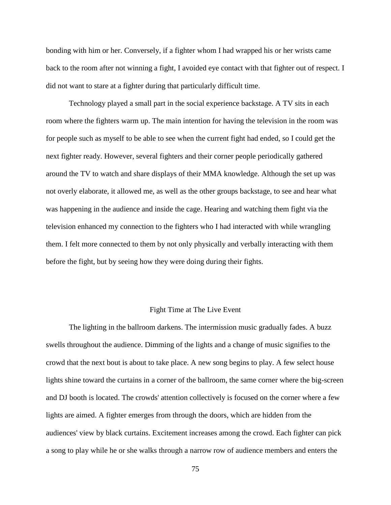bonding with him or her. Conversely, if a fighter whom I had wrapped his or her wrists came back to the room after not winning a fight, I avoided eye contact with that fighter out of respect. I did not want to stare at a fighter during that particularly difficult time.

Technology played a small part in the social experience backstage. A TV sits in each room where the fighters warm up. The main intention for having the television in the room was for people such as myself to be able to see when the current fight had ended, so I could get the next fighter ready. However, several fighters and their corner people periodically gathered around the TV to watch and share displays of their MMA knowledge. Although the set up was not overly elaborate, it allowed me, as well as the other groups backstage, to see and hear what was happening in the audience and inside the cage. Hearing and watching them fight via the television enhanced my connection to the fighters who I had interacted with while wrangling them. I felt more connected to them by not only physically and verbally interacting with them before the fight, but by seeing how they were doing during their fights.

### Fight Time at The Live Event

The lighting in the ballroom darkens. The intermission music gradually fades. A buzz swells throughout the audience. Dimming of the lights and a change of music signifies to the crowd that the next bout is about to take place. A new song begins to play. A few select house lights shine toward the curtains in a corner of the ballroom, the same corner where the big-screen and DJ booth is located. The crowds' attention collectively is focused on the corner where a few lights are aimed. A fighter emerges from through the doors, which are hidden from the audiences' view by black curtains. Excitement increases among the crowd. Each fighter can pick a song to play while he or she walks through a narrow row of audience members and enters the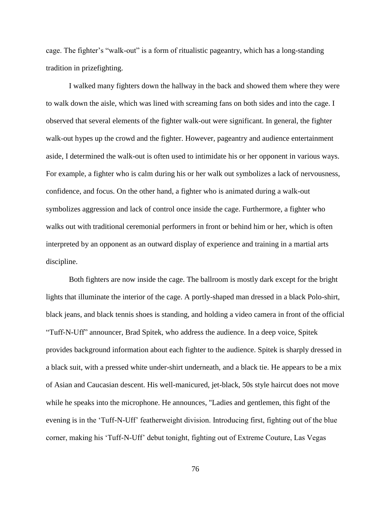cage. The fighter's "walk-out" is a form of ritualistic pageantry, which has a long-standing tradition in prizefighting.

I walked many fighters down the hallway in the back and showed them where they were to walk down the aisle, which was lined with screaming fans on both sides and into the cage. I observed that several elements of the fighter walk-out were significant. In general, the fighter walk-out hypes up the crowd and the fighter. However, pageantry and audience entertainment aside, I determined the walk-out is often used to intimidate his or her opponent in various ways. For example, a fighter who is calm during his or her walk out symbolizes a lack of nervousness, confidence, and focus. On the other hand, a fighter who is animated during a walk-out symbolizes aggression and lack of control once inside the cage. Furthermore, a fighter who walks out with traditional ceremonial performers in front or behind him or her, which is often interpreted by an opponent as an outward display of experience and training in a martial arts discipline.

Both fighters are now inside the cage. The ballroom is mostly dark except for the bright lights that illuminate the interior of the cage. A portly-shaped man dressed in a black Polo-shirt, black jeans, and black tennis shoes is standing, and holding a video camera in front of the official "Tuff-N-Uff" announcer, Brad Spitek, who address the audience. In a deep voice, Spitek provides background information about each fighter to the audience. Spitek is sharply dressed in a black suit, with a pressed white under-shirt underneath, and a black tie. He appears to be a mix of Asian and Caucasian descent. His well-manicured, jet-black, 50s style haircut does not move while he speaks into the microphone. He announces, "Ladies and gentlemen, this fight of the evening is in the 'Tuff-N-Uff' featherweight division. Introducing first, fighting out of the blue corner, making his 'Tuff-N-Uff' debut tonight, fighting out of Extreme Couture, Las Vegas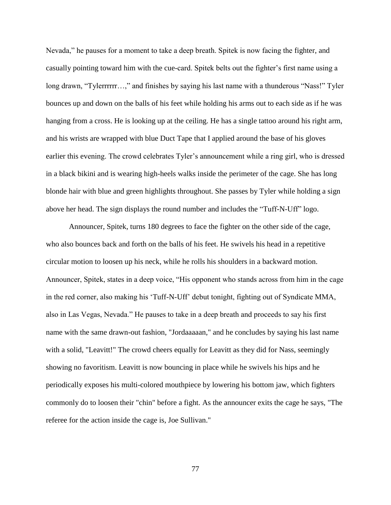Nevada," he pauses for a moment to take a deep breath. Spitek is now facing the fighter, and casually pointing toward him with the cue-card. Spitek belts out the fighter's first name using a long drawn, "Tylerrrrrr…," and finishes by saying his last name with a thunderous "Nass!" Tyler bounces up and down on the balls of his feet while holding his arms out to each side as if he was hanging from a cross. He is looking up at the ceiling. He has a single tattoo around his right arm, and his wrists are wrapped with blue Duct Tape that I applied around the base of his gloves earlier this evening. The crowd celebrates Tyler's announcement while a ring girl, who is dressed in a black bikini and is wearing high-heels walks inside the perimeter of the cage. She has long blonde hair with blue and green highlights throughout. She passes by Tyler while holding a sign above her head. The sign displays the round number and includes the "Tuff-N-Uff" logo.

Announcer, Spitek, turns 180 degrees to face the fighter on the other side of the cage, who also bounces back and forth on the balls of his feet. He swivels his head in a repetitive circular motion to loosen up his neck, while he rolls his shoulders in a backward motion. Announcer, Spitek, states in a deep voice, "His opponent who stands across from him in the cage in the red corner, also making his 'Tuff-N-Uff' debut tonight, fighting out of Syndicate MMA, also in Las Vegas, Nevada." He pauses to take in a deep breath and proceeds to say his first name with the same drawn-out fashion, "Jordaaaaan," and he concludes by saying his last name with a solid, "Leavitt!" The crowd cheers equally for Leavitt as they did for Nass, seemingly showing no favoritism. Leavitt is now bouncing in place while he swivels his hips and he periodically exposes his multi-colored mouthpiece by lowering his bottom jaw, which fighters commonly do to loosen their "chin" before a fight. As the announcer exits the cage he says, "The referee for the action inside the cage is, Joe Sullivan."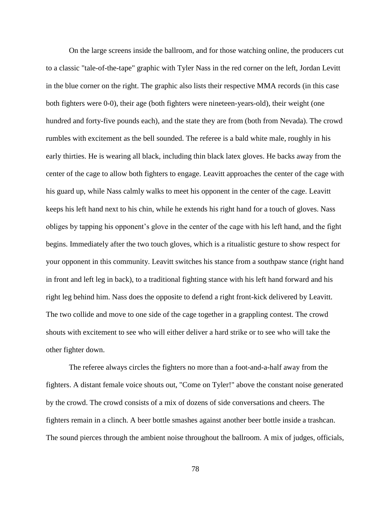On the large screens inside the ballroom, and for those watching online, the producers cut to a classic "tale-of-the-tape" graphic with Tyler Nass in the red corner on the left, Jordan Levitt in the blue corner on the right. The graphic also lists their respective MMA records (in this case both fighters were 0-0), their age (both fighters were nineteen-years-old), their weight (one hundred and forty-five pounds each), and the state they are from (both from Nevada). The crowd rumbles with excitement as the bell sounded. The referee is a bald white male, roughly in his early thirties. He is wearing all black, including thin black latex gloves. He backs away from the center of the cage to allow both fighters to engage. Leavitt approaches the center of the cage with his guard up, while Nass calmly walks to meet his opponent in the center of the cage. Leavitt keeps his left hand next to his chin, while he extends his right hand for a touch of gloves. Nass obliges by tapping his opponent's glove in the center of the cage with his left hand, and the fight begins. Immediately after the two touch gloves, which is a ritualistic gesture to show respect for your opponent in this community. Leavitt switches his stance from a southpaw stance (right hand in front and left leg in back), to a traditional fighting stance with his left hand forward and his right leg behind him. Nass does the opposite to defend a right front-kick delivered by Leavitt. The two collide and move to one side of the cage together in a grappling contest. The crowd shouts with excitement to see who will either deliver a hard strike or to see who will take the other fighter down.

The referee always circles the fighters no more than a foot-and-a-half away from the fighters. A distant female voice shouts out, "Come on Tyler!" above the constant noise generated by the crowd. The crowd consists of a mix of dozens of side conversations and cheers. The fighters remain in a clinch. A beer bottle smashes against another beer bottle inside a trashcan. The sound pierces through the ambient noise throughout the ballroom. A mix of judges, officials,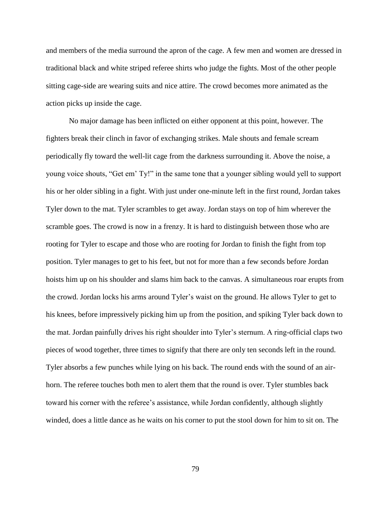and members of the media surround the apron of the cage. A few men and women are dressed in traditional black and white striped referee shirts who judge the fights. Most of the other people sitting cage-side are wearing suits and nice attire. The crowd becomes more animated as the action picks up inside the cage.

No major damage has been inflicted on either opponent at this point, however. The fighters break their clinch in favor of exchanging strikes. Male shouts and female scream periodically fly toward the well-lit cage from the darkness surrounding it. Above the noise, a young voice shouts, "Get em' Ty!" in the same tone that a younger sibling would yell to support his or her older sibling in a fight. With just under one-minute left in the first round, Jordan takes Tyler down to the mat. Tyler scrambles to get away. Jordan stays on top of him wherever the scramble goes. The crowd is now in a frenzy. It is hard to distinguish between those who are rooting for Tyler to escape and those who are rooting for Jordan to finish the fight from top position. Tyler manages to get to his feet, but not for more than a few seconds before Jordan hoists him up on his shoulder and slams him back to the canvas. A simultaneous roar erupts from the crowd. Jordan locks his arms around Tyler's waist on the ground. He allows Tyler to get to his knees, before impressively picking him up from the position, and spiking Tyler back down to the mat. Jordan painfully drives his right shoulder into Tyler's sternum. A ring-official claps two pieces of wood together, three times to signify that there are only ten seconds left in the round. Tyler absorbs a few punches while lying on his back. The round ends with the sound of an airhorn. The referee touches both men to alert them that the round is over. Tyler stumbles back toward his corner with the referee's assistance, while Jordan confidently, although slightly winded, does a little dance as he waits on his corner to put the stool down for him to sit on. The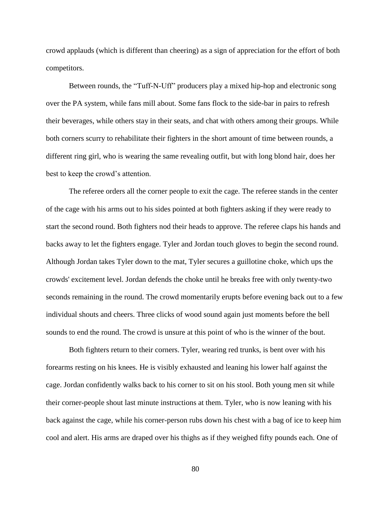crowd applauds (which is different than cheering) as a sign of appreciation for the effort of both competitors.

Between rounds, the "Tuff-N-Uff" producers play a mixed hip-hop and electronic song over the PA system, while fans mill about. Some fans flock to the side-bar in pairs to refresh their beverages, while others stay in their seats, and chat with others among their groups. While both corners scurry to rehabilitate their fighters in the short amount of time between rounds, a different ring girl, who is wearing the same revealing outfit, but with long blond hair, does her best to keep the crowd's attention.

The referee orders all the corner people to exit the cage. The referee stands in the center of the cage with his arms out to his sides pointed at both fighters asking if they were ready to start the second round. Both fighters nod their heads to approve. The referee claps his hands and backs away to let the fighters engage. Tyler and Jordan touch gloves to begin the second round. Although Jordan takes Tyler down to the mat, Tyler secures a guillotine choke, which ups the crowds' excitement level. Jordan defends the choke until he breaks free with only twenty-two seconds remaining in the round. The crowd momentarily erupts before evening back out to a few individual shouts and cheers. Three clicks of wood sound again just moments before the bell sounds to end the round. The crowd is unsure at this point of who is the winner of the bout.

Both fighters return to their corners. Tyler, wearing red trunks, is bent over with his forearms resting on his knees. He is visibly exhausted and leaning his lower half against the cage. Jordan confidently walks back to his corner to sit on his stool. Both young men sit while their corner-people shout last minute instructions at them. Tyler, who is now leaning with his back against the cage, while his corner-person rubs down his chest with a bag of ice to keep him cool and alert. His arms are draped over his thighs as if they weighed fifty pounds each. One of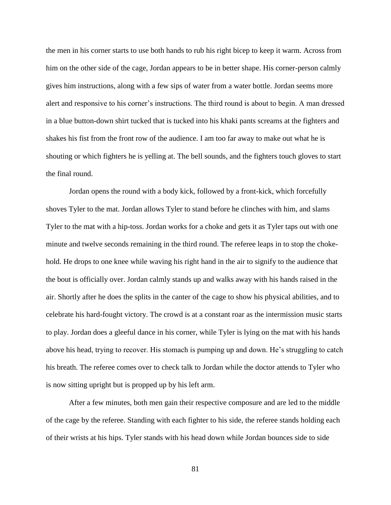the men in his corner starts to use both hands to rub his right bicep to keep it warm. Across from him on the other side of the cage, Jordan appears to be in better shape. His corner-person calmly gives him instructions, along with a few sips of water from a water bottle. Jordan seems more alert and responsive to his corner's instructions. The third round is about to begin. A man dressed in a blue button-down shirt tucked that is tucked into his khaki pants screams at the fighters and shakes his fist from the front row of the audience. I am too far away to make out what he is shouting or which fighters he is yelling at. The bell sounds, and the fighters touch gloves to start the final round.

Jordan opens the round with a body kick, followed by a front-kick, which forcefully shoves Tyler to the mat. Jordan allows Tyler to stand before he clinches with him, and slams Tyler to the mat with a hip-toss. Jordan works for a choke and gets it as Tyler taps out with one minute and twelve seconds remaining in the third round. The referee leaps in to stop the chokehold. He drops to one knee while waving his right hand in the air to signify to the audience that the bout is officially over. Jordan calmly stands up and walks away with his hands raised in the air. Shortly after he does the splits in the canter of the cage to show his physical abilities, and to celebrate his hard-fought victory. The crowd is at a constant roar as the intermission music starts to play. Jordan does a gleeful dance in his corner, while Tyler is lying on the mat with his hands above his head, trying to recover. His stomach is pumping up and down. He's struggling to catch his breath. The referee comes over to check talk to Jordan while the doctor attends to Tyler who is now sitting upright but is propped up by his left arm.

After a few minutes, both men gain their respective composure and are led to the middle of the cage by the referee. Standing with each fighter to his side, the referee stands holding each of their wrists at his hips. Tyler stands with his head down while Jordan bounces side to side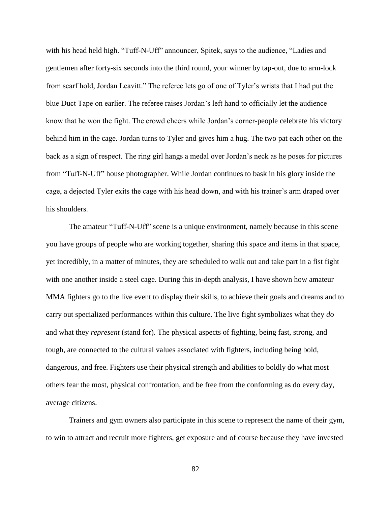with his head held high. "Tuff-N-Uff" announcer, Spitek, says to the audience, "Ladies and gentlemen after forty-six seconds into the third round, your winner by tap-out, due to arm-lock from scarf hold, Jordan Leavitt." The referee lets go of one of Tyler's wrists that I had put the blue Duct Tape on earlier. The referee raises Jordan's left hand to officially let the audience know that he won the fight. The crowd cheers while Jordan's corner-people celebrate his victory behind him in the cage. Jordan turns to Tyler and gives him a hug. The two pat each other on the back as a sign of respect. The ring girl hangs a medal over Jordan's neck as he poses for pictures from "Tuff-N-Uff" house photographer. While Jordan continues to bask in his glory inside the cage, a dejected Tyler exits the cage with his head down, and with his trainer's arm draped over his shoulders.

The amateur "Tuff-N-Uff" scene is a unique environment, namely because in this scene you have groups of people who are working together, sharing this space and items in that space, yet incredibly, in a matter of minutes, they are scheduled to walk out and take part in a fist fight with one another inside a steel cage. During this in-depth analysis, I have shown how amateur MMA fighters go to the live event to display their skills, to achieve their goals and dreams and to carry out specialized performances within this culture. The live fight symbolizes what they *do* and what they *represent* (stand for). The physical aspects of fighting, being fast, strong, and tough, are connected to the cultural values associated with fighters, including being bold, dangerous, and free. Fighters use their physical strength and abilities to boldly do what most others fear the most, physical confrontation, and be free from the conforming as do every day, average citizens.

Trainers and gym owners also participate in this scene to represent the name of their gym, to win to attract and recruit more fighters, get exposure and of course because they have invested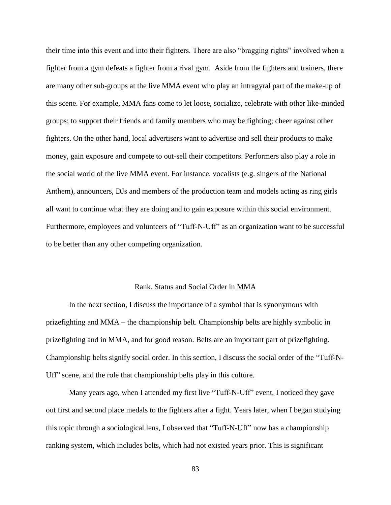their time into this event and into their fighters. There are also "bragging rights" involved when a fighter from a gym defeats a fighter from a rival gym. Aside from the fighters and trainers, there are many other sub-groups at the live MMA event who play an intragyral part of the make-up of this scene. For example, MMA fans come to let loose, socialize, celebrate with other like-minded groups; to support their friends and family members who may be fighting; cheer against other fighters. On the other hand, local advertisers want to advertise and sell their products to make money, gain exposure and compete to out-sell their competitors. Performers also play a role in the social world of the live MMA event. For instance, vocalists (e.g. singers of the National Anthem), announcers, DJs and members of the production team and models acting as ring girls all want to continue what they are doing and to gain exposure within this social environment. Furthermore, employees and volunteers of "Tuff-N-Uff" as an organization want to be successful to be better than any other competing organization.

## Rank, Status and Social Order in MMA

In the next section, I discuss the importance of a symbol that is synonymous with prizefighting and MMA – the championship belt. Championship belts are highly symbolic in prizefighting and in MMA, and for good reason. Belts are an important part of prizefighting. Championship belts signify social order. In this section, I discuss the social order of the "Tuff-N-Uff" scene, and the role that championship belts play in this culture.

Many years ago, when I attended my first live "Tuff-N-Uff" event, I noticed they gave out first and second place medals to the fighters after a fight. Years later, when I began studying this topic through a sociological lens, I observed that "Tuff-N-Uff" now has a championship ranking system, which includes belts, which had not existed years prior. This is significant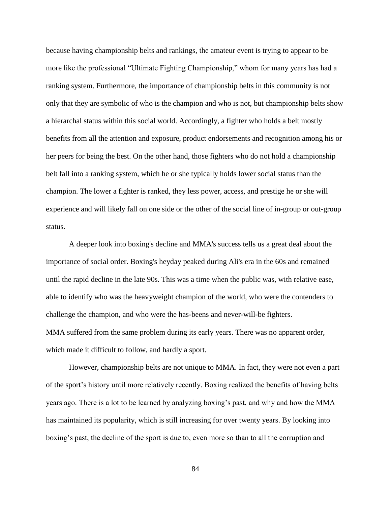because having championship belts and rankings, the amateur event is trying to appear to be more like the professional "Ultimate Fighting Championship," whom for many years has had a ranking system. Furthermore, the importance of championship belts in this community is not only that they are symbolic of who is the champion and who is not, but championship belts show a hierarchal status within this social world. Accordingly, a fighter who holds a belt mostly benefits from all the attention and exposure, product endorsements and recognition among his or her peers for being the best. On the other hand, those fighters who do not hold a championship belt fall into a ranking system, which he or she typically holds lower social status than the champion. The lower a fighter is ranked, they less power, access, and prestige he or she will experience and will likely fall on one side or the other of the social line of in-group or out-group status.

A deeper look into boxing's decline and MMA's success tells us a great deal about the importance of social order. Boxing's heyday peaked during Ali's era in the 60s and remained until the rapid decline in the late 90s. This was a time when the public was, with relative ease, able to identify who was the heavyweight champion of the world, who were the contenders to challenge the champion, and who were the has-beens and never-will-be fighters. MMA suffered from the same problem during its early years. There was no apparent order, which made it difficult to follow, and hardly a sport.

However, championship belts are not unique to MMA. In fact, they were not even a part of the sport's history until more relatively recently. Boxing realized the benefits of having belts years ago. There is a lot to be learned by analyzing boxing's past, and why and how the MMA has maintained its popularity, which is still increasing for over twenty years. By looking into boxing's past, the decline of the sport is due to, even more so than to all the corruption and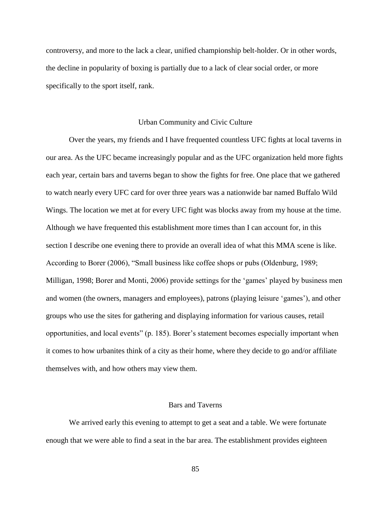controversy, and more to the lack a clear, unified championship belt-holder. Or in other words, the decline in popularity of boxing is partially due to a lack of clear social order, or more specifically to the sport itself, rank.

## Urban Community and Civic Culture

Over the years, my friends and I have frequented countless UFC fights at local taverns in our area. As the UFC became increasingly popular and as the UFC organization held more fights each year, certain bars and taverns began to show the fights for free. One place that we gathered to watch nearly every UFC card for over three years was a nationwide bar named Buffalo Wild Wings. The location we met at for every UFC fight was blocks away from my house at the time. Although we have frequented this establishment more times than I can account for, in this section I describe one evening there to provide an overall idea of what this MMA scene is like. According to Borer (2006), "Small business like coffee shops or pubs (Oldenburg, 1989; Milligan, 1998; Borer and Monti, 2006) provide settings for the 'games' played by business men and women (the owners, managers and employees), patrons (playing leisure 'games'), and other groups who use the sites for gathering and displaying information for various causes, retail opportunities, and local events" (p. 185). Borer's statement becomes especially important when it comes to how urbanites think of a city as their home, where they decide to go and/or affiliate themselves with, and how others may view them.

## Bars and Taverns

We arrived early this evening to attempt to get a seat and a table. We were fortunate enough that we were able to find a seat in the bar area. The establishment provides eighteen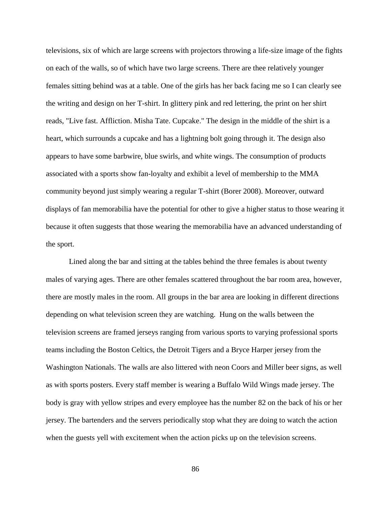televisions, six of which are large screens with projectors throwing a life-size image of the fights on each of the walls, so of which have two large screens. There are thee relatively younger females sitting behind was at a table. One of the girls has her back facing me so I can clearly see the writing and design on her T-shirt. In glittery pink and red lettering, the print on her shirt reads, "Live fast. Affliction. Misha Tate. Cupcake." The design in the middle of the shirt is a heart, which surrounds a cupcake and has a lightning bolt going through it. The design also appears to have some barbwire, blue swirls, and white wings. The consumption of products associated with a sports show fan-loyalty and exhibit a level of membership to the MMA community beyond just simply wearing a regular T-shirt (Borer 2008). Moreover, outward displays of fan memorabilia have the potential for other to give a higher status to those wearing it because it often suggests that those wearing the memorabilia have an advanced understanding of the sport.

Lined along the bar and sitting at the tables behind the three females is about twenty males of varying ages. There are other females scattered throughout the bar room area, however, there are mostly males in the room. All groups in the bar area are looking in different directions depending on what television screen they are watching. Hung on the walls between the television screens are framed jerseys ranging from various sports to varying professional sports teams including the Boston Celtics, the Detroit Tigers and a Bryce Harper jersey from the Washington Nationals. The walls are also littered with neon Coors and Miller beer signs, as well as with sports posters. Every staff member is wearing a Buffalo Wild Wings made jersey. The body is gray with yellow stripes and every employee has the number 82 on the back of his or her jersey. The bartenders and the servers periodically stop what they are doing to watch the action when the guests yell with excitement when the action picks up on the television screens.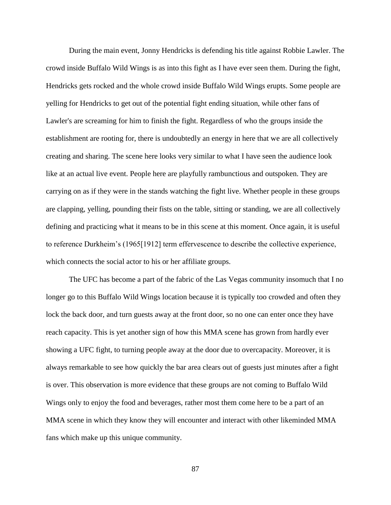During the main event, Jonny Hendricks is defending his title against Robbie Lawler. The crowd inside Buffalo Wild Wings is as into this fight as I have ever seen them. During the fight, Hendricks gets rocked and the whole crowd inside Buffalo Wild Wings erupts. Some people are yelling for Hendricks to get out of the potential fight ending situation, while other fans of Lawler's are screaming for him to finish the fight. Regardless of who the groups inside the establishment are rooting for, there is undoubtedly an energy in here that we are all collectively creating and sharing. The scene here looks very similar to what I have seen the audience look like at an actual live event. People here are playfully rambunctious and outspoken. They are carrying on as if they were in the stands watching the fight live. Whether people in these groups are clapping, yelling, pounding their fists on the table, sitting or standing, we are all collectively defining and practicing what it means to be in this scene at this moment. Once again, it is useful to reference Durkheim's (1965[1912] term effervescence to describe the collective experience, which connects the social actor to his or her affiliate groups.

The UFC has become a part of the fabric of the Las Vegas community insomuch that I no longer go to this Buffalo Wild Wings location because it is typically too crowded and often they lock the back door, and turn guests away at the front door, so no one can enter once they have reach capacity. This is yet another sign of how this MMA scene has grown from hardly ever showing a UFC fight, to turning people away at the door due to overcapacity. Moreover, it is always remarkable to see how quickly the bar area clears out of guests just minutes after a fight is over. This observation is more evidence that these groups are not coming to Buffalo Wild Wings only to enjoy the food and beverages, rather most them come here to be a part of an MMA scene in which they know they will encounter and interact with other likeminded MMA fans which make up this unique community.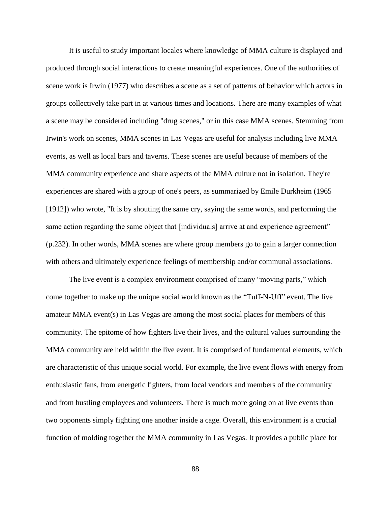It is useful to study important locales where knowledge of MMA culture is displayed and produced through social interactions to create meaningful experiences. One of the authorities of scene work is Irwin (1977) who describes a scene as a set of patterns of behavior which actors in groups collectively take part in at various times and locations. There are many examples of what a scene may be considered including "drug scenes," or in this case MMA scenes. Stemming from Irwin's work on scenes, MMA scenes in Las Vegas are useful for analysis including live MMA events, as well as local bars and taverns. These scenes are useful because of members of the MMA community experience and share aspects of the MMA culture not in isolation. They're experiences are shared with a group of one's peers, as summarized by Emile Durkheim (1965 [1912]) who wrote, "It is by shouting the same cry, saying the same words, and performing the same action regarding the same object that [individuals] arrive at and experience agreement" (p.232). In other words, MMA scenes are where group members go to gain a larger connection with others and ultimately experience feelings of membership and/or communal associations.

The live event is a complex environment comprised of many "moving parts," which come together to make up the unique social world known as the "Tuff-N-Uff" event. The live amateur MMA event(s) in Las Vegas are among the most social places for members of this community. The epitome of how fighters live their lives, and the cultural values surrounding the MMA community are held within the live event. It is comprised of fundamental elements, which are characteristic of this unique social world. For example, the live event flows with energy from enthusiastic fans, from energetic fighters, from local vendors and members of the community and from hustling employees and volunteers. There is much more going on at live events than two opponents simply fighting one another inside a cage. Overall, this environment is a crucial function of molding together the MMA community in Las Vegas. It provides a public place for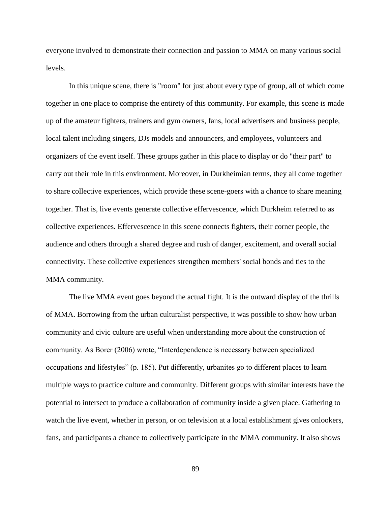everyone involved to demonstrate their connection and passion to MMA on many various social levels.

In this unique scene, there is "room" for just about every type of group, all of which come together in one place to comprise the entirety of this community. For example, this scene is made up of the amateur fighters, trainers and gym owners, fans, local advertisers and business people, local talent including singers, DJs models and announcers, and employees, volunteers and organizers of the event itself. These groups gather in this place to display or do "their part" to carry out their role in this environment. Moreover, in Durkheimian terms, they all come together to share collective experiences, which provide these scene-goers with a chance to share meaning together. That is, live events generate collective effervescence, which Durkheim referred to as collective experiences. Effervescence in this scene connects fighters, their corner people, the audience and others through a shared degree and rush of danger, excitement, and overall social connectivity. These collective experiences strengthen members' social bonds and ties to the MMA community.

The live MMA event goes beyond the actual fight. It is the outward display of the thrills of MMA. Borrowing from the urban culturalist perspective, it was possible to show how urban community and civic culture are useful when understanding more about the construction of community. As Borer (2006) wrote, "Interdependence is necessary between specialized occupations and lifestyles" (p. 185). Put differently, urbanites go to different places to learn multiple ways to practice culture and community. Different groups with similar interests have the potential to intersect to produce a collaboration of community inside a given place. Gathering to watch the live event, whether in person, or on television at a local establishment gives onlookers, fans, and participants a chance to collectively participate in the MMA community. It also shows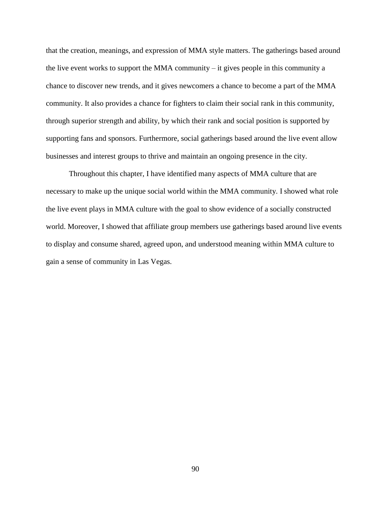that the creation, meanings, and expression of MMA style matters. The gatherings based around the live event works to support the MMA community – it gives people in this community a chance to discover new trends, and it gives newcomers a chance to become a part of the MMA community. It also provides a chance for fighters to claim their social rank in this community, through superior strength and ability, by which their rank and social position is supported by supporting fans and sponsors. Furthermore, social gatherings based around the live event allow businesses and interest groups to thrive and maintain an ongoing presence in the city.

Throughout this chapter, I have identified many aspects of MMA culture that are necessary to make up the unique social world within the MMA community. I showed what role the live event plays in MMA culture with the goal to show evidence of a socially constructed world. Moreover, I showed that affiliate group members use gatherings based around live events to display and consume shared, agreed upon, and understood meaning within MMA culture to gain a sense of community in Las Vegas.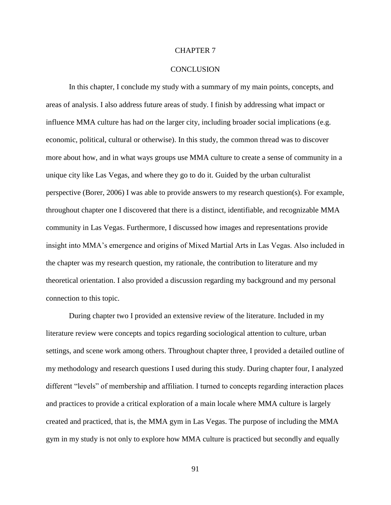### CHAPTER 7

#### **CONCLUSION**

In this chapter, I conclude my study with a summary of my main points, concepts, and areas of analysis. I also address future areas of study. I finish by addressing what impact or influence MMA culture has had *on* the larger city, including broader social implications (e.g. economic, political, cultural or otherwise). In this study, the common thread was to discover more about how, and in what ways groups use MMA culture to create a sense of community in a unique city like Las Vegas, and where they go to do it. Guided by the urban culturalist perspective (Borer, 2006) I was able to provide answers to my research question(s). For example, throughout chapter one I discovered that there is a distinct, identifiable, and recognizable MMA community in Las Vegas. Furthermore, I discussed how images and representations provide insight into MMA's emergence and origins of Mixed Martial Arts in Las Vegas. Also included in the chapter was my research question, my rationale, the contribution to literature and my theoretical orientation. I also provided a discussion regarding my background and my personal connection to this topic.

During chapter two I provided an extensive review of the literature. Included in my literature review were concepts and topics regarding sociological attention to culture, urban settings, and scene work among others. Throughout chapter three, I provided a detailed outline of my methodology and research questions I used during this study. During chapter four, I analyzed different "levels" of membership and affiliation. I turned to concepts regarding interaction places and practices to provide a critical exploration of a main locale where MMA culture is largely created and practiced, that is, the MMA gym in Las Vegas. The purpose of including the MMA gym in my study is not only to explore how MMA culture is practiced but secondly and equally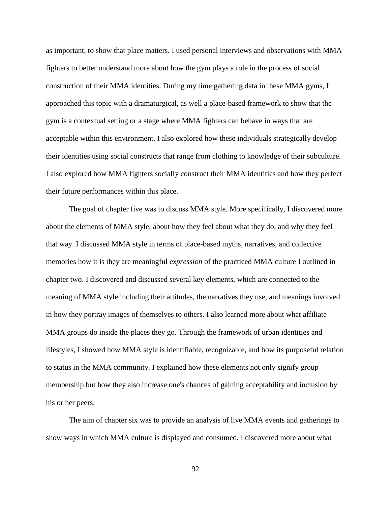as important, to show that place matters. I used personal interviews and observations with MMA fighters to better understand more about how the gym plays a role in the process of social construction of their MMA identities. During my time gathering data in these MMA gyms, I approached this topic with a dramaturgical, as well a place-based framework to show that the gym is a contextual setting or a stage where MMA fighters can behave in ways that are acceptable within this environment. I also explored how these individuals strategically develop their identities using social constructs that range from clothing to knowledge of their subculture. I also explored how MMA fighters socially construct their MMA identities and how they perfect their future performances within this place.

The goal of chapter five was to discuss MMA style. More specifically, I discovered more about the elements of MMA style, about how they feel about what they do, and why they feel that way. I discussed MMA style in terms of place-based myths, narratives, and collective memories how it is they are meaningful *expression* of the practiced MMA culture I outlined in chapter two. I discovered and discussed several key elements, which are connected to the meaning of MMA style including their attitudes, the narratives they use, and meanings involved in how they portray images of themselves to others. I also learned more about what affiliate MMA groups do inside the places they go. Through the framework of urban identities and lifestyles, I showed how MMA style is identifiable, recognizable, and how its purposeful relation to status in the MMA community. I explained how these elements not only signify group membership but how they also increase one's chances of gaining acceptability and inclusion by his or her peers.

The aim of chapter six was to provide an analysis of live MMA events and gatherings to show ways in which MMA culture is displayed and consumed. I discovered more about what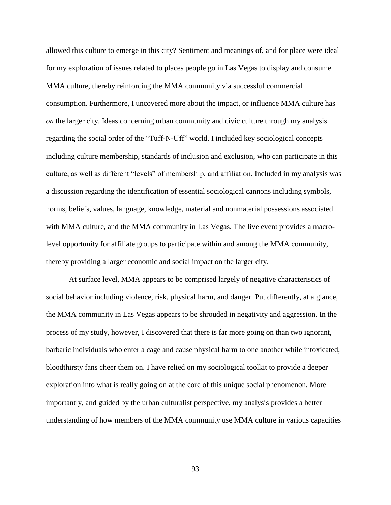allowed this culture to emerge in this city? Sentiment and meanings of, and for place were ideal for my exploration of issues related to places people go in Las Vegas to display and consume MMA culture, thereby reinforcing the MMA community via successful commercial consumption. Furthermore, I uncovered more about the impact, or influence MMA culture has *on* the larger city. Ideas concerning urban community and civic culture through my analysis regarding the social order of the "Tuff-N-Uff" world. I included key sociological concepts including culture membership, standards of inclusion and exclusion, who can participate in this culture, as well as different "levels" of membership, and affiliation. Included in my analysis was a discussion regarding the identification of essential sociological cannons including symbols, norms, beliefs, values, language, knowledge, material and nonmaterial possessions associated with MMA culture, and the MMA community in Las Vegas. The live event provides a macrolevel opportunity for affiliate groups to participate within and among the MMA community, thereby providing a larger economic and social impact on the larger city.

At surface level, MMA appears to be comprised largely of negative characteristics of social behavior including violence, risk, physical harm, and danger. Put differently, at a glance, the MMA community in Las Vegas appears to be shrouded in negativity and aggression. In the process of my study, however, I discovered that there is far more going on than two ignorant, barbaric individuals who enter a cage and cause physical harm to one another while intoxicated, bloodthirsty fans cheer them on. I have relied on my sociological toolkit to provide a deeper exploration into what is really going on at the core of this unique social phenomenon. More importantly, and guided by the urban culturalist perspective, my analysis provides a better understanding of how members of the MMA community use MMA culture in various capacities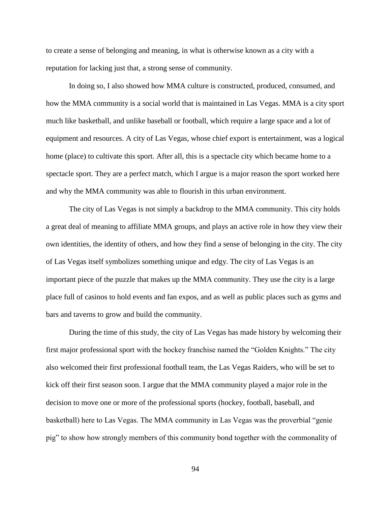to create a sense of belonging and meaning, in what is otherwise known as a city with a reputation for lacking just that, a strong sense of community.

In doing so, I also showed how MMA culture is constructed, produced, consumed, and how the MMA community is a social world that is maintained in Las Vegas. MMA is a city sport much like basketball, and unlike baseball or football, which require a large space and a lot of equipment and resources. A city of Las Vegas, whose chief export is entertainment, was a logical home (place) to cultivate this sport. After all, this is a spectacle city which became home to a spectacle sport. They are a perfect match, which I argue is a major reason the sport worked here and why the MMA community was able to flourish in this urban environment.

The city of Las Vegas is not simply a backdrop to the MMA community. This city holds a great deal of meaning to affiliate MMA groups, and plays an active role in how they view their own identities, the identity of others, and how they find a sense of belonging in the city. The city of Las Vegas itself symbolizes something unique and edgy. The city of Las Vegas is an important piece of the puzzle that makes up the MMA community. They use the city is a large place full of casinos to hold events and fan expos, and as well as public places such as gyms and bars and taverns to grow and build the community.

During the time of this study, the city of Las Vegas has made history by welcoming their first major professional sport with the hockey franchise named the "Golden Knights." The city also welcomed their first professional football team, the Las Vegas Raiders, who will be set to kick off their first season soon. I argue that the MMA community played a major role in the decision to move one or more of the professional sports (hockey, football, baseball, and basketball) here to Las Vegas. The MMA community in Las Vegas was the proverbial "genie pig" to show how strongly members of this community bond together with the commonality of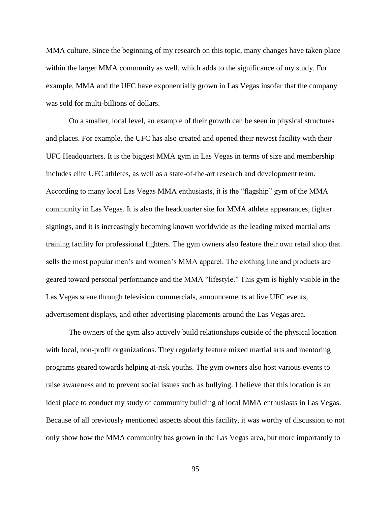MMA culture. Since the beginning of my research on this topic, many changes have taken place within the larger MMA community as well, which adds to the significance of my study. For example, MMA and the UFC have exponentially grown in Las Vegas insofar that the company was sold for multi-billions of dollars.

On a smaller, local level, an example of their growth can be seen in physical structures and places. For example, the UFC has also created and opened their newest facility with their UFC Headquarters. It is the biggest MMA gym in Las Vegas in terms of size and membership includes elite UFC athletes, as well as a state-of-the-art research and development team. According to many local Las Vegas MMA enthusiasts, it is the "flagship" gym of the MMA community in Las Vegas. It is also the headquarter site for MMA athlete appearances, fighter signings, and it is increasingly becoming known worldwide as the leading mixed martial arts training facility for professional fighters. The gym owners also feature their own retail shop that sells the most popular men's and women's MMA apparel. The clothing line and products are geared toward personal performance and the MMA "lifestyle." This gym is highly visible in the Las Vegas scene through television commercials, announcements at live UFC events, advertisement displays, and other advertising placements around the Las Vegas area.

The owners of the gym also actively build relationships outside of the physical location with local, non-profit organizations. They regularly feature mixed martial arts and mentoring programs geared towards helping at-risk youths. The gym owners also host various events to raise awareness and to prevent social issues such as bullying. I believe that this location is an ideal place to conduct my study of community building of local MMA enthusiasts in Las Vegas. Because of all previously mentioned aspects about this facility, it was worthy of discussion to not only show how the MMA community has grown in the Las Vegas area, but more importantly to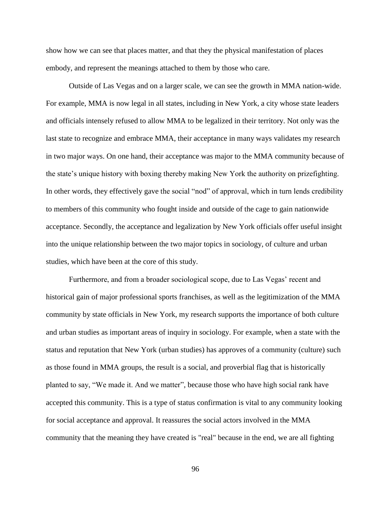show how we can see that places matter, and that they the physical manifestation of places embody, and represent the meanings attached to them by those who care.

Outside of Las Vegas and on a larger scale, we can see the growth in MMA nation-wide. For example, MMA is now legal in all states, including in New York, a city whose state leaders and officials intensely refused to allow MMA to be legalized in their territory. Not only was the last state to recognize and embrace MMA, their acceptance in many ways validates my research in two major ways. On one hand, their acceptance was major to the MMA community because of the state's unique history with boxing thereby making New York the authority on prizefighting. In other words, they effectively gave the social "nod" of approval, which in turn lends credibility to members of this community who fought inside and outside of the cage to gain nationwide acceptance. Secondly, the acceptance and legalization by New York officials offer useful insight into the unique relationship between the two major topics in sociology, of culture and urban studies, which have been at the core of this study.

Furthermore, and from a broader sociological scope, due to Las Vegas' recent and historical gain of major professional sports franchises, as well as the legitimization of the MMA community by state officials in New York, my research supports the importance of both culture and urban studies as important areas of inquiry in sociology. For example, when a state with the status and reputation that New York (urban studies) has approves of a community (culture) such as those found in MMA groups, the result is a social, and proverbial flag that is historically planted to say, "We made it. And we matter", because those who have high social rank have accepted this community. This is a type of status confirmation is vital to any community looking for social acceptance and approval. It reassures the social actors involved in the MMA community that the meaning they have created is "real" because in the end, we are all fighting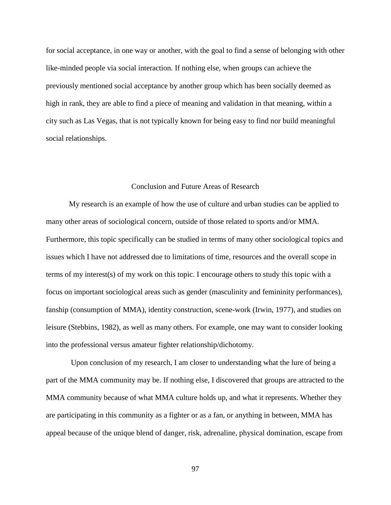for social acceptance, in one way or another, with the goal to find a sense of belonging with other like-minded people via social interaction. If nothing else, when groups can achieve the previously mentioned social acceptance by another group which has been socially deemed as high in rank, they are able to find a piece of meaning and validation in that meaning, within a city such as Las Vegas, that is not typically known for being easy to find nor build meaningful social relationships.

### Conclusion and Future Areas of Research

My research is an example of how the use of culture and urban studies can be applied to many other areas of sociological concern, outside of those related to sports and/or MMA. Furthermore, this topic specifically can be studied in terms of many other sociological topics and issues which I have not addressed due to limitations of time, resources and the overall scope in terms of my interest(s) of my work on this topic. I encourage others to study this topic with a focus on important sociological areas such as gender (masculinity and femininity performances), fanship (consumption of MMA), identity construction, scene-work (Irwin, 1977), and studies on leisure (Stebbins, 1982), as well as many others. For example, one may want to consider looking into the professional versus amateur fighter relationship/dichotomy.

Upon conclusion of my research, I am closer to understanding what the lure of being a part of the MMA community may be. If nothing else, I discovered that groups are attracted to the MMA community because of what MMA culture holds up, and what it represents. Whether they are participating in this community as a fighter or as a fan, or anything in between, MMA has appeal because of the unique blend of danger, risk, adrenaline, physical domination, escape from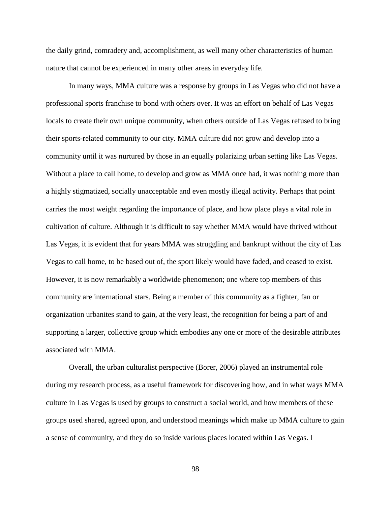the daily grind, comradery and, accomplishment, as well many other characteristics of human nature that cannot be experienced in many other areas in everyday life.

In many ways, MMA culture was a response by groups in Las Vegas who did not have a professional sports franchise to bond with others over. It was an effort on behalf of Las Vegas locals to create their own unique community, when others outside of Las Vegas refused to bring their sports-related community to our city. MMA culture did not grow and develop into a community until it was nurtured by those in an equally polarizing urban setting like Las Vegas. Without a place to call home, to develop and grow as MMA once had, it was nothing more than a highly stigmatized, socially unacceptable and even mostly illegal activity. Perhaps that point carries the most weight regarding the importance of place, and how place plays a vital role in cultivation of culture. Although it is difficult to say whether MMA would have thrived without Las Vegas, it is evident that for years MMA was struggling and bankrupt without the city of Las Vegas to call home, to be based out of, the sport likely would have faded, and ceased to exist. However, it is now remarkably a worldwide phenomenon; one where top members of this community are international stars. Being a member of this community as a fighter, fan or organization urbanites stand to gain, at the very least, the recognition for being a part of and supporting a larger, collective group which embodies any one or more of the desirable attributes associated with MMA.

Overall, the urban culturalist perspective (Borer, 2006) played an instrumental role during my research process, as a useful framework for discovering how, and in what ways MMA culture in Las Vegas is used by groups to construct a social world, and how members of these groups used shared, agreed upon, and understood meanings which make up MMA culture to gain a sense of community, and they do so inside various places located within Las Vegas. I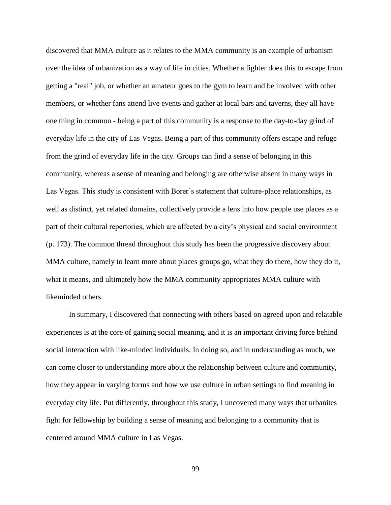discovered that MMA culture as it relates to the MMA community is an example of urbanism over the idea of urbanization as a way of life in cities. Whether a fighter does this to escape from getting a "real" job, or whether an amateur goes to the gym to learn and be involved with other members, or whether fans attend live events and gather at local bars and taverns, they all have one thing in common - being a part of this community is a response to the day-to-day grind of everyday life in the city of Las Vegas. Being a part of this community offers escape and refuge from the grind of everyday life in the city. Groups can find a sense of belonging in this community, whereas a sense of meaning and belonging are otherwise absent in many ways in Las Vegas. This study is consistent with Borer's statement that culture-place relationships, as well as distinct, yet related domains, collectively provide a lens into how people use places as a part of their cultural repertories, which are affected by a city's physical and social environment (p. 173). The common thread throughout this study has been the progressive discovery about MMA culture, namely to learn more about places groups go, what they do there, how they do it, what it means, and ultimately how the MMA community appropriates MMA culture with likeminded others.

In summary, I discovered that connecting with others based on agreed upon and relatable experiences is at the core of gaining social meaning, and it is an important driving force behind social interaction with like-minded individuals. In doing so, and in understanding as much, we can come closer to understanding more about the relationship between culture and community, how they appear in varying forms and how we use culture in urban settings to find meaning in everyday city life. Put differently, throughout this study, I uncovered many ways that urbanites fight for fellowship by building a sense of meaning and belonging to a community that is centered around MMA culture in Las Vegas.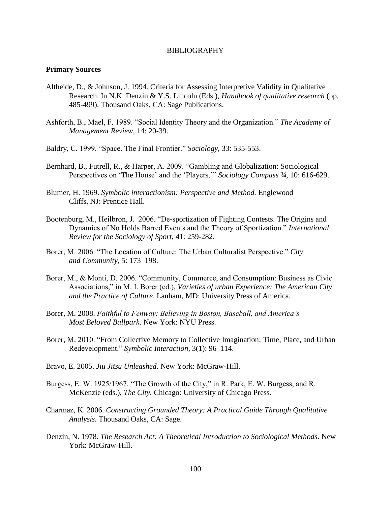### BIBLIOGRAPHY

#### **Primary Sources**

- Altheide, D., & Johnson, J. 1994. Criteria for Assessing Interpretive Validity in Qualitative Research. In N.K. Denzin & Y.S. Lincoln (Eds.), *Handbook of qualitative research* (pp. 485-499). Thousand Oaks, CA: Sage Publications.
- Ashforth, B., Mael, F. 1989. "Social Identity Theory and the Organization." *The Academy of Management Review*, 14: 20-39.
- Baldry, C. 1999. "Space. The Final Frontier." *Sociology*, 33: 535-553.
- Bernhard, B., Futrell, R., & Harper, A. 2009. "Gambling and Globalization: Sociological Perspectives on 'The House' and the 'Players.'" *Sociology Compass ¾*, 10: 616-629.
- Blumer, H. 1969. *Symbolic interactionism: Perspective and Method.* Englewood Cliffs, NJ: Prentice Hall.
- Bootenburg, M., Heilbron, J. 2006. "De-sportization of Fighting Contests. The Origins and Dynamics of No Holds Barred Events and the Theory of Sportization." *International Review for the Sociology of Sport*, 41: 259-282.
- Borer, M. 2006. "The Location of Culture: The Urban Culturalist Perspective." *City and Community*, 5: 173–198.
- Borer, M., & Monti, D. 2006. "Community, Commerce, and Consumption: Business as Civic Associations," in M. I. Borer (ed.), *Varieties of urban Experience: The American City and the Practice of Culture*. Lanham, MD: University Press of America.
- Borer, M. 2008. *Faithful to Fenway: Believing in Boston, Baseball, and America's Most Beloved Ballpark*. New York: NYU Press.
- Borer, M. 2010. "From Collective Memory to Collective Imagination: Time, Place, and Urban Redevelopment." *Symbolic Interaction*, 3(1): 96–114.
- Bravo, E. 2005. *Jiu Jitsu Unleashed*. New York: McGraw-Hill.
- Burgess, E. W. 1925/1967. "The Growth of the City," in R. Park, E. W. Burgess, and R. McKenzie (eds.), *The City.* Chicago: University of Chicago Press.
- Charmaz, K. 2006. *Constructing Grounded Theory: A Practical Guide Through Qualitative Analysis.* Thousand Oaks, CA: Sage.
- Denzin, N. 1978. *The Research Act: A Theoretical Introduction to Sociological Methods*. New York: McGraw-Hill.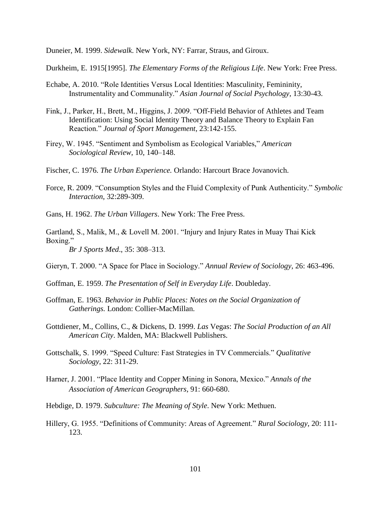Duneier, M. 1999. *Sidewalk*. New York, NY: Farrar, Straus, and Giroux.

Durkheim, E. 1915[1995]. *The Elementary Forms of the Religious Life*. New York: Free Press.

- Echabe, A. 2010. "Role Identities Versus Local Identities: Masculinity, Femininity, Instrumentality and Communality." *Asian Journal of Social Psychology*, 13:30-43.
- Fink, J., Parker, H., Brett, M., Higgins, J. 2009. "Off-Field Behavior of Athletes and Team Identification: Using Social Identity Theory and Balance Theory to Explain Fan Reaction." *Journal of Sport Management*, 23:142-155.
- Firey, W. 1945. "Sentiment and Symbolism as Ecological Variables," *American Sociological Review*, 10, 140–148.
- Fischer, C. 1976. *The Urban Experience.* Orlando: Harcourt Brace Jovanovich.
- Force, R. 2009. "Consumption Styles and the Fluid Complexity of Punk Authenticity." *Symbolic Interaction*, 32:289-309.
- Gans, H. 1962. *The Urban Villagers*. New York: The Free Press.
- Gartland, S., Malik, M., & Lovell M. 2001. "Injury and Injury Rates in Muay Thai Kick Boxing." *Br J Sports Med*., 35: 308–313.
- Gieryn, T. 2000. "A Space for Place in Sociology." *Annual Review of Sociology*, 26: 463-496.
- Goffman, E. 1959. *The Presentation of Self in Everyday Life*. Doubleday.
- Goffman, E. 1963. *Behavior in Public Places: Notes on the Social Organization of Gatherings.* London: Collier-MacMillan.
- Gottdiener, M., Collins, C., & Dickens, D. 1999. *Las* Vegas: *The Social Production of an All American City*. Malden, MA: Blackwell Publishers.
- Gottschalk, S. 1999. "Speed Culture: Fast Strategies in TV Commercials." *Qualitative Sociology*, 22: 311-29.
- Harner, J. 2001. "Place Identity and Copper Mining in Sonora, Mexico." *Annals of the Association of American Geographers*, 91: 660-680.
- Hebdige, D. 1979. *Subculture: The Meaning of Style*. New York: Methuen.
- Hillery, G. 1955. "Definitions of Community: Areas of Agreement." *Rural Sociology*, 20: 111- 123.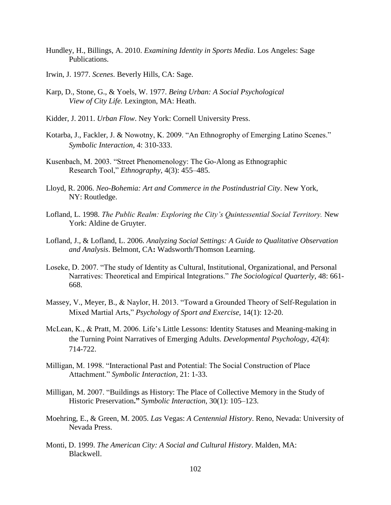- Hundley, H., Billings, A. 2010. *Examining Identity in Sports Media*. Los Angeles: Sage Publications.
- Irwin, J. 1977. *Scenes*. Beverly Hills, CA: Sage.
- Karp, D., Stone, G., & Yoels, W. 1977. *Being Urban: A Social Psychological View of City Life.* Lexington, MA: Heath.
- Kidder, J. 2011. *Urban Flow*. Ney York: Cornell University Press.
- Kotarba, J., Fackler, J. & Nowotny, K. 2009. "An Ethnogrophy of Emerging Latino Scenes." *Symbolic Interaction*, 4: 310-333.
- Kusenbach, M. 2003. "Street Phenomenology: The Go-Along as Ethnographic Research Tool," *Ethnography*, 4(3): 455–485.
- Lloyd, R. 2006. *Neo-Bohemia: Art and Commerce in the Postindustrial City*. New York, NY: Routledge.
- Lofland, L. 1998. *The Public Realm: Exploring the City's Quintessential Social Territory.* New York: Aldine de Gruyter.
- Lofland, J., & Lofland, L. 2006. *Analyzing Social Settings: A Guide to Qualitative Observation and Analysis*. Belmont, CA**:** Wadsworth/Thomson Learning.
- Loseke, D. 2007. "The study of Identity as Cultural, Institutional, Organizational, and Personal Narratives: Theoretical and Empirical Integrations." *The Sociological Quarterly*, 48: 661- 668.
- Massey, V., Meyer, B., & Naylor, H. 2013. "Toward a Grounded Theory of Self-Regulation in Mixed Martial Arts," *Psychology of Sport and Exercise*, 14(1): 12-20.
- McLean, K., & Pratt, M. 2006. Life's Little Lessons: Identity Statuses and Meaning-making in the Turning Point Narratives of Emerging Adults. *Developmental Psychology*, *42*(4): 714-722.
- Milligan, M. 1998. "Interactional Past and Potential: The Social Construction of Place Attachment." *Symbolic Interaction,* 21: 1-33.
- Milligan, M. 2007. "Buildings as History: The Place of Collective Memory in the Study of Historic Preservation**."** *Symbolic Interaction*, 30(1): 105–123.
- Moehring, E., & Green, M. 2005. *Las* Vegas: *A Centennial History*. Reno, Nevada: University of Nevada Press.
- Monti, D. 1999. *The American City: A Social and Cultural History*. Malden, MA: Blackwell.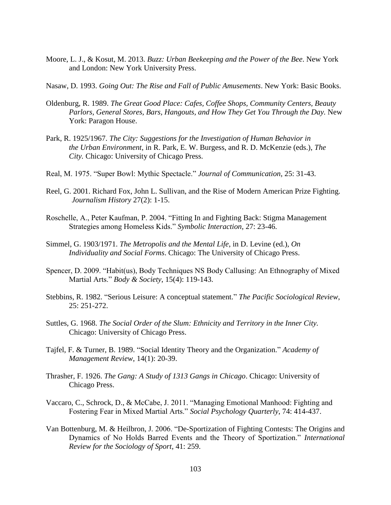- Moore, L. J., & Kosut, M. 2013. *Buzz: Urban Beekeeping and the Power of the Bee*. New York and London: New York University Press.
- Nasaw, D. 1993. *Going Out: The Rise and Fall of Public Amusements*. New York: Basic Books.
- Oldenburg, R. 1989. *The Great Good Place: Cafes, Coffee Shops, Community Centers, Beauty*  Parlors, General Stores, Bars, Hangouts, and How They Get You Through the Day. New York: Paragon House.
- Park, R. 1925/1967. *The City: Suggestions for the Investigation of Human Behavior in the Urban Environment*, in R. Park, E. W. Burgess, and R. D. McKenzie (eds.), *The City.* Chicago: University of Chicago Press.
- Real, M. 1975. "Super Bowl: Mythic Spectacle." *Journal of Communication*, 25: 31-43.
- Reel, G. 2001. Richard Fox, John L. Sullivan, and the Rise of Modern American Prize Fighting. *Journalism History* 27(2): 1-15.
- Roschelle, A., Peter Kaufman, P. 2004. "Fitting In and Fighting Back: Stigma Management Strategies among Homeless Kids." *Symbolic Interaction*, 27: 23-46.
- Simmel, G. 1903/1971. *The Metropolis and the Mental Life*, in D. Levine (ed.), *On Individuality and Social Forms*. Chicago: The University of Chicago Press.
- Spencer, D. 2009. "Habit(us), Body Techniques NS Body Callusing: An Ethnography of Mixed Martial Arts." *Body & Society*, 15(4): 119-143.
- Stebbins, R. 1982. "Serious Leisure: A conceptual statement." *The Pacific Sociological Review*, 25: 251-272.
- Suttles, G. 1968. *The Social Order of the Slum: Ethnicity and Territory in the Inner City.* Chicago: University of Chicago Press.
- Tajfel, F. & Turner, B. 1989. "Social Identity Theory and the Organization." *Academy of Management Review*, 14(1): 20-39.
- Thrasher, F. 1926. *The Gang: A Study of 1313 Gangs in Chicago*. Chicago: University of Chicago Press.
- Vaccaro, C., Schrock, D., & McCabe, J. 2011. "Managing Emotional Manhood: Fighting and Fostering Fear in Mixed Martial Arts." *Social Psychology Quarterly*, 74: 414-437.
- Van Bottenburg, M. & Heilbron, J*.* 2006. "De-Sportization of Fighting Contests: The Origins and Dynamics of No Holds Barred Events and the Theory of Sportization." *International Review for the Sociology of Sport*, 41: 259.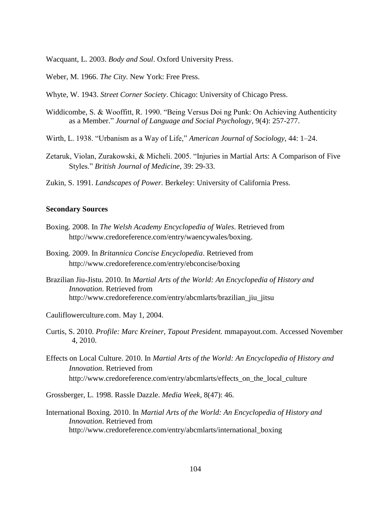Wacquant, L. 2003. *Body and Soul*. Oxford University Press.

- Weber, M. 1966. *The City.* New York: Free Press.
- Whyte, W. 1943. *Street Corner Society*. Chicago: University of Chicago Press.
- Widdicombe, S. & Wooffitt, R. 1990. "Being Versus Doi ng Punk: On Achieving Authenticity as a Member." *Journal of Language and Social Psychology*, 9(4): 257-277.
- Wirth, L. 1938. "Urbanism as a Way of Life," *American Journal of Sociology*, 44: 1–24.
- Zetaruk, Violan, Zurakowski, & Micheli. 2005. "Injuries in Martial Arts: A Comparison of Five Styles." *British Journal of Medicine*, 39: 29-33.
- Zukin, S. 1991. *Landscapes of Power.* Berkeley: University of California Press.

## **Secondary Sources**

- Boxing. 2008. In *The Welsh Academy Encyclopedia of Wales*. Retrieved from http://www.credoreference.com/entry/waencywales/boxing.
- Boxing. 2009. In *Britannica Concise Encyclopedia*. Retrieved from http://www.credoreference.com/entry/ebconcise/boxing
- Brazilian Jiu-Jistu. 2010. In *Martial Arts of the World: An Encyclopedia of History and Innovation*. Retrieved from http://www.credoreference.com/entry/abcmlarts/brazilian\_jiu\_jitsu
- Cauliflowerculture.com. May 1, 2004.
- Curtis, S. 2010. *Profile: Marc Kreiner, Tapout President.* mmapayout.com. Accessed November 4, 2010.
- Effects on Local Culture. 2010. In *Martial Arts of the World: An Encyclopedia of History and Innovation*. Retrieved from http://www.credoreference.com/entry/abcmlarts/effects\_on\_the\_local\_culture

Grossberger, L. 1998. Rassle Dazzle. *Media Week*, 8(47): 46.

International Boxing. 2010. In *Martial Arts of the World: An Encyclopedia of History and Innovation*. Retrieved from http://www.credoreference.com/entry/abcmlarts/international\_boxing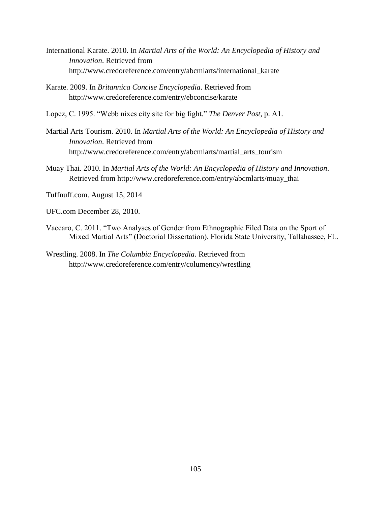- International Karate. 2010. In *Martial Arts of the World: An Encyclopedia of History and Innovation*. Retrieved from http://www.credoreference.com/entry/abcmlarts/international\_karate
- Karate. 2009. In *Britannica Concise Encyclopedia*. Retrieved from http://www.credoreference.com/entry/ebconcise/karate
- Lopez, C. 1995. "Webb nixes city site for big fight." *The Denver Post*, p. A1.
- Martial Arts Tourism. 2010. In *Martial Arts of the World: An Encyclopedia of History and Innovation*. Retrieved from http://www.credoreference.com/entry/abcmlarts/martial\_arts\_tourism
- Muay Thai. 2010. In *Martial Arts of the World: An Encyclopedia of History and Innovation*. Retrieved from http://www.credoreference.com/entry/abcmlarts/muay\_thai
- Tuffnuff.com. August 15, 2014
- UFC.com December 28, 2010.
- Vaccaro, C. 2011. "Two Analyses of Gender from Ethnographic Filed Data on the Sport of Mixed Martial Arts" (Doctorial Dissertation). Florida State University, Tallahassee, FL.
- Wrestling. 2008. In *The Columbia Encyclopedia*. Retrieved from http://www.credoreference.com/entry/columency/wrestling